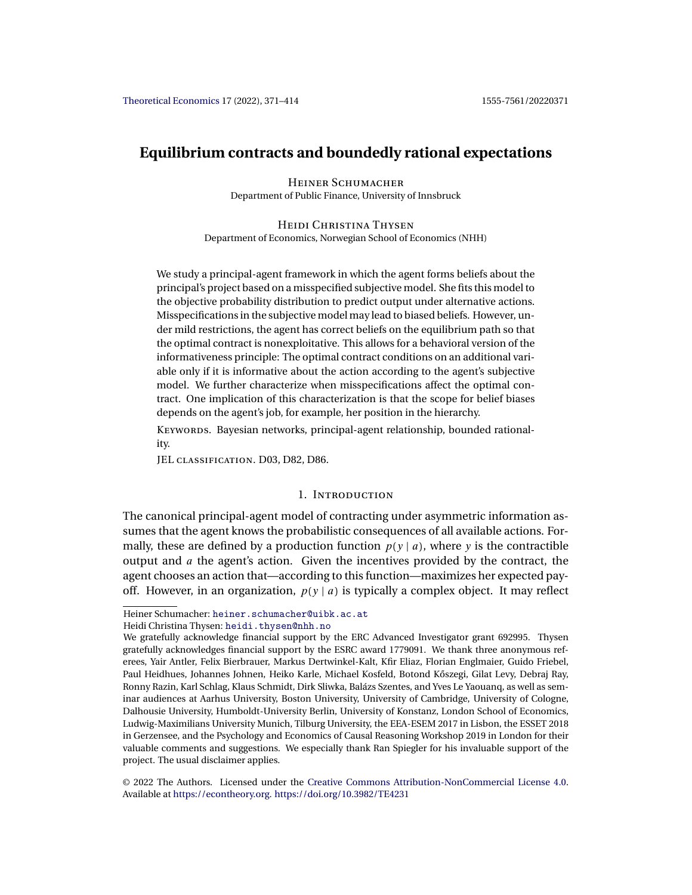# **Equilibrium contracts and boundedly rational expectations**

Heiner Schumacher Department of Public Finance, University of Innsbruck

Heidi Christina Thysen Department of Economics, Norwegian School of Economics (NHH)

We study a principal-agent framework in which the agent forms beliefs about the principal's project based on a misspecified subjective model. She fits this model to the objective probability distribution to predict output under alternative actions. Misspecifications in the subjective model may lead to biased beliefs. However, under mild restrictions, the agent has correct beliefs on the equilibrium path so that the optimal contract is nonexploitative. This allows for a behavioral version of the informativeness principle: The optimal contract conditions on an additional variable only if it is informative about the action according to the agent's subjective model. We further characterize when misspecifications affect the optimal contract. One implication of this characterization is that the scope for belief biases depends on the agent's job, for example, her position in the hierarchy.

KEYWORDS. Bayesian networks, principal-agent relationship, bounded rationality.

JEL classification. D03, D82, D86.

# 1. Introduction

The canonical principal-agent model of contracting under asymmetric information assumes that the agent knows the probabilistic consequences of all available actions. Formally, these are defined by a production function  $p(y | a)$ , where y is the contractible output and  $\alpha$  the agent's action. Given the incentives provided by the contract, the agent chooses an action that—according to this function—maximizes her expected payoff. However, in an organization,  $p(y | a)$  is typically a complex object. It may reflect

Heiner Schumacher: [heiner.schumacher@uibk.ac.at](mailto:heiner.schumacher@uibk.ac.at)

Heidi Christina Thysen: [heidi.thysen@nhh.no](mailto:heidi.thysen@nhh.no)

We gratefully acknowledge financial support by the ERC Advanced Investigator grant 692995. Thysen gratefully acknowledges financial support by the ESRC award 1779091. We thank three anonymous referees, Yair Antler, Felix Bierbrauer, Markus Dertwinkel-Kalt, Kfir Eliaz, Florian Englmaier, Guido Friebel, Paul Heidhues, Johannes Johnen, Heiko Karle, Michael Kosfeld, Botond Kőszegi, Gilat Levy, Debraj Ray, Ronny Razin, Karl Schlag, Klaus Schmidt, Dirk Sliwka, Balázs Szentes, and Yves Le Yaouanq, as well as seminar audiences at Aarhus University, Boston University, University of Cambridge, University of Cologne, Dalhousie University, Humboldt-University Berlin, University of Konstanz, London School of Economics, Ludwig-Maximilians University Munich, Tilburg University, the EEA-ESEM 2017 in Lisbon, the ESSET 2018 in Gerzensee, and the Psychology and Economics of Causal Reasoning Workshop 2019 in London for their valuable comments and suggestions. We especially thank Ran Spiegler for his invaluable support of the project. The usual disclaimer applies.

<sup>©</sup> 2022 The Authors. Licensed under the [Creative Commons Attribution-NonCommercial License 4.0](https://creativecommons.org/licenses/by-nc/4.0/legalcode). Available at <https://econtheory.org>. <https://doi.org/10.3982/TE4231>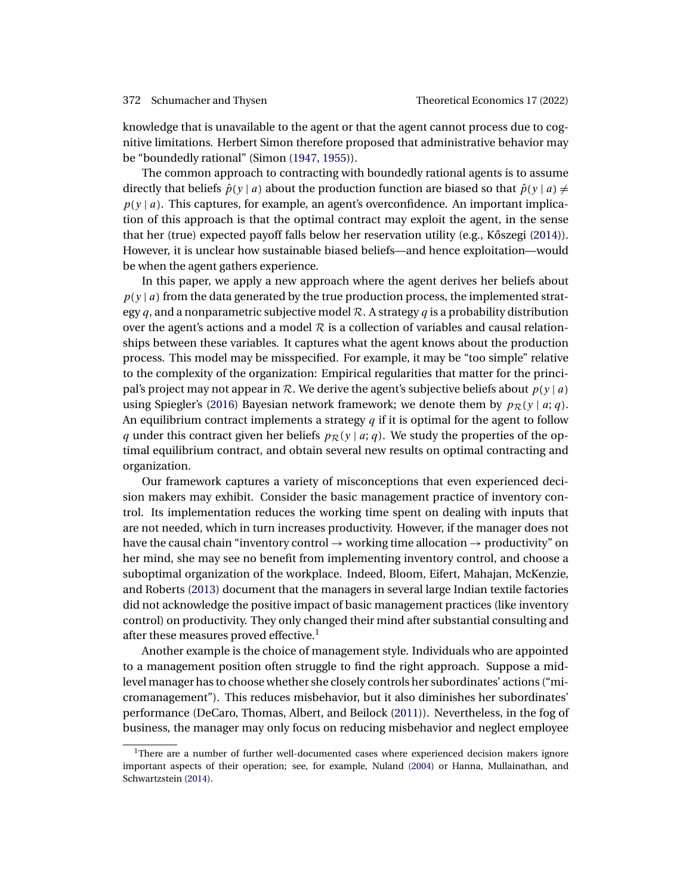<span id="page-1-0"></span>knowledge that is unavailable to the agent or that the agent cannot process due to cognitive limitations. Herbert Simon therefore proposed that administrative behavior may be "boundedly rational" (Simon [\(1947,](#page-42-0) [1955\)](#page-42-0)).

The common approach to contracting with boundedly rational agents is to assume directly that beliefs  $\hat{p}(y | a)$  about the production function are biased so that  $\hat{p}(y | a) \neq 0$  $p(y | a)$ . This captures, for example, an agent's overconfidence. An important implication of this approach is that the optimal contract may exploit the agent, in the sense that her (true) expected payoff falls below her reservation utility (e.g., Kőszegi ( $2014$ )). However, it is unclear how sustainable biased beliefs—and hence exploitation—would be when the agent gathers experience.

In this paper, we apply a new approach where the agent derives her beliefs about  $p(y | a)$  from the data generated by the true production process, the implemented strategy q, and a nonparametric subjective model  $\mathcal{R}$ . A strategy q is a probability distribution over the agent's actions and a model  $R$  is a collection of variables and causal relationships between these variables. It captures what the agent knows about the production process. This model may be misspecified. For example, it may be "too simple" relative to the complexity of the organization: Empirical regularities that matter for the principal's project may not appear in R. We derive the agent's subjective beliefs about  $p(y | a)$ using Spiegler's [\(2016\)](#page-42-0) Bayesian network framework; we denote them by  $p_{\mathcal{R}}(y \mid a; q)$ . An equilibrium contract implements a strategy  $q$  if it is optimal for the agent to follow q under this contract given her beliefs  $p_{\mathcal{R}}(y | a; q)$ . We study the properties of the optimal equilibrium contract, and obtain several new results on optimal contracting and organization.

Our framework captures a variety of misconceptions that even experienced decision makers may exhibit. Consider the basic management practice of inventory control. Its implementation reduces the working time spent on dealing with inputs that are not needed, which in turn increases productivity. However, if the manager does not have the causal chain "inventory control  $\rightarrow$  working time allocation  $\rightarrow$  productivity" on her mind, she may see no benefit from implementing inventory control, and choose a suboptimal organization of the workplace. Indeed, Bloom, Eifert, Mahajan, McKenzie, and Roberts [\(2013\)](#page-40-0) document that the managers in several large Indian textile factories did not acknowledge the positive impact of basic management practices (like inventory control) on productivity. They only changed their mind after substantial consulting and after these measures proved effective.<sup>1</sup>

Another example is the choice of management style. Individuals who are appointed to a management position often struggle to find the right approach. Suppose a midlevel manager has to choose whether she closely controls her subordinates' actions ("micromanagement"). This reduces misbehavior, but it also diminishes her subordinates' performance (DeCaro, Thomas, Albert, and Beilock [\(2011\)](#page-41-0)). Nevertheless, in the fog of business, the manager may only focus on reducing misbehavior and neglect employee

<sup>&</sup>lt;sup>1</sup>There are a number of further well-documented cases where experienced decision makers ignore important aspects of their operation; see, for example, Nuland [\(2004\)](#page-42-0) or Hanna, Mullainathan, and Schwartzstein [\(2014\)](#page-41-0).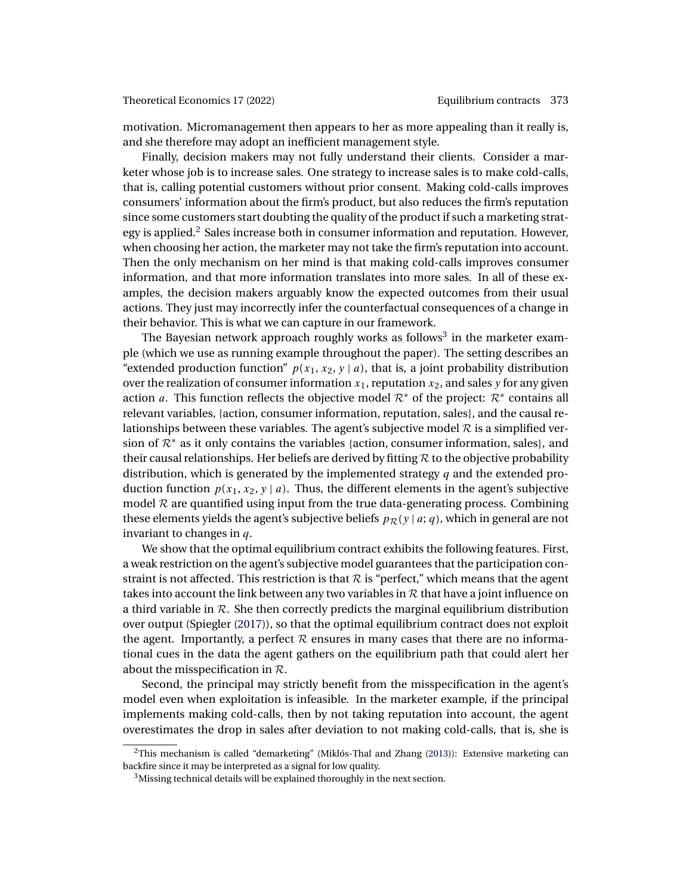<span id="page-2-0"></span>motivation. Micromanagement then appears to her as more appealing than it really is, and she therefore may adopt an inefficient management style.

Finally, decision makers may not fully understand their clients. Consider a marketer whose job is to increase sales. One strategy to increase sales is to make cold-calls, that is, calling potential customers without prior consent. Making cold-calls improves consumers' information about the firm's product, but also reduces the firm's reputation since some customers start doubting the quality of the product if such a marketing strategy is applied. $2$  Sales increase both in consumer information and reputation. However, when choosing her action, the marketer may not take the firm's reputation into account. Then the only mechanism on her mind is that making cold-calls improves consumer information, and that more information translates into more sales. In all of these examples, the decision makers arguably know the expected outcomes from their usual actions. They just may incorrectly infer the counterfactual consequences of a change in their behavior. This is what we can capture in our framework.

The Bayesian network approach roughly works as follows<sup>3</sup> in the marketer example (which we use as running example throughout the paper). The setting describes an "extended production function"  $p(x_1, x_2, y \mid a)$ , that is, a joint probability distribution over the realization of consumer information  $x_1$ , reputation  $x_2$ , and sales y for any given action a. This function reflects the objective model  $\mathcal{R}^*$  of the project:  $\mathcal{R}^*$  contains all relevant variables, {action, consumer information, reputation, sales}, and the causal relationships between these variables. The agent's subjective model  $R$  is a simplified version of  $\mathcal{R}^*$  as it only contains the variables {action, consumer information, sales}, and their causal relationships. Her beliefs are derived by fitting  $R$  to the objective probability distribution, which is generated by the implemented strategy  $q$  and the extended production function  $p(x_1, x_2, y \mid a)$ . Thus, the different elements in the agent's subjective model  $R$  are quantified using input from the true data-generating process. Combining these elements yields the agent's subjective beliefs  $p_{\mathcal{R}}(y | a; q)$ , which in general are not invariant to changes in q.

We show that the optimal equilibrium contract exhibits the following features. First, a weak restriction on the agent's subjective model guarantees that the participation constraint is not affected. This restriction is that  $R$  is "perfect," which means that the agent takes into account the link between any two variables in  $R$  that have a joint influence on a third variable in  $R$ . She then correctly predicts the marginal equilibrium distribution over output (Spiegler [\(2017\)](#page-42-0)), so that the optimal equilibrium contract does not exploit the agent. Importantly, a perfect  $R$  ensures in many cases that there are no informational cues in the data the agent gathers on the equilibrium path that could alert her about the misspecification in  $\mathcal{R}$ .

Second, the principal may strictly benefit from the misspecification in the agent's model even when exploitation is infeasible. In the marketer example, if the principal implements making cold-calls, then by not taking reputation into account, the agent overestimates the drop in sales after deviation to not making cold-calls, that is, she is

 $2$ This mechanism is called "demarketing" (Miklós-Thal and Zhang [\(2013\)](#page-42-0)): Extensive marketing can backfire since it may be interpreted as a signal for low quality.

<sup>&</sup>lt;sup>3</sup>Missing technical details will be explained thoroughly in the next section.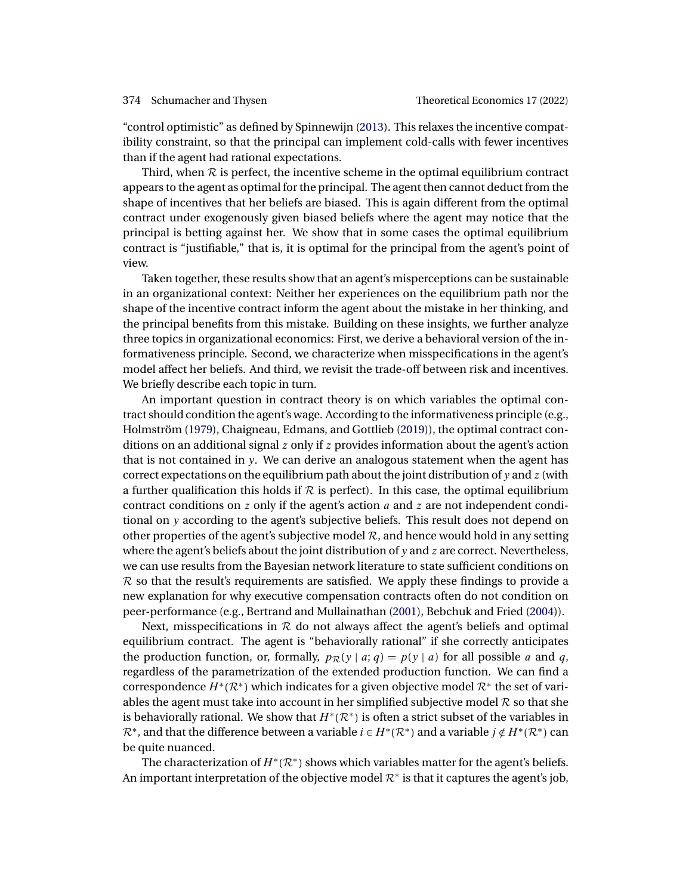<span id="page-3-0"></span>"control optimistic" as defined by Spinnewijn [\(2013\)](#page-43-0). This relaxes the incentive compatibility constraint, so that the principal can implement cold-calls with fewer incentives than if the agent had rational expectations.

Third, when  $R$  is perfect, the incentive scheme in the optimal equilibrium contract appears to the agent as optimal for the principal. The agent then cannot deduct from the shape of incentives that her beliefs are biased. This is again different from the optimal contract under exogenously given biased beliefs where the agent may notice that the principal is betting against her. We show that in some cases the optimal equilibrium contract is "justifiable," that is, it is optimal for the principal from the agent's point of view.

Taken together, these results show that an agent's misperceptions can be sustainable in an organizational context: Neither her experiences on the equilibrium path nor the shape of the incentive contract inform the agent about the mistake in her thinking, and the principal benefits from this mistake. Building on these insights, we further analyze three topics in organizational economics: First, we derive a behavioral version of the informativeness principle. Second, we characterize when misspecifications in the agent's model affect her beliefs. And third, we revisit the trade-off between risk and incentives. We briefly describe each topic in turn.

An important question in contract theory is on which variables the optimal contract should condition the agent's wage. According to the informativeness principle (e.g., Holmström [\(1979\)](#page-41-0), Chaigneau, Edmans, and Gottlieb [\(2019\)](#page-41-0)), the optimal contract conditions on an additional signal  $z$  only if  $z$  provides information about the agent's action that is not contained in y. We can derive an analogous statement when the agent has correct expectations on the equilibrium path about the joint distribution of  $y$  and  $z$  (with a further qualification this holds if  $R$  is perfect). In this case, the optimal equilibrium contract conditions on z only if the agent's action a and z are not independent conditional on y according to the agent's subjective beliefs. This result does not depend on other properties of the agent's subjective model  $R$ , and hence would hold in any setting where the agent's beliefs about the joint distribution of  $y$  and  $z$  are correct. Nevertheless, we can use results from the Bayesian network literature to state sufficient conditions on  $R$  so that the result's requirements are satisfied. We apply these findings to provide a new explanation for why executive compensation contracts often do not condition on peer-performance (e.g., Bertrand and Mullainathan [\(2001\)](#page-40-0), Bebchuk and Fried [\(2004\)](#page-40-0)).

Next, misspecifications in  $R$  do not always affect the agent's beliefs and optimal equilibrium contract. The agent is "behaviorally rational" if she correctly anticipates the production function, or, formally,  $p_{\mathcal{R}}(y | a; q) = p(y | a)$  for all possible a and q, regardless of the parametrization of the extended production function. We can find a correspondence  $H^*(\mathcal{R}^*)$  which indicates for a given objective model  $\mathcal{R}^*$  the set of variables the agent must take into account in her simplified subjective model  $R$  so that she is behaviorally rational. We show that  $H^*(\mathcal{R}^*)$  is often a strict subset of the variables in  $\mathcal{R}^*$ , and that the difference between a variable  $i \in H^*(\mathcal{R}^*)$  and a variable  $j \notin H^*(\mathcal{R}^*)$  can be quite nuanced.

The characterization of  $H^*(\mathcal{R}^*)$  shows which variables matter for the agent's beliefs. An important interpretation of the objective model  $\mathcal{R}^*$  is that it captures the agent's job,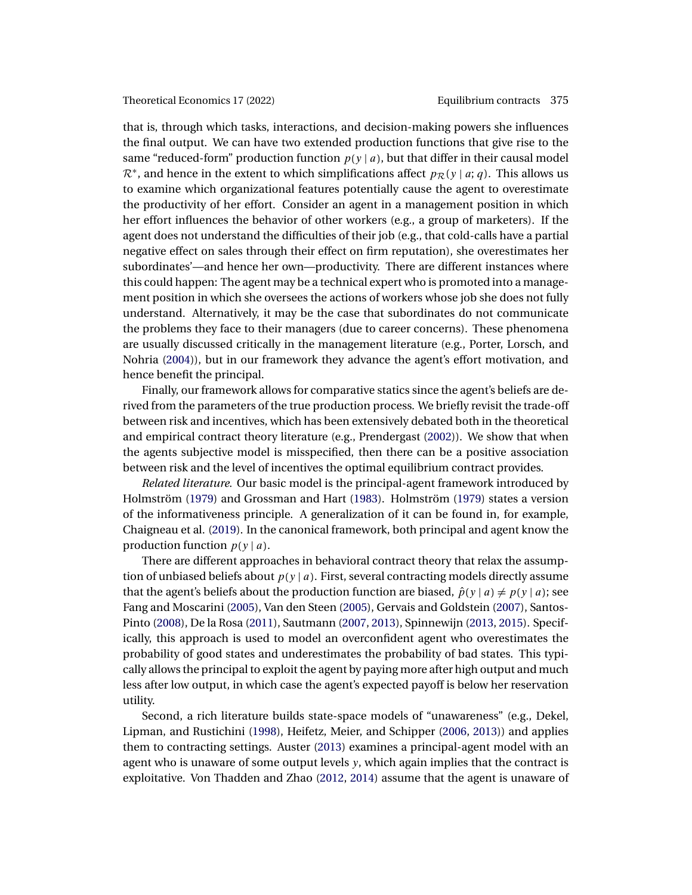<span id="page-4-0"></span>that is, through which tasks, interactions, and decision-making powers she influences the final output. We can have two extended production functions that give rise to the same "reduced-form" production function  $p(y | a)$ , but that differ in their causal model  $\mathcal{R}^*$ , and hence in the extent to which simplifications affect  $p_{\mathcal{R}}(y \mid a; q)$ . This allows us to examine which organizational features potentially cause the agent to overestimate the productivity of her effort. Consider an agent in a management position in which her effort influences the behavior of other workers (e.g., a group of marketers). If the agent does not understand the difficulties of their job (e.g., that cold-calls have a partial negative effect on sales through their effect on firm reputation), she overestimates her subordinates'—and hence her own—productivity. There are different instances where this could happen: The agent may be a technical expert who is promoted into a management position in which she oversees the actions of workers whose job she does not fully understand. Alternatively, it may be the case that subordinates do not communicate the problems they face to their managers (due to career concerns). These phenomena are usually discussed critically in the management literature (e.g., Porter, Lorsch, and Nohria [\(2004\)](#page-42-0)), but in our framework they advance the agent's effort motivation, and hence benefit the principal.

Finally, our framework allows for comparative statics since the agent's beliefs are derived from the parameters of the true production process. We briefly revisit the trade-off between risk and incentives, which has been extensively debated both in the theoretical and empirical contract theory literature (e.g., Prendergast [\(2002\)](#page-42-0)). We show that when the agents subjective model is misspecified, then there can be a positive association between risk and the level of incentives the optimal equilibrium contract provides.

*Related literature.* Our basic model is the principal-agent framework introduced by Holmström [\(1979\)](#page-41-0) and Grossman and Hart [\(1983\)](#page-41-0). Holmström [\(1979\)](#page-41-0) states a version of the informativeness principle. A generalization of it can be found in, for example, Chaigneau et al. [\(2019\)](#page-41-0). In the canonical framework, both principal and agent know the production function  $p(y | a)$ .

There are different approaches in behavioral contract theory that relax the assumption of unbiased beliefs about  $p(y | a)$ . First, several contracting models directly assume that the agent's beliefs about the production function are biased,  $\hat{p}(y | a) \neq p(y | a)$ ; see Fang and Moscarini [\(2005\)](#page-41-0), Van den Steen [\(2005\)](#page-43-0), Gervais and Goldstein [\(2007\)](#page-41-0), Santos-Pinto [\(2008\)](#page-42-0), De la Rosa [\(2011\)](#page-41-0), Sautmann [\(2007,](#page-42-0) [2013\)](#page-42-0), Spinnewijn [\(2013,](#page-43-0) [2015\)](#page-43-0). Specifically, this approach is used to model an overconfident agent who overestimates the probability of good states and underestimates the probability of bad states. This typically allows the principal to exploit the agent by paying more after high output and much less after low output, in which case the agent's expected payoff is below her reservation utility.

Second, a rich literature builds state-space models of "unawareness" (e.g., Dekel, Lipman, and Rustichini [\(1998\)](#page-41-0), Heifetz, Meier, and Schipper [\(2006,](#page-41-0) [2013\)](#page-41-0)) and applies them to contracting settings. Auster [\(2013\)](#page-40-0) examines a principal-agent model with an agent who is unaware of some output levels y, which again implies that the contract is exploitative. Von Thadden and Zhao [\(2012,](#page-43-0) [2014\)](#page-43-0) assume that the agent is unaware of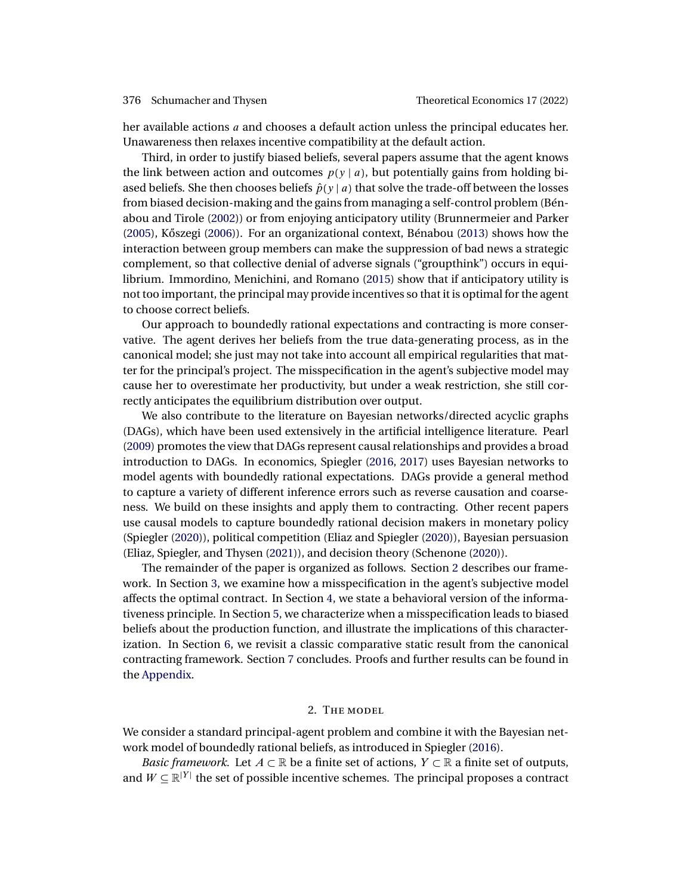<span id="page-5-0"></span>her available actions a and chooses a default action unless the principal educates her. Unawareness then relaxes incentive compatibility at the default action.

Third, in order to justify biased beliefs, several papers assume that the agent knows the link between action and outcomes  $p(y | a)$ , but potentially gains from holding biased beliefs. She then chooses beliefs  $\hat{p}(y | a)$  that solve the trade-off between the losses from biased decision-making and the gains from managing a self-control problem (Bénabou and Tirole [\(2002\)](#page-40-0)) or from enjoying anticipatory utility (Brunnermeier and Parker [\(2005\)](#page-40-0), Kőszegi ([2006\)](#page-42-0)). For an organizational context, Bénabou [\(2013\)](#page-40-0) shows how the interaction between group members can make the suppression of bad news a strategic complement, so that collective denial of adverse signals ("groupthink") occurs in equilibrium. Immordino, Menichini, and Romano [\(2015\)](#page-42-0) show that if anticipatory utility is not too important, the principal may provide incentives so that it is optimal for the agent to choose correct beliefs.

Our approach to boundedly rational expectations and contracting is more conservative. The agent derives her beliefs from the true data-generating process, as in the canonical model; she just may not take into account all empirical regularities that matter for the principal's project. The misspecification in the agent's subjective model may cause her to overestimate her productivity, but under a weak restriction, she still correctly anticipates the equilibrium distribution over output.

We also contribute to the literature on Bayesian networks/directed acyclic graphs (DAGs), which have been used extensively in the artificial intelligence literature. Pearl [\(2009\)](#page-42-0) promotes the view that DAGs represent causal relationships and provides a broad introduction to DAGs. In economics, Spiegler [\(2016,](#page-42-0) [2017\)](#page-42-0) uses Bayesian networks to model agents with boundedly rational expectations. DAGs provide a general method to capture a variety of different inference errors such as reverse causation and coarseness. We build on these insights and apply them to contracting. Other recent papers use causal models to capture boundedly rational decision makers in monetary policy (Spiegler [\(2020\)](#page-42-0)), political competition (Eliaz and Spiegler [\(2020\)](#page-41-0)), Bayesian persuasion (Eliaz, Spiegler, and Thysen [\(2021\)](#page-41-0)), and decision theory (Schenone [\(2020\)](#page-42-0)).

The remainder of the paper is organized as follows. Section 2 describes our framework. In Section [3,](#page-8-0) we examine how a misspecification in the agent's subjective model affects the optimal contract. In Section [4,](#page-16-0) we state a behavioral version of the informativeness principle. In Section [5,](#page-19-0) we characterize when a misspecification leads to biased beliefs about the production function, and illustrate the implications of this characterization. In Section [6,](#page-25-0) we revisit a classic comparative static result from the canonical contracting framework. Section [7](#page-26-0) concludes. Proofs and further results can be found in the [Appendix.](#page-27-0)

## 2. The model

We consider a standard principal-agent problem and combine it with the Bayesian network model of boundedly rational beliefs, as introduced in Spiegler [\(2016\)](#page-42-0).

*Basic framework.* Let  $A \subset \mathbb{R}$  be a finite set of actions,  $Y \subset \mathbb{R}$  a finite set of outputs, and  $W \subseteq \mathbb{R}^{|Y|}$  the set of possible incentive schemes. The principal proposes a contract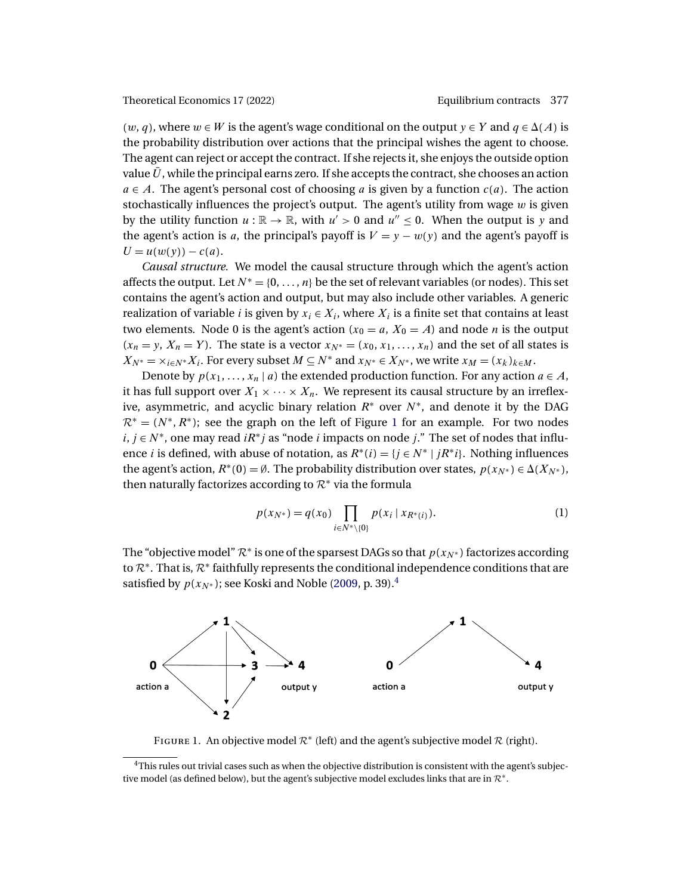<span id="page-6-0"></span> $(w, q)$ , where  $w \in W$  is the agent's wage conditional on the output  $y \in Y$  and  $q \in \Delta(A)$  is the probability distribution over actions that the principal wishes the agent to choose. The agent can reject or accept the contract. If she rejects it, she enjoys the outside option value  $\bar{U}$ , while the principal earns zero. If she accepts the contract, she chooses an action  $a \in A$ . The agent's personal cost of choosing a is given by a function  $c(a)$ . The action stochastically influences the project's output. The agent's utility from wage  $w$  is given by the utility function  $u : \mathbb{R} \to \mathbb{R}$ , with  $u' > 0$  and  $u'' \le 0$ . When the output is y and the agent's action is a, the principal's payoff is  $V = y - w(y)$  and the agent's payoff is  $U = u(w(y)) - c(a)$ .

*Causal structure.* We model the causal structure through which the agent's action affects the output. Let  $N^* = \{0, \ldots, n\}$  be the set of relevant variables (or nodes). This set contains the agent's action and output, but may also include other variables. A generic realization of variable *i* is given by  $x_i \in X_i$ , where  $X_i$  is a finite set that contains at least two elements. Node 0 is the agent's action  $(x_0 = a, X_0 = A)$  and node *n* is the output  $(x_n = y, X_n = Y)$ . The state is a vector  $x_{N^*} = (x_0, x_1, \ldots, x_n)$  and the set of all states is  $X_{N^*} = \times_{i \in N^*} X_i$ . For every subset  $M \subseteq N^*$  and  $x_{N^*} \in X_{N^*}$ , we write  $x_M = (x_k)_{k \in M}$ .

Denote by  $p(x_1, ..., x_n | a)$  the extended production function. For any action  $a \in A$ , it has full support over  $X_1 \times \cdots \times X_n$ . We represent its causal structure by an irreflexive, asymmetric, and acyclic binary relation  $R^*$  over  $N^*$ , and denote it by the DAG  $\mathcal{R}^* = (N^*, R^*)$ ; see the graph on the left of Figure 1 for an example. For two nodes  $i, j \in N^*$ , one may read  $iR^*j$  as "node i impacts on node j." The set of nodes that influence *i* is defined, with abuse of notation, as  $R^*(i) = \{j \in N^* \mid jR^*i\}$ . Nothing influences the agent's action,  $R^*(0) = \emptyset$ . The probability distribution over states,  $p(x_{N^*}) \in \Delta(X_{N^*})$ , then naturally factorizes according to  $\mathcal{R}^*$  via the formula

$$
p(x_{N^*}) = q(x_0) \prod_{i \in N^* \setminus \{0\}} p(x_i \mid x_{R^*(i)}).
$$
 (1)

The "objective model"  $\mathcal{R}^*$  is one of the sparsest DAGs so that  $p(x_N^*)$  factorizes according to  $\mathcal{R}^*$ . That is,  $\mathcal{R}^*$  faithfully represents the conditional independence conditions that are satisfied by  $p(x_{N^*})$ ; see Koski and Noble [\(2009,](#page-42-0) p. 39).<sup>4</sup>



FIGURE 1. An objective model  $\mathcal{R}^*$  (left) and the agent's subjective model  $\mathcal R$  (right).

<sup>&</sup>lt;sup>4</sup>This rules out trivial cases such as when the objective distribution is consistent with the agent's subjective model (as defined below), but the agent's subjective model excludes links that are in  $\mathcal{R}^*$ .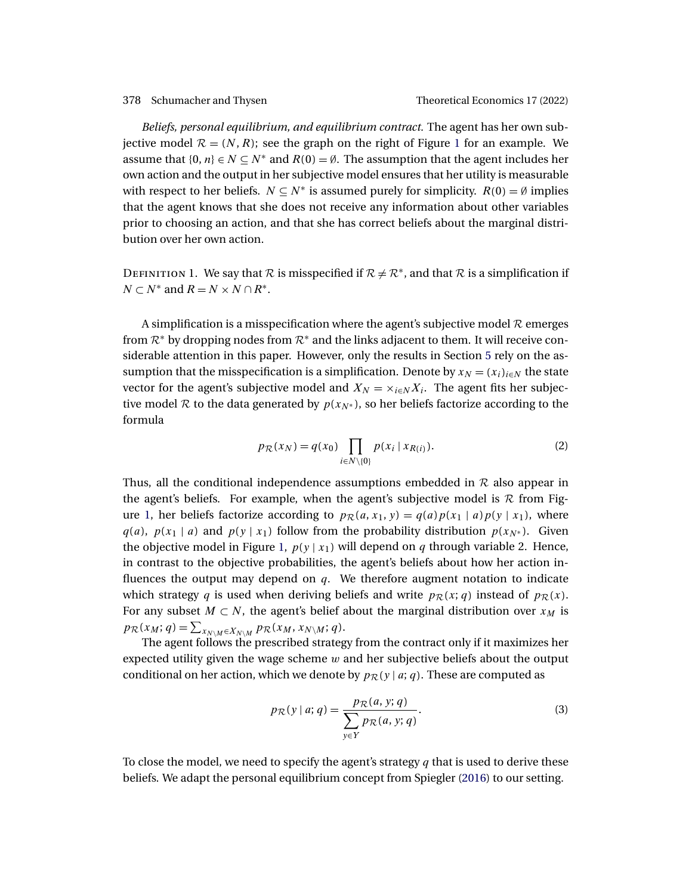<span id="page-7-0"></span>*Beliefs, personal equilibrium, and equilibrium contract.* The agent has her own subjective model  $\mathcal{R} = (N, R)$ ; see the graph on the right of Figure [1](#page-6-0) for an example. We assume that  $\{0, n\} \in N \subseteq N^*$  and  $R(0) = \emptyset$ . The assumption that the agent includes her own action and the output in her subjective model ensures that her utility is measurable with respect to her beliefs.  $N \subseteq N^*$  is assumed purely for simplicity.  $R(0) = \emptyset$  implies that the agent knows that she does not receive any information about other variables prior to choosing an action, and that she has correct beliefs about the marginal distribution over her own action.

DEFINITION 1. We say that  $R$  is misspecified if  $R \neq R^*$ , and that  $R$  is a simplification if  $N \subset N^*$  and  $R = N \times N \cap R^*$ .

A simplification is a misspecification where the agent's subjective model  $\mathcal R$  emerges from  $\mathcal{R}^*$  by dropping nodes from  $\mathcal{R}^*$  and the links adjacent to them. It will receive considerable attention in this paper. However, only the results in Section [5](#page-19-0) rely on the assumption that the misspecification is a simplification. Denote by  $x_N = (x_i)_{i \in N}$  the state vector for the agent's subjective model and  $X_N = \times_{i \in N} X_i$ . The agent fits her subjective model R to the data generated by  $p(x_{N*})$ , so her beliefs factorize according to the formula

$$
p_{\mathcal{R}}(x_N) = q(x_0) \prod_{i \in N \setminus \{0\}} p(x_i \mid x_{R(i)}).
$$
 (2)

Thus, all the conditional independence assumptions embedded in  $R$  also appear in the agent's beliefs. For example, when the agent's subjective model is  $\mathcal R$  from Fig-ure [1,](#page-6-0) her beliefs factorize according to  $p_{\mathcal{R}}(a, x_1, y) = q(a)p(x_1 | a)p(y | x_1)$ , where  $q(a)$ ,  $p(x_1 | a)$  and  $p(y | x_1)$  follow from the probability distribution  $p(x_{N^*})$ . Given the objective model in Figure [1,](#page-6-0)  $p(y | x_1)$  will depend on q through variable 2. Hence, in contrast to the objective probabilities, the agent's beliefs about how her action influences the output may depend on  $q$ . We therefore augment notation to indicate which strategy q is used when deriving beliefs and write  $p_{\mathcal{R}}(x; q)$  instead of  $p_{\mathcal{R}}(x)$ . For any subset  $M \subset N$ , the agent's belief about the marginal distribution over  $x_M$  is  $p_{\mathcal{R}}(x_M;q) = \sum_{x_{N\setminus M} \in X_{N\setminus M}} p_{\mathcal{R}}(x_M, x_{N\setminus M}; q).$ 

The agent follows the prescribed strategy from the contract only if it maximizes her expected utility given the wage scheme  $w$  and her subjective beliefs about the output conditional on her action, which we denote by  $p_{\mathcal{R}}(y | a; q)$ . These are computed as

$$
p_{\mathcal{R}}(y \mid a; q) = \frac{p_{\mathcal{R}}(a, y; q)}{\sum_{y \in Y} p_{\mathcal{R}}(a, y; q)}.
$$
 (3)

To close the model, we need to specify the agent's strategy  $q$  that is used to derive these beliefs. We adapt the personal equilibrium concept from Spiegler [\(2016\)](#page-42-0) to our setting.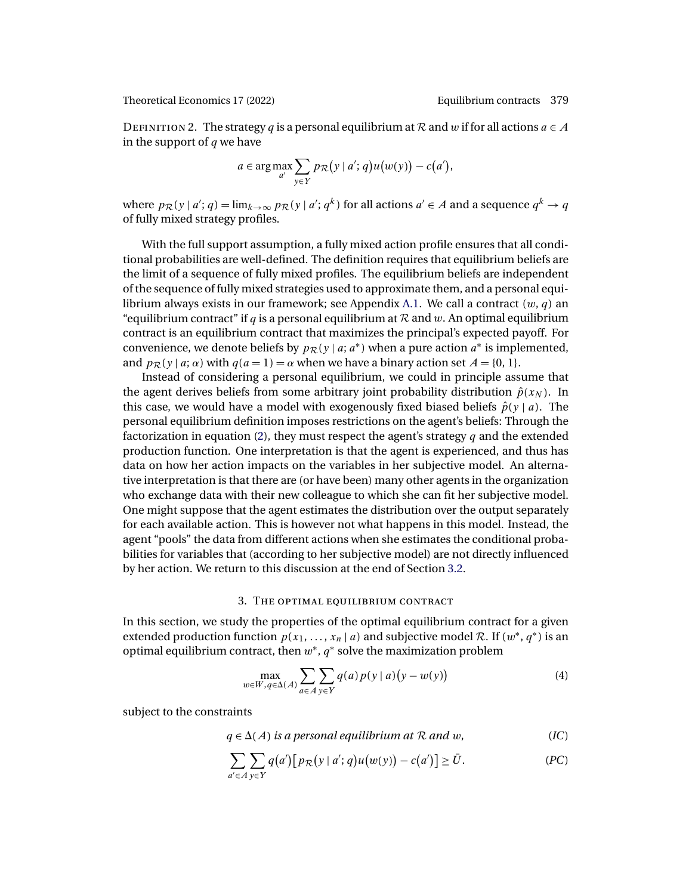<span id="page-8-0"></span>DEFINITION 2. The strategy q is a personal equilibrium at R and w if for all actions  $a \in A$ in the support of  $q$  we have

$$
a \in \arg\max_{a'} \sum_{y \in Y} p_{\mathcal{R}}(y \mid a'; q) u(w(y)) - c(a'),
$$

where  $p_{\mathcal{R}}(y | a'; q) = \lim_{k \to \infty} p_{\mathcal{R}}(y | a'; q^k)$  for all actions  $a' \in A$  and a sequence  $q^k \to q$ of fully mixed strategy profiles.

With the full support assumption, a fully mixed action profile ensures that all conditional probabilities are well-defined. The definition requires that equilibrium beliefs are the limit of a sequence of fully mixed profiles. The equilibrium beliefs are independent of the sequence of fully mixed strategies used to approximate them, and a personal equi-librium always exists in our framework; see Appendix [A.1.](#page-27-0) We call a contract  $(w, q)$  an "equilibrium contract" if q is a personal equilibrium at  $R$  and w. An optimal equilibrium contract is an equilibrium contract that maximizes the principal's expected payoff. For convenience, we denote beliefs by  $p_{\mathcal{R}}(y \mid a; a^*)$  when a pure action  $a^*$  is implemented, and  $p_{\mathcal{R}}(y \mid a; \alpha)$  with  $q(a = 1) = \alpha$  when we have a binary action set  $A = \{0, 1\}.$ 

Instead of considering a personal equilibrium, we could in principle assume that the agent derives beliefs from some arbitrary joint probability distribution  $\hat{p}(x_N)$ . In this case, we would have a model with exogenously fixed biased beliefs  $\hat{p}(y | a)$ . The personal equilibrium definition imposes restrictions on the agent's beliefs: Through the factorization in equation [\(2\)](#page-7-0), they must respect the agent's strategy q and the extended production function. One interpretation is that the agent is experienced, and thus has data on how her action impacts on the variables in her subjective model. An alternative interpretation is that there are (or have been) many other agents in the organization who exchange data with their new colleague to which she can fit her subjective model. One might suppose that the agent estimates the distribution over the output separately for each available action. This is however not what happens in this model. Instead, the agent "pools" the data from different actions when she estimates the conditional probabilities for variables that (according to her subjective model) are not directly influenced by her action. We return to this discussion at the end of Section [3.2.](#page-10-0)

# 3. The optimal equilibrium contract

In this section, we study the properties of the optimal equilibrium contract for a given extended production function  $p(x_1, \ldots, x_n | a)$  and subjective model R. If  $(w^*, q^*)$  is an optimal equilibrium contract, then  $w^*$ ,  $q^*$  solve the maximization problem

$$
\max_{w \in W, q \in \Delta(A)} \sum_{a \in A} \sum_{y \in Y} q(a) p(y \mid a) (y - w(y)) \tag{4}
$$

subject to the constraints

$$
q \in \Delta(A)
$$
 is a personal equilibrium at R and w, (IC)

$$
\sum_{a' \in A} \sum_{y \in Y} q(a') [p_{\mathcal{R}}(y \mid a'; q) u(w(y)) - c(a')] \ge \bar{U}.
$$
 (PC)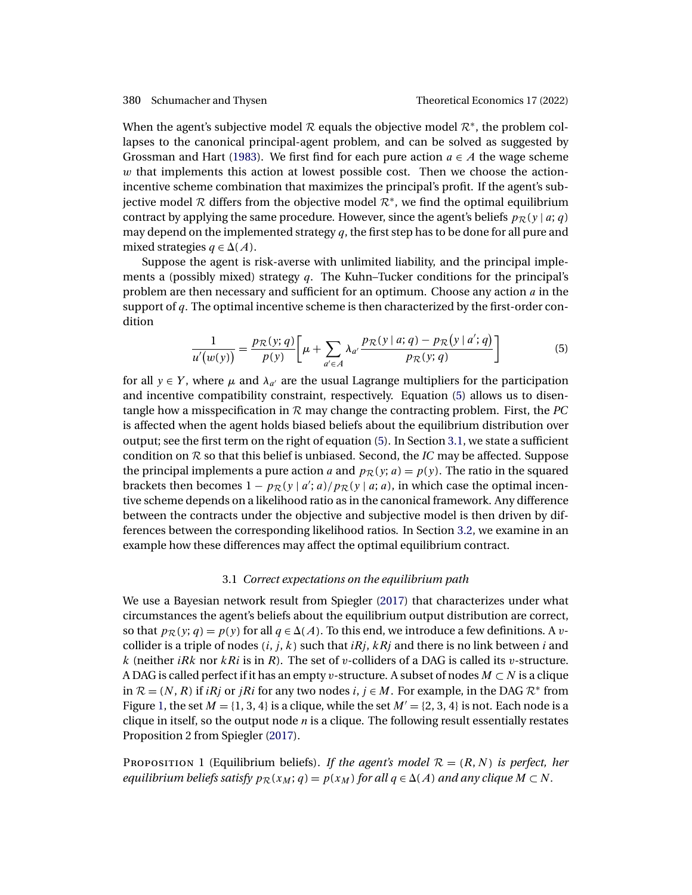<span id="page-9-0"></span>When the agent's subjective model  $\mathcal R$  equals the objective model  $\mathcal R^*$ , the problem collapses to the canonical principal-agent problem, and can be solved as suggested by Grossman and Hart [\(1983\)](#page-41-0). We first find for each pure action  $a \in A$  the wage scheme  $w$  that implements this action at lowest possible cost. Then we choose the actionincentive scheme combination that maximizes the principal's profit. If the agent's subjective model R differs from the objective model  $\mathcal{R}^*$ , we find the optimal equilibrium contract by applying the same procedure. However, since the agent's beliefs  $p_{\mathcal{R}}(y | a; q)$ may depend on the implemented strategy  $q$ , the first step has to be done for all pure and mixed strategies  $q \in \Delta(A)$ .

Suppose the agent is risk-averse with unlimited liability, and the principal implements a (possibly mixed) strategy  $q$ . The Kuhn–Tucker conditions for the principal's problem are then necessary and sufficient for an optimum. Choose any action  $a$  in the support of  $q$ . The optimal incentive scheme is then characterized by the first-order condition

$$
\frac{1}{u'(w(y))} = \frac{p_{\mathcal{R}}(y;q)}{p(y)} \bigg[ \mu + \sum_{a' \in A} \lambda_{a'} \frac{p_{\mathcal{R}}(y|a;q) - p_{\mathcal{R}}(y|a';q)}{p_{\mathcal{R}}(y;q)} \bigg] \tag{5}
$$

for all  $y \in Y$ , where  $\mu$  and  $\lambda_{a'}$  are the usual Lagrange multipliers for the participation and incentive compatibility constraint, respectively. Equation (5) allows us to disentangle how a misspecification in  $R$  may change the contracting problem. First, the  $PC$ is affected when the agent holds biased beliefs about the equilibrium distribution over output; see the first term on the right of equation (5). In Section 3.1, we state a sufficient condition on  $R$  so that this belief is unbiased. Second, the *IC* may be affected. Suppose the principal implements a pure action a and  $p_{\mathcal{R}}(y; a) = p(y)$ . The ratio in the squared brackets then becomes  $1 - p_{\mathcal{R}}(y | a'; a) / p_{\mathcal{R}}(y | a; a)$ , in which case the optimal incentive scheme depends on a likelihood ratio as in the canonical framework. Any difference between the contracts under the objective and subjective model is then driven by differences between the corresponding likelihood ratios. In Section [3.2,](#page-10-0) we examine in an example how these differences may affect the optimal equilibrium contract.

# 3.1 *Correct expectations on the equilibrium path*

We use a Bayesian network result from Spiegler [\(2017\)](#page-42-0) that characterizes under what circumstances the agent's beliefs about the equilibrium output distribution are correct, so that  $p_{\mathcal{R}}(y; q) = p(y)$  for all  $q \in \Delta(A)$ . To this end, we introduce a few definitions. A vcollider is a triple of nodes  $(i, j, k)$  such that  $iRj$ ,  $kRj$  and there is no link between i and k (neither *iRk* nor  $kRi$  is in R). The set of v-colliders of a DAG is called its v-structure. A DAG is called perfect if it has an empty v-structure. A subset of nodes  $M \subset N$  is a clique in  $\mathcal{R} = (N, R)$  if  $iRj$  or  $jRi$  for any two nodes  $i, j \in M$ . For example, in the DAG  $\mathcal{R}^*$  from Figure [1,](#page-6-0) the set  $M = \{1, 3, 4\}$  is a clique, while the set  $M' = \{2, 3, 4\}$  is not. Each node is a clique in itself, so the output node  $n$  is a clique. The following result essentially restates Proposition 2 from Spiegler [\(2017\)](#page-42-0).

PROPOSITION 1 (Equilibrium beliefs). *If the agent's model*  $\mathcal{R} = (R, N)$  *is perfect, her equilibrium beliefs satisfy*  $p_{\mathcal{R}}(x_M; q) = p(x_M)$  *for all*  $q \in \Delta(A)$  *and any clique*  $M \subset N$ *.*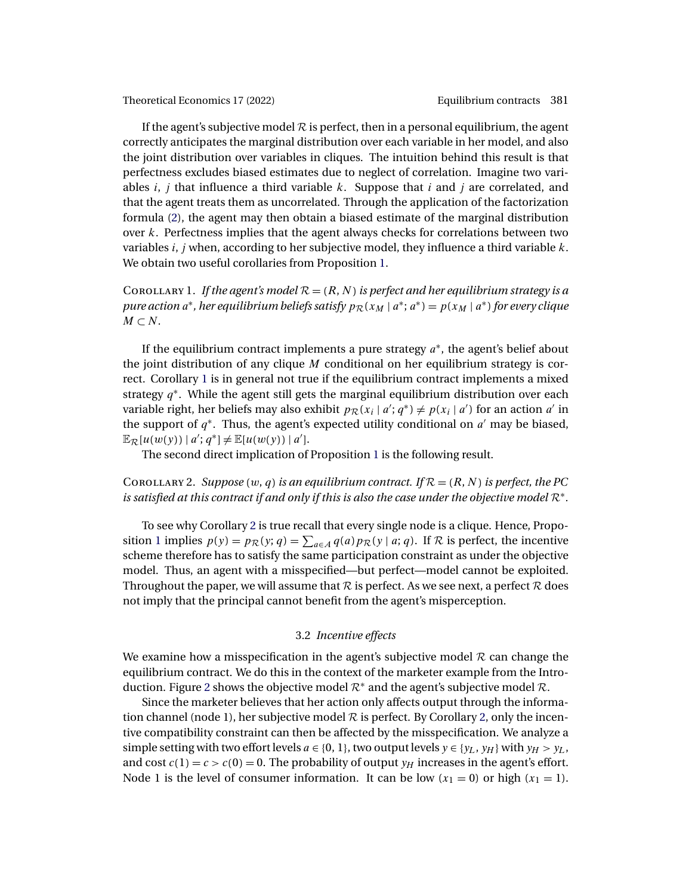<span id="page-10-0"></span>If the agent's subjective model  $R$  is perfect, then in a personal equilibrium, the agent correctly anticipates the marginal distribution over each variable in her model, and also the joint distribution over variables in cliques. The intuition behind this result is that perfectness excludes biased estimates due to neglect of correlation. Imagine two variables i, j that influence a third variable k. Suppose that i and j are correlated, and that the agent treats them as uncorrelated. Through the application of the factorization formula [\(2\)](#page-7-0), the agent may then obtain a biased estimate of the marginal distribution over  $k$ . Perfectness implies that the agent always checks for correlations between two variables  $i$ , j when, according to her subjective model, they influence a third variable  $k$ . We obtain two useful corollaries from Proposition [1.](#page-9-0)

COROLLARY 1. *If the agent's model*  $\mathcal{R} = (R, N)$  *is perfect and her equilibrium strategy is a pure action*  $a^*$ *, her equilibrium beliefs satisfy*  $p_R(x_M | a^*; a^*) = p(x_M | a^*)$  *for every clique*  $M \subset N$ .

If the equilibrium contract implements a pure strategy  $a^*$ , the agent's belief about the joint distribution of any clique  $M$  conditional on her equilibrium strategy is correct. Corollary 1 is in general not true if the equilibrium contract implements a mixed strategy  $q^*$ . While the agent still gets the marginal equilibrium distribution over each variable right, her beliefs may also exhibit  $p_{\mathcal{R}}(x_i | a'; q^*) \neq p(x_i | a')$  for an action  $a'$  in the support of  $q^*$ . Thus, the agent's expected utility conditional on  $a'$  may be biased,  $\mathbb{E}_{\mathcal{R}}[u(w(y)) | a'; q^*] \neq \mathbb{E}[u(w(y)) | a'].$ 

The second direct implication of Proposition [1](#page-9-0) is the following result.

# COROLLARY 2. *Suppose*  $(w, q)$  *is an equilibrium contract.* If  $\mathcal{R} = (R, N)$  *is perfect, the PC is satisfied at this contract if and only if this is also the case under the objective model* R∗*.*

To see why Corollary 2 is true recall that every single node is a clique. Hence, Propo-sition [1](#page-9-0) implies  $p(y) = p_{\mathcal{R}}(y; q) = \sum_{a \in A} q(a) p_{\mathcal{R}}(y | a; q)$ . If  $\mathcal{R}$  is perfect, the incentive scheme therefore has to satisfy the same participation constraint as under the objective model. Thus, an agent with a misspecified—but perfect—model cannot be exploited. Throughout the paper, we will assume that  $R$  is perfect. As we see next, a perfect  $R$  does not imply that the principal cannot benefit from the agent's misperception.

# 3.2 *Incentive effects*

We examine how a misspecification in the agent's subjective model  $R$  can change the equilibrium contract. We do this in the context of the marketer example from the Intro-duction. Figure [2](#page-11-0) shows the objective model  $\mathcal{R}^*$  and the agent's subjective model  $\mathcal{R}$ .

Since the marketer believes that her action only affects output through the information channel (node 1), her subjective model  $R$  is perfect. By Corollary 2, only the incentive compatibility constraint can then be affected by the misspecification. We analyze a simple setting with two effort levels  $a \in \{0, 1\}$ , two output levels  $y \in \{y_L, y_H\}$  with  $y_H > y_L$ , and cost  $c(1) = c > c(0) = 0$ . The probability of output  $y_H$  increases in the agent's effort. Node 1 is the level of consumer information. It can be low  $(x_1 = 0)$  or high  $(x_1 = 1)$ .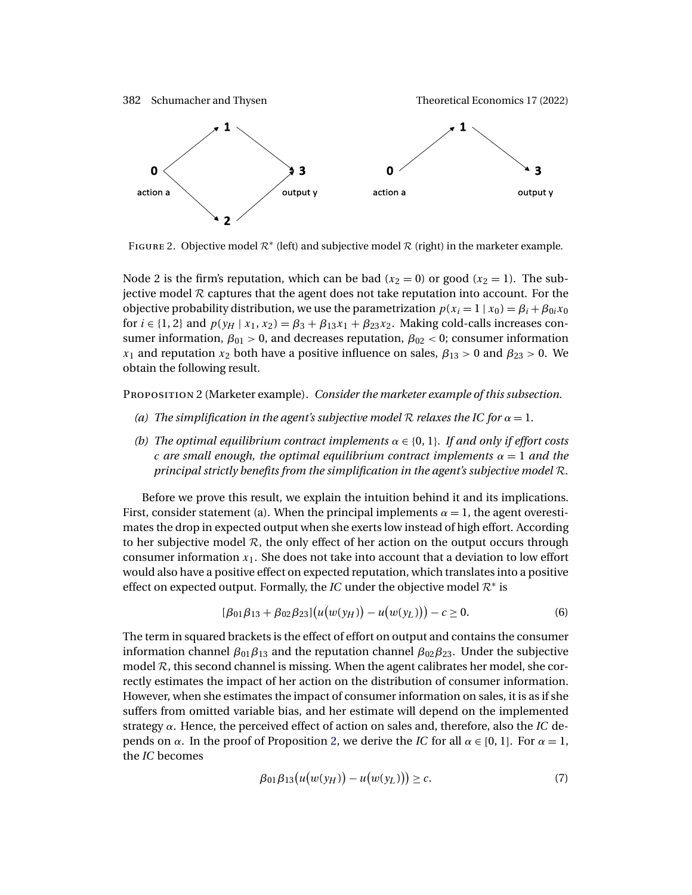<span id="page-11-0"></span>

FIGURE 2. Objective model  $\mathcal{R}^*$  (left) and subjective model  $\mathcal{R}$  (right) in the marketer example.

Node 2 is the firm's reputation, which can be bad  $(x_2 = 0)$  or good  $(x_2 = 1)$ . The subjective model  $R$  captures that the agent does not take reputation into account. For the objective probability distribution, we use the parametrization  $p(x_i = 1 | x_0) = \beta_i + \beta_{0i}x_0$ for  $i \in \{1, 2\}$  and  $p(y_H | x_1, x_2) = \beta_3 + \beta_{13}x_1 + \beta_{23}x_2$ . Making cold-calls increases consumer information,  $\beta_{01} > 0$ , and decreases reputation,  $\beta_{02} < 0$ ; consumer information  $x_1$  and reputation  $x_2$  both have a positive influence on sales,  $\beta_{13} > 0$  and  $\beta_{23} > 0$ . We obtain the following result.

Proposition 2 (Marketer example). *Consider the marketer example of this subsection.*

- *(a)* The simplification in the agent's subjective model R relaxes the IC for  $\alpha = 1$ .
- *(b)* The optimal equilibrium contract implements  $\alpha \in \{0, 1\}$ . If and only if effort costs *c* are small enough, the optimal equilibrium contract implements  $\alpha = 1$  and the *principal strictly benefits from the simplification in the agent's subjective model* R*.*

Before we prove this result, we explain the intuition behind it and its implications. First, consider statement (a). When the principal implements  $\alpha = 1$ , the agent overestimates the drop in expected output when she exerts low instead of high effort. According to her subjective model  $\mathcal{R}$ , the only effect of her action on the output occurs through consumer information  $x_1$ . She does not take into account that a deviation to low effort would also have a positive effect on expected reputation, which translates into a positive effect on expected output. Formally, the *IC* under the objective model  $\mathcal{R}^*$  is

$$
[\beta_{01}\beta_{13} + \beta_{02}\beta_{23}](u(w(y_H)) - u(w(y_L))) - c \ge 0.
$$
 (6)

The term in squared brackets is the effect of effort on output and contains the consumer information channel  $β_{01}β_{13}$  and the reputation channel  $β_{02}β_{23}$ . Under the subjective model  $R$ , this second channel is missing. When the agent calibrates her model, she correctly estimates the impact of her action on the distribution of consumer information. However, when she estimates the impact of consumer information on sales, it is as if she suffers from omitted variable bias, and her estimate will depend on the implemented strategy α. Hence, the perceived effect of action on sales and, therefore, also the *IC* depends on *α*. In the proof of Proposition 2, we derive the *IC* for all  $\alpha \in [0, 1]$ . For  $\alpha = 1$ , the *IC* becomes

$$
\beta_{01}\beta_{13}(u(w(y_H)) - u(w(y_L))) \geq c. \tag{7}
$$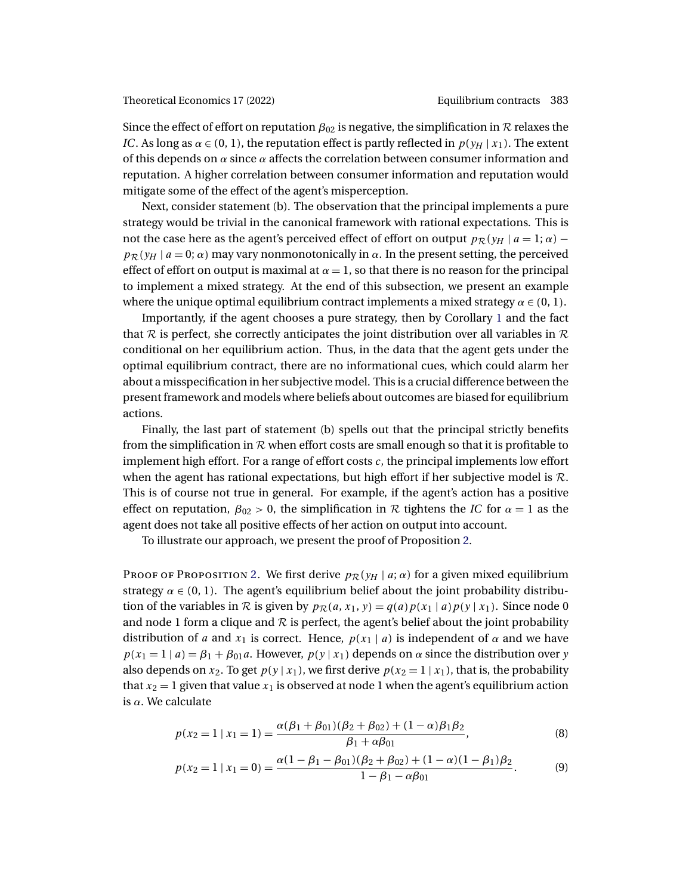Since the effect of effort on reputation  $\beta_{02}$  is negative, the simplification in  $\mathcal R$  relaxes the *IC*. As long as  $\alpha \in (0, 1)$ , the reputation effect is partly reflected in  $p(y_H | x_1)$ . The extent of this depends on  $\alpha$  since  $\alpha$  affects the correlation between consumer information and reputation. A higher correlation between consumer information and reputation would mitigate some of the effect of the agent's misperception.

Next, consider statement (b). The observation that the principal implements a pure strategy would be trivial in the canonical framework with rational expectations. This is not the case here as the agent's perceived effect of effort on output  $p_{\mathcal{R}}(y_H | a = 1; \alpha)$  –  $p_{\mathcal{R}}(y_H | a = 0; \alpha)$  may vary nonmonotonically in  $\alpha$ . In the present setting, the perceived effect of effort on output is maximal at  $\alpha = 1$ , so that there is no reason for the principal to implement a mixed strategy. At the end of this subsection, we present an example where the unique optimal equilibrium contract implements a mixed strategy  $\alpha \in (0, 1)$ .

Importantly, if the agent chooses a pure strategy, then by Corollary [1](#page-10-0) and the fact that R is perfect, she correctly anticipates the joint distribution over all variables in R conditional on her equilibrium action. Thus, in the data that the agent gets under the optimal equilibrium contract, there are no informational cues, which could alarm her about a misspecification in her subjective model. This is a crucial difference between the present framework and models where beliefs about outcomes are biased for equilibrium actions.

Finally, the last part of statement (b) spells out that the principal strictly benefits from the simplification in  $R$  when effort costs are small enough so that it is profitable to implement high effort. For a range of effort costs  $c$ , the principal implements low effort when the agent has rational expectations, but high effort if her subjective model is  $\mathcal{R}$ . This is of course not true in general. For example, if the agent's action has a positive effect on reputation,  $\beta_{02} > 0$ , the simplification in  $R$  tightens the *IC* for  $\alpha = 1$  as the agent does not take all positive effects of her action on output into account.

To illustrate our approach, we present the proof of Proposition [2.](#page-11-0)

Proof of Proposition [2.](#page-11-0) We first derive  $p_{\mathcal{R}}(y_H | a; \alpha)$  for a given mixed equilibrium strategy  $\alpha \in (0, 1)$ . The agent's equilibrium belief about the joint probability distribution of the variables in R is given by  $p_{\mathcal{R}}(a, x_1, y) = q(a)p(x_1 | a)p(y | x_1)$ . Since node 0 and node 1 form a clique and  $R$  is perfect, the agent's belief about the joint probability distribution of a and  $x_1$  is correct. Hence,  $p(x_1 | a)$  is independent of  $\alpha$  and we have  $p(x_1 = 1 | a) = \beta_1 + \beta_{01}a$ . However,  $p(y | x_1)$  depends on  $\alpha$  since the distribution over y also depends on  $x_2$ . To get  $p(y | x_1)$ , we first derive  $p(x_2 = 1 | x_1)$ , that is, the probability that  $x_2 = 1$  given that value  $x_1$  is observed at node 1 when the agent's equilibrium action is  $α$ . We calculate

$$
p(x_2 = 1 | x_1 = 1) = \frac{\alpha(\beta_1 + \beta_{01})(\beta_2 + \beta_{02}) + (1 - \alpha)\beta_1\beta_2}{\beta_1 + \alpha\beta_{01}},
$$
\n(8)

$$
p(x_2 = 1 | x_1 = 0) = \frac{\alpha (1 - \beta_1 - \beta_{01})(\beta_2 + \beta_{02}) + (1 - \alpha)(1 - \beta_1)\beta_2}{1 - \beta_1 - \alpha\beta_{01}}.
$$
 (9)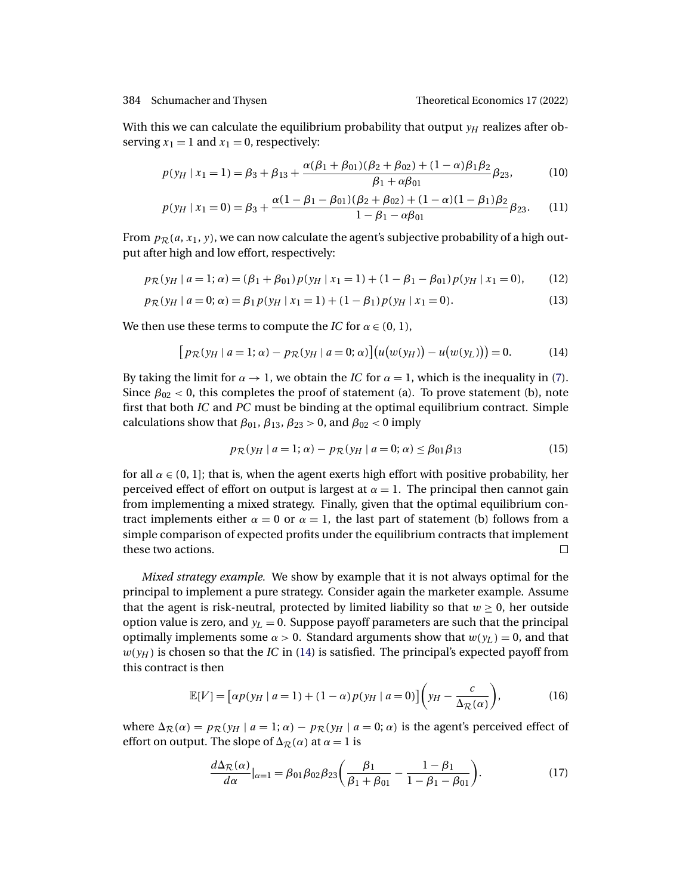<span id="page-13-0"></span>With this we can calculate the equilibrium probability that output  $y_H$  realizes after observing  $x_1 = 1$  and  $x_1 = 0$ , respectively:

$$
p(y_H \mid x_1 = 1) = \beta_3 + \beta_{13} + \frac{\alpha(\beta_1 + \beta_{01})(\beta_2 + \beta_{02}) + (1 - \alpha)\beta_1\beta_2}{\beta_1 + \alpha\beta_{01}} \beta_{23},
$$
(10)

$$
p(y_H \mid x_1 = 0) = \beta_3 + \frac{\alpha (1 - \beta_1 - \beta_{01})(\beta_2 + \beta_{02}) + (1 - \alpha)(1 - \beta_1)\beta_2}{1 - \beta_1 - \alpha\beta_{01}} \beta_{23}.
$$
 (11)

From  $p_{\mathcal{R}}(a, x_1, y)$ , we can now calculate the agent's subjective probability of a high output after high and low effort, respectively:

$$
p_{\mathcal{R}}(y_H \mid a=1; \alpha) = (\beta_1 + \beta_{01}) p(y_H \mid x_1 = 1) + (1 - \beta_1 - \beta_{01}) p(y_H \mid x_1 = 0), \qquad (12)
$$

$$
p_{\mathcal{R}}(y_H \mid a = 0; \alpha) = \beta_1 p(y_H \mid x_1 = 1) + (1 - \beta_1) p(y_H \mid x_1 = 0). \tag{13}
$$

We then use these terms to compute the *IC* for  $\alpha \in (0, 1)$ ,

$$
[p_{\mathcal{R}}(y_H \mid a=1; \alpha) - p_{\mathcal{R}}(y_H \mid a=0; \alpha)](u(w(y_H)) - u(w(y_L))) = 0.
$$
 (14)

By taking the limit for  $\alpha \rightarrow 1$ , we obtain the *IC* for  $\alpha = 1$ , which is the inequality in [\(7\)](#page-11-0). Since  $\beta_{02}$  < 0, this completes the proof of statement (a). To prove statement (b), note first that both *IC* and *PC* must be binding at the optimal equilibrium contract. Simple calculations show that  $\beta_{01}$ ,  $\beta_{13}$ ,  $\beta_{23} > 0$ , and  $\beta_{02} < 0$  imply

$$
p_{\mathcal{R}}(y_H \mid a=1; \alpha) - p_{\mathcal{R}}(y_H \mid a=0; \alpha) \leq \beta_{01} \beta_{13} \tag{15}
$$

for all  $\alpha \in (0, 1]$ ; that is, when the agent exerts high effort with positive probability, her perceived effect of effort on output is largest at  $\alpha = 1$ . The principal then cannot gain from implementing a mixed strategy. Finally, given that the optimal equilibrium contract implements either  $\alpha = 0$  or  $\alpha = 1$ , the last part of statement (b) follows from a simple comparison of expected profits under the equilibrium contracts that implement these two actions.  $\Box$ 

*Mixed strategy example.* We show by example that it is not always optimal for the principal to implement a pure strategy. Consider again the marketer example. Assume that the agent is risk-neutral, protected by limited liability so that  $w \ge 0$ , her outside option value is zero, and  $y_L = 0$ . Suppose payoff parameters are such that the principal optimally implements some  $\alpha > 0$ . Standard arguments show that  $w(y_L) = 0$ , and that  $w(y_H)$  is chosen so that the *IC* in (14) is satisfied. The principal's expected payoff from this contract is then

$$
\mathbb{E}[V] = \left[ \alpha p(y_H \mid a = 1) + (1 - \alpha) p(y_H \mid a = 0) \right] \left( y_H - \frac{c}{\Delta_{\mathcal{R}}(\alpha)} \right),\tag{16}
$$

where  $\Delta_{\mathcal{R}}(\alpha) = p_{\mathcal{R}}(y_H \mid a = 1; \alpha) - p_{\mathcal{R}}(y_H \mid a = 0; \alpha)$  is the agent's perceived effect of effort on output. The slope of  $\Delta_{\mathcal{R}}(\alpha)$  at  $\alpha = 1$  is

$$
\frac{d\Delta_{\mathcal{R}}(\alpha)}{d\alpha}|_{\alpha=1} = \beta_{01}\beta_{02}\beta_{23}\bigg(\frac{\beta_1}{\beta_1 + \beta_{01}} - \frac{1-\beta_1}{1-\beta_1 - \beta_{01}}\bigg). \tag{17}
$$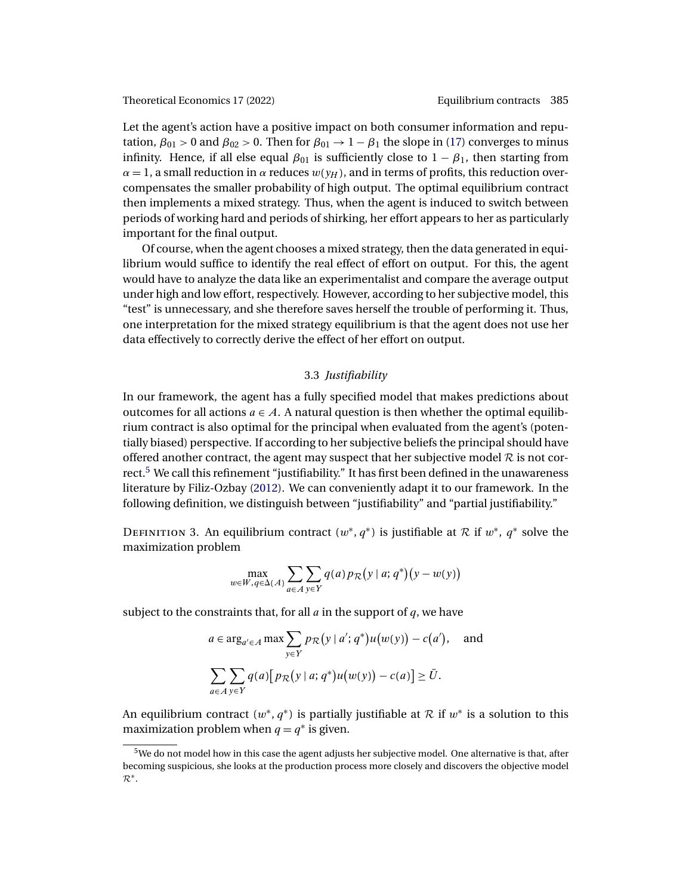<span id="page-14-0"></span>Let the agent's action have a positive impact on both consumer information and reputation,  $\beta_{01} > 0$  and  $\beta_{02} > 0$ . Then for  $\beta_{01} \rightarrow 1 - \beta_1$  the slope in [\(17\)](#page-13-0) converges to minus infinity. Hence, if all else equal  $\beta_{01}$  is sufficiently close to  $1 - \beta_{1}$ , then starting from  $\alpha = 1$ , a small reduction in  $\alpha$  reduces  $w(y_H)$ , and in terms of profits, this reduction overcompensates the smaller probability of high output. The optimal equilibrium contract then implements a mixed strategy. Thus, when the agent is induced to switch between periods of working hard and periods of shirking, her effort appears to her as particularly important for the final output.

Of course, when the agent chooses a mixed strategy, then the data generated in equilibrium would suffice to identify the real effect of effort on output. For this, the agent would have to analyze the data like an experimentalist and compare the average output under high and low effort, respectively. However, according to her subjective model, this "test" is unnecessary, and she therefore saves herself the trouble of performing it. Thus, one interpretation for the mixed strategy equilibrium is that the agent does not use her data effectively to correctly derive the effect of her effort on output.

# 3.3 *Justifiability*

In our framework, the agent has a fully specified model that makes predictions about outcomes for all actions  $a \in A$ . A natural question is then whether the optimal equilibrium contract is also optimal for the principal when evaluated from the agent's (potentially biased) perspective. If according to her subjective beliefs the principal should have offered another contract, the agent may suspect that her subjective model  $R$  is not correct.<sup>5</sup> We call this refinement "justifiability." It has first been defined in the unawareness literature by Filiz-Ozbay [\(2012\)](#page-41-0). We can conveniently adapt it to our framework. In the following definition, we distinguish between "justifiability" and "partial justifiability."

DEFINITION 3. An equilibrium contract  $(w^*, q^*)$  is justifiable at R if  $w^*, q^*$  solve the maximization problem

$$
\max_{w \in W, q \in \Delta(A)} \sum_{a \in A} \sum_{y \in Y} q(a) p_{\mathcal{R}}(y \mid a; q^*)(y - w(y))
$$

subject to the constraints that, for all  $a$  in the support of  $q$ , we have

$$
a \in \arg_{a' \in A} \max \sum_{y \in Y} p_{\mathcal{R}}(y \mid a'; q^*) u(w(y)) - c(a'), \text{ and}
$$

$$
\sum_{a \in A} \sum_{y \in Y} q(a) [p_{\mathcal{R}}(y \mid a; q^*) u(w(y)) - c(a)] \ge \overline{U}.
$$

An equilibrium contract  $(w^*, q^*)$  is partially justifiable at  $\mathcal R$  if  $w^*$  is a solution to this maximization problem when  $q = q^*$  is given.

<sup>5</sup>We do not model how in this case the agent adjusts her subjective model. One alternative is that, after becoming suspicious, she looks at the production process more closely and discovers the objective model  $\mathcal{R}^*$ .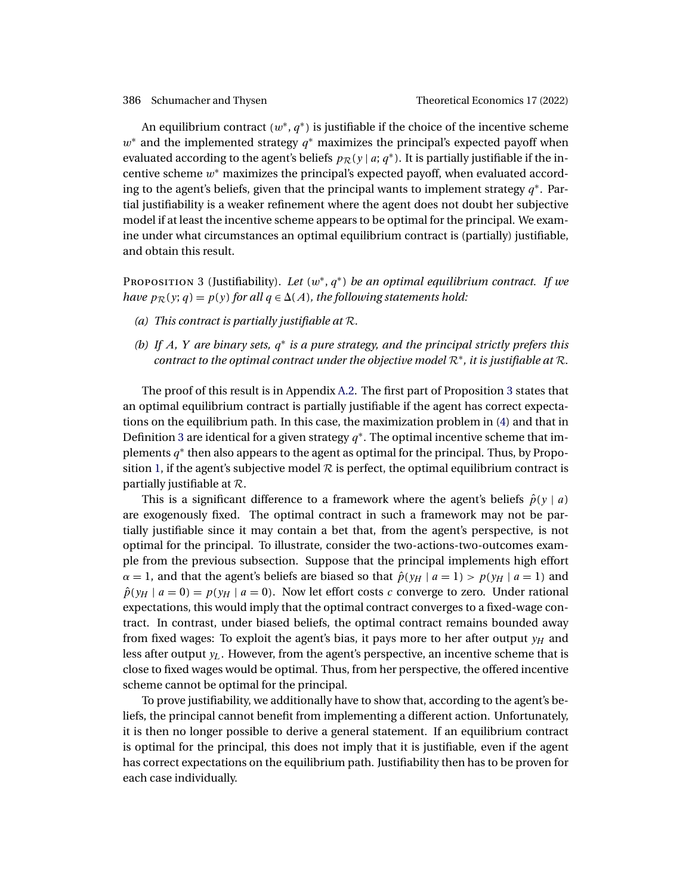<span id="page-15-0"></span>An equilibrium contract  $(w^*, q^*)$  is justifiable if the choice of the incentive scheme  $w^*$  and the implemented strategy  $q^*$  maximizes the principal's expected payoff when evaluated according to the agent's beliefs  $p_{\mathcal{R}}(y | a; q^*)$ . It is partially justifiable if the incentive scheme w\* maximizes the principal's expected payoff, when evaluated according to the agent's beliefs, given that the principal wants to implement strategy  $q^*$ . Partial justifiability is a weaker refinement where the agent does not doubt her subjective model if at least the incentive scheme appears to be optimal for the principal. We examine under what circumstances an optimal equilibrium contract is (partially) justifiable, and obtain this result.

Proposition 3 (Justifiability). *Let* (w∗, q<sup>∗</sup> ) *be an optimal equilibrium contract. If we have*  $p_{\mathcal{R}}(y; q) = p(y)$  for all  $q \in \Delta(A)$ , the following statements hold:

- *(a) This contract is partially justifiable at* R*.*
- *(b) If* A*,* Y *are binary sets,* q∗ *is a pure strategy, and the principal strictly prefers this contract to the optimal contract under the objective model* R∗*, it is justifiable at* R*.*

The proof of this result is in Appendix [A.2.](#page-27-0) The first part of Proposition 3 states that an optimal equilibrium contract is partially justifiable if the agent has correct expectations on the equilibrium path. In this case, the maximization problem in [\(4\)](#page-8-0) and that in Definition [3](#page-14-0) are identical for a given strategy  $q^*$ . The optimal incentive scheme that implements  $q^*$  then also appears to the agent as optimal for the principal. Thus, by Propo-sition [1,](#page-9-0) if the agent's subjective model  $\mathcal R$  is perfect, the optimal equilibrium contract is partially justifiable at R.

This is a significant difference to a framework where the agent's beliefs  $\hat{p}(y | a)$ are exogenously fixed. The optimal contract in such a framework may not be partially justifiable since it may contain a bet that, from the agent's perspective, is not optimal for the principal. To illustrate, consider the two-actions-two-outcomes example from the previous subsection. Suppose that the principal implements high effort  $\alpha = 1$ , and that the agent's beliefs are biased so that  $\hat{p}(y_H | a = 1) > p(y_H | a = 1)$  and  $\hat{p}(y_H | a = 0) = p(y_H | a = 0)$ . Now let effort costs c converge to zero. Under rational expectations, this would imply that the optimal contract converges to a fixed-wage contract. In contrast, under biased beliefs, the optimal contract remains bounded away from fixed wages: To exploit the agent's bias, it pays more to her after output  $y_H$  and less after output  $y_L$ . However, from the agent's perspective, an incentive scheme that is close to fixed wages would be optimal. Thus, from her perspective, the offered incentive scheme cannot be optimal for the principal.

To prove justifiability, we additionally have to show that, according to the agent's beliefs, the principal cannot benefit from implementing a different action. Unfortunately, it is then no longer possible to derive a general statement. If an equilibrium contract is optimal for the principal, this does not imply that it is justifiable, even if the agent has correct expectations on the equilibrium path. Justifiability then has to be proven for each case individually.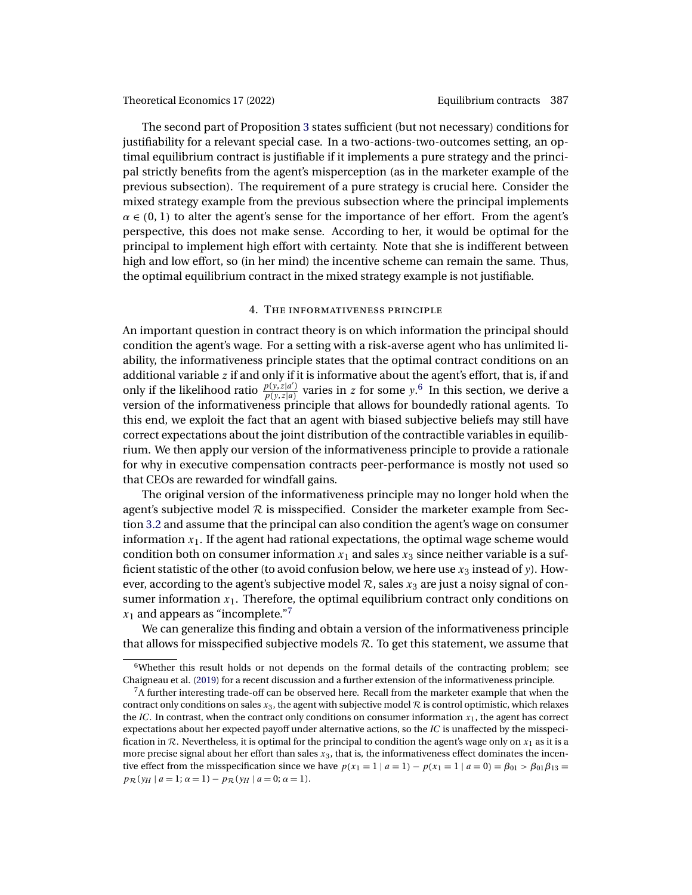<span id="page-16-0"></span>The second part of Proposition [3](#page-15-0) states sufficient (but not necessary) conditions for justifiability for a relevant special case. In a two-actions-two-outcomes setting, an optimal equilibrium contract is justifiable if it implements a pure strategy and the principal strictly benefits from the agent's misperception (as in the marketer example of the previous subsection). The requirement of a pure strategy is crucial here. Consider the mixed strategy example from the previous subsection where the principal implements  $\alpha \in (0, 1)$  to alter the agent's sense for the importance of her effort. From the agent's perspective, this does not make sense. According to her, it would be optimal for the principal to implement high effort with certainty. Note that she is indifferent between high and low effort, so (in her mind) the incentive scheme can remain the same. Thus, the optimal equilibrium contract in the mixed strategy example is not justifiable.

# 4. The informativeness principle

An important question in contract theory is on which information the principal should condition the agent's wage. For a setting with a risk-averse agent who has unlimited liability, the informativeness principle states that the optimal contract conditions on an additional variable  $z$  if and only if it is informative about the agent's effort, that is, if and only if the likelihood ratio  $\frac{p(y, z|a')}{p(y, z|a)}$  varies in z for some y.<sup>6</sup> In this section, we derive a version of the informativeness principle that allows for boundedly rational agents. To this end, we exploit the fact that an agent with biased subjective beliefs may still have correct expectations about the joint distribution of the contractible variables in equilibrium. We then apply our version of the informativeness principle to provide a rationale for why in executive compensation contracts peer-performance is mostly not used so that CEOs are rewarded for windfall gains.

The original version of the informativeness principle may no longer hold when the agent's subjective model  $R$  is misspecified. Consider the marketer example from Section [3.2](#page-10-0) and assume that the principal can also condition the agent's wage on consumer information  $x_1$ . If the agent had rational expectations, the optimal wage scheme would condition both on consumer information  $x_1$  and sales  $x_3$  since neither variable is a sufficient statistic of the other (to avoid confusion below, we here use  $x_3$  instead of y). However, according to the agent's subjective model  $\mathcal{R}$ , sales  $x_3$  are just a noisy signal of consumer information  $x_1$ . Therefore, the optimal equilibrium contract only conditions on  $x_1$  and appears as "incomplete."?

We can generalize this finding and obtain a version of the informativeness principle that allows for misspecified subjective models  $R$ . To get this statement, we assume that

 $6$ Whether this result holds or not depends on the formal details of the contracting problem; see Chaigneau et al. [\(2019\)](#page-41-0) for a recent discussion and a further extension of the informativeness principle.

 ${}^{7}$ A further interesting trade-off can be observed here. Recall from the marketer example that when the contract only conditions on sales  $x_3$ , the agent with subjective model  $R$  is control optimistic, which relaxes the *IC*. In contrast, when the contract only conditions on consumer information  $x_1$ , the agent has correct expectations about her expected payoff under alternative actions, so the *IC* is unaffected by the misspecification in  $\mathcal R$ . Nevertheless, it is optimal for the principal to condition the agent's wage only on  $x_1$  as it is a more precise signal about her effort than sales  $x_3$ , that is, the informativeness effect dominates the incentive effect from the misspecification since we have  $p(x_1 = 1 | a = 1) - p(x_1 = 1 | a = 0) = \beta_{01} > \beta_{01}\beta_{13} =$  $p_{\mathcal{R}}(y_H \mid a = 1; \alpha = 1) - p_{\mathcal{R}}(y_H \mid a = 0; \alpha = 1).$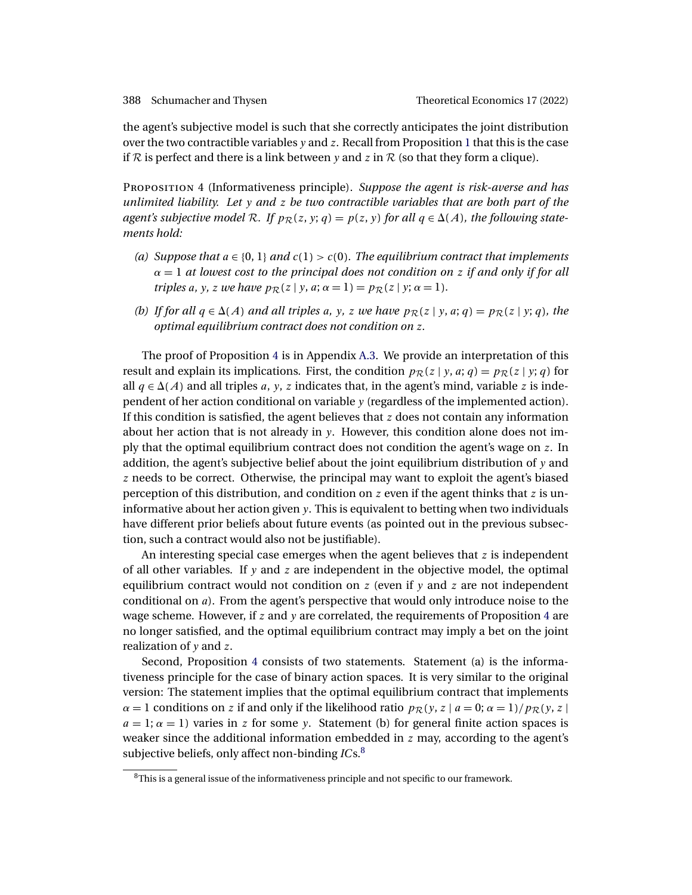<span id="page-17-0"></span>the agent's subjective model is such that she correctly anticipates the joint distribution over the two contractible variables  $y$  and  $z$ . Recall from Proposition [1](#page-9-0) that this is the case if R is perfect and there is a link between y and z in R (so that they form a clique).

Proposition 4 (Informativeness principle). *Suppose the agent is risk-averse and has unlimited liability. Let* y *and* z *be two contractible variables that are both part of the*  $a$ gent's subjective model  $R$ . If  $p_{\mathcal{R}}(z, y; q) = p(z, y)$  for all  $q \in \Delta(A)$ , the following state*ments hold:*

- (a) Suppose that  $a \in \{0, 1\}$  and  $c(1) > c(0)$ . The equilibrium contract that implements α = 1 *at lowest cost to the principal does not condition on* z *if and only if for all triples* a, y, z we have  $p_{\mathcal{R}}(z | y, a; \alpha = 1) = p_{\mathcal{R}}(z | y; \alpha = 1)$ .
- *(b)* If for all  $q \in \Delta(A)$  and all triples a, y, z we have  $p_{\mathcal{R}}(z \mid y, a; q) = p_{\mathcal{R}}(z \mid y; q)$ , the *optimal equilibrium contract does not condition on* z*.*

The proof of Proposition 4 is in Appendix [A.3.](#page-28-0) We provide an interpretation of this result and explain its implications. First, the condition  $p_{\mathcal{R}}(z | y, a; q) = p_{\mathcal{R}}(z | y; q)$  for all  $q \in \Delta(A)$  and all triples a, y, z indicates that, in the agent's mind, variable z is independent of her action conditional on variable y (regardless of the implemented action). If this condition is satisfied, the agent believes that  $z$  does not contain any information about her action that is not already in y. However, this condition alone does not imply that the optimal equilibrium contract does not condition the agent's wage on z. In addition, the agent's subjective belief about the joint equilibrium distribution of  $y$  and z needs to be correct. Otherwise, the principal may want to exploit the agent's biased perception of this distribution, and condition on z even if the agent thinks that z is uninformative about her action given y. This is equivalent to betting when two individuals have different prior beliefs about future events (as pointed out in the previous subsection, such a contract would also not be justifiable).

An interesting special case emerges when the agent believes that  $z$  is independent of all other variables. If  $y$  and  $z$  are independent in the objective model, the optimal equilibrium contract would not condition on z (even if  $y$  and z are not independent conditional on a). From the agent's perspective that would only introduce noise to the wage scheme. However, if  $z$  and  $y$  are correlated, the requirements of Proposition 4 are no longer satisfied, and the optimal equilibrium contract may imply a bet on the joint realization of y and z.

Second, Proposition 4 consists of two statements. Statement (a) is the informativeness principle for the case of binary action spaces. It is very similar to the original version: The statement implies that the optimal equilibrium contract that implements  $\alpha = 1$  conditions on z if and only if the likelihood ratio  $p_{\mathcal{R}}(y, z \mid a = 0; \alpha = 1) / p_{\mathcal{R}}(y, z \mid a = 0)$  $a = 1$ ;  $\alpha = 1$ ) varies in z for some y. Statement (b) for general finite action spaces is weaker since the additional information embedded in  $z$  may, according to the agent's subjective beliefs, only affect non-binding *IC*s.<sup>8</sup>

 $8$ This is a general issue of the informativeness principle and not specific to our framework.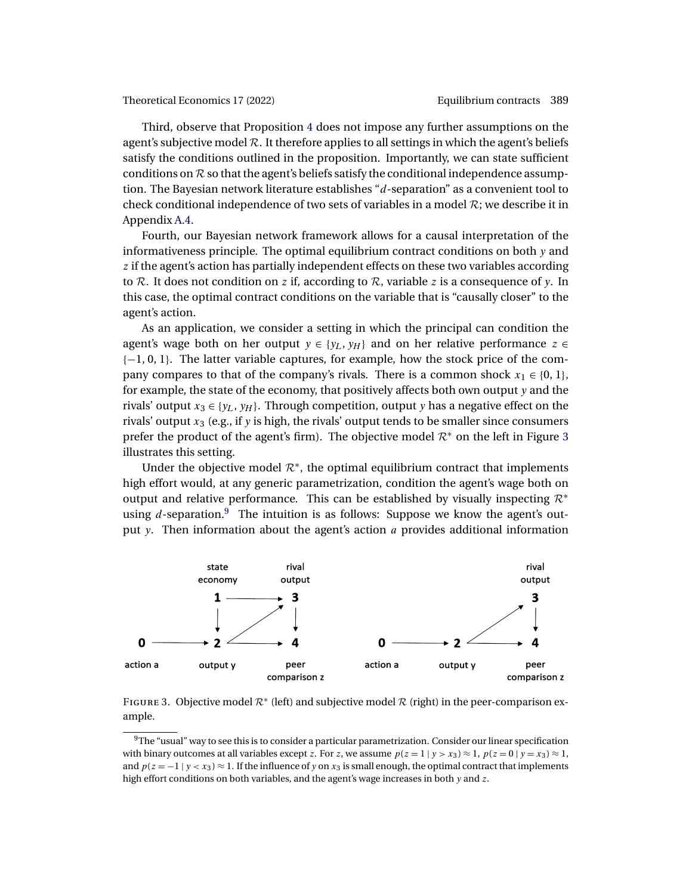<span id="page-18-0"></span>Third, observe that Proposition [4](#page-17-0) does not impose any further assumptions on the agent's subjective model  $R$ . It therefore applies to all settings in which the agent's beliefs satisfy the conditions outlined in the proposition. Importantly, we can state sufficient conditions on  $R$  so that the agent's beliefs satisfy the conditional independence assumption. The Bayesian network literature establishes "d-separation" as a convenient tool to check conditional independence of two sets of variables in a model  $\mathcal{R}$ ; we describe it in Appendix [A.4.](#page-29-0)

Fourth, our Bayesian network framework allows for a causal interpretation of the informativeness principle. The optimal equilibrium contract conditions on both  $y$  and z if the agent's action has partially independent effects on these two variables according to R. It does not condition on z if, according to R, variable z is a consequence of y. In this case, the optimal contract conditions on the variable that is "causally closer" to the agent's action.

As an application, we consider a setting in which the principal can condition the agent's wage both on her output  $y \in \{y_L, y_H\}$  and on her relative performance  $z \in$ {−1, 0, 1}. The latter variable captures, for example, how the stock price of the company compares to that of the company's rivals. There is a common shock  $x_1 \in \{0, 1\}$ , for example, the state of the economy, that positively affects both own output  $y$  and the rivals' output  $x_3 \in \{y_L, y_H\}$ . Through competition, output y has a negative effect on the rivals' output  $x_3$  (e.g., if y is high, the rivals' output tends to be smaller since consumers prefer the product of the agent's firm). The objective model  $\mathcal{R}^*$  on the left in Figure 3 illustrates this setting.

Under the objective model  $\mathcal{R}^*$ , the optimal equilibrium contract that implements high effort would, at any generic parametrization, condition the agent's wage both on output and relative performance. This can be established by visually inspecting  $\mathcal{R}^*$ using  $d$ -separation.<sup>9</sup> The intuition is as follows: Suppose we know the agent's output y. Then information about the agent's action  $a$  provides additional information



FIGURE 3. Objective model  $\mathcal{R}^*$  (left) and subjective model  $\mathcal{R}$  (right) in the peer-comparison example.

 $9$ The "usual" way to see this is to consider a particular parametrization. Consider our linear specification with binary outcomes at all variables except z. For z, we assume  $p(z = 1 | y > x_3) \approx 1$ ,  $p(z = 0 | y = x_3) \approx 1$ , and  $p(z = -1 | y < x_3) \approx 1$ . If the influence of y on  $x_3$  is small enough, the optimal contract that implements high effort conditions on both variables, and the agent's wage increases in both y and z.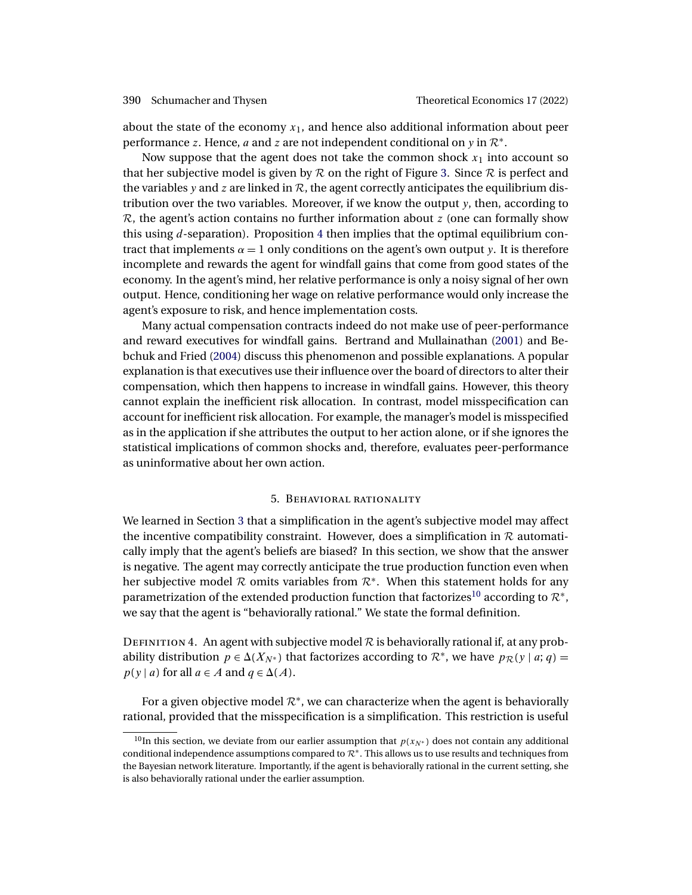<span id="page-19-0"></span>about the state of the economy  $x_1$ , and hence also additional information about peer performance z. Hence, a and z are not independent conditional on y in  $\mathcal{R}^*$ .

Now suppose that the agent does not take the common shock  $x_1$  into account so that her subjective model is given by  $R$  on the right of Figure [3.](#page-18-0) Since  $R$  is perfect and the variables y and z are linked in  $R$ , the agent correctly anticipates the equilibrium distribution over the two variables. Moreover, if we know the output  $y$ , then, according to  $\mathcal{R}$ , the agent's action contains no further information about z (one can formally show this using d-separation). Proposition [4](#page-17-0) then implies that the optimal equilibrium contract that implements  $\alpha = 1$  only conditions on the agent's own output y. It is therefore incomplete and rewards the agent for windfall gains that come from good states of the economy. In the agent's mind, her relative performance is only a noisy signal of her own output. Hence, conditioning her wage on relative performance would only increase the agent's exposure to risk, and hence implementation costs.

Many actual compensation contracts indeed do not make use of peer-performance and reward executives for windfall gains. Bertrand and Mullainathan [\(2001\)](#page-40-0) and Bebchuk and Fried [\(2004\)](#page-40-0) discuss this phenomenon and possible explanations. A popular explanation is that executives use their influence over the board of directors to alter their compensation, which then happens to increase in windfall gains. However, this theory cannot explain the inefficient risk allocation. In contrast, model misspecification can account for inefficient risk allocation. For example, the manager's model is misspecified as in the application if she attributes the output to her action alone, or if she ignores the statistical implications of common shocks and, therefore, evaluates peer-performance as uninformative about her own action.

# 5. Behavioral rationality

We learned in Section [3](#page-8-0) that a simplification in the agent's subjective model may affect the incentive compatibility constraint. However, does a simplification in  $R$  automatically imply that the agent's beliefs are biased? In this section, we show that the answer is negative. The agent may correctly anticipate the true production function even when her subjective model R omits variables from  $\mathcal{R}^*$ . When this statement holds for any parametrization of the extended production function that factorizes<sup>10</sup> according to  $\mathcal{R}^*$ , we say that the agent is "behaviorally rational." We state the formal definition.

DEFINITION 4. An agent with subjective model  $\mathcal R$  is behaviorally rational if, at any probability distribution  $p \in \Delta(X_{N^*})$  that factorizes according to  $\mathcal{R}^*$ , we have  $p_{\mathcal{R}}(y \mid a; q) =$  $p(y | a)$  for all  $a \in A$  and  $q \in \Delta(A)$ .

For a given objective model  $\mathcal{R}^*$ , we can characterize when the agent is behaviorally rational, provided that the misspecification is a simplification. This restriction is useful

<sup>&</sup>lt;sup>10</sup>In this section, we deviate from our earlier assumption that  $p(x_N^*)$  does not contain any additional conditional independence assumptions compared to  $\mathcal{R}^*$ . This allows us to use results and techniques from the Bayesian network literature. Importantly, if the agent is behaviorally rational in the current setting, she is also behaviorally rational under the earlier assumption.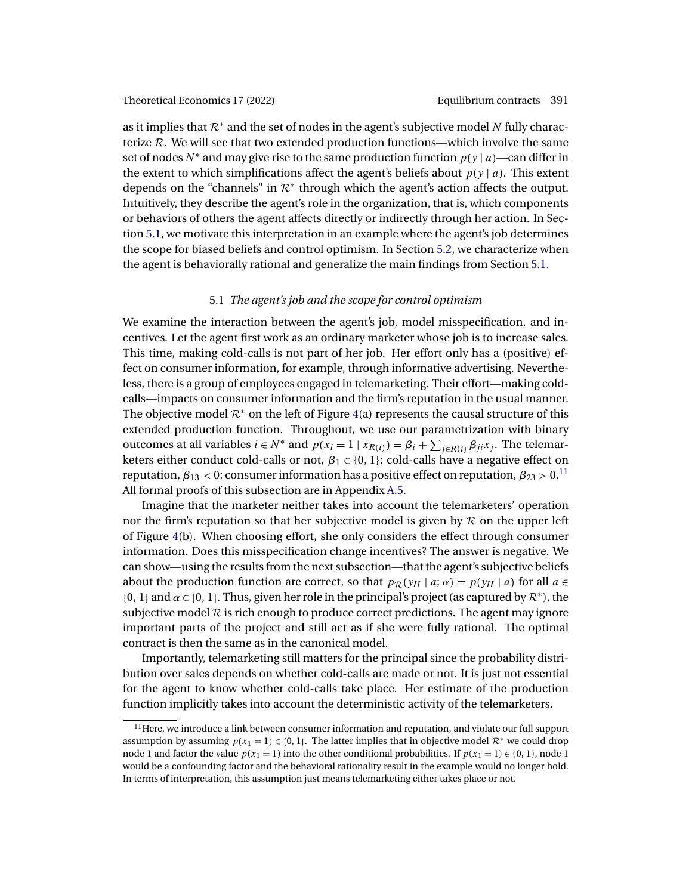<span id="page-20-0"></span>as it implies that  $\mathcal{R}^*$  and the set of nodes in the agent's subjective model N fully characterize  $R$ . We will see that two extended production functions—which involve the same set of nodes  $N^*$  and may give rise to the same production function  $p(y | a)$ —can differ in the extent to which simplifications affect the agent's beliefs about  $p(y | a)$ . This extent depends on the "channels" in  $\mathcal{R}^*$  through which the agent's action affects the output. Intuitively, they describe the agent's role in the organization, that is, which components or behaviors of others the agent affects directly or indirectly through her action. In Section 5.1, we motivate this interpretation in an example where the agent's job determines the scope for biased beliefs and control optimism. In Section [5.2,](#page-23-0) we characterize when the agent is behaviorally rational and generalize the main findings from Section 5.1.

# 5.1 *The agent's job and the scope for control optimism*

We examine the interaction between the agent's job, model misspecification, and incentives. Let the agent first work as an ordinary marketer whose job is to increase sales. This time, making cold-calls is not part of her job. Her effort only has a (positive) effect on consumer information, for example, through informative advertising. Nevertheless, there is a group of employees engaged in telemarketing. Their effort—making coldcalls—impacts on consumer information and the firm's reputation in the usual manner. The objective model  $\mathcal{R}^*$  on the left of Figure [4\(](#page-21-0)a) represents the causal structure of this extended production function. Throughout, we use our parametrization with binary outcomes at all variables  $i \in N^*$  and  $p(x_i = 1 | x_{R(i)}) = \beta_i + \sum_{j \in R(i)} \beta_{ji} x_j$ . The telemarketers either conduct cold-calls or not,  $\beta_1 \in \{0, 1\}$ ; cold-calls have a negative effect on reputation,  $\beta_{13}$  < 0; consumer information has a positive effect on reputation,  $\beta_{23}$  > 0.<sup>11</sup> All formal proofs of this subsection are in Appendix [A.5.](#page-30-0)

Imagine that the marketer neither takes into account the telemarketers' operation nor the firm's reputation so that her subjective model is given by  $R$  on the upper left of Figure [4\(](#page-21-0)b). When choosing effort, she only considers the effect through consumer information. Does this misspecification change incentives? The answer is negative. We can show—using the results from the next subsection—that the agent's subjective beliefs about the production function are correct, so that  $p_{\mathcal{R}}(y_H | a; \alpha) = p(y_H | a)$  for all  $a \in$ {0, 1} and  $\alpha \in [0, 1]$ . Thus, given her role in the principal's project (as captured by  $\mathcal{R}^*$ ), the subjective model  $R$  is rich enough to produce correct predictions. The agent may ignore important parts of the project and still act as if she were fully rational. The optimal contract is then the same as in the canonical model.

Importantly, telemarketing still matters for the principal since the probability distribution over sales depends on whether cold-calls are made or not. It is just not essential for the agent to know whether cold-calls take place. Her estimate of the production function implicitly takes into account the deterministic activity of the telemarketers.

 $11$  Here, we introduce a link between consumer information and reputation, and violate our full support assumption by assuming  $p(x_1 = 1) \in \{0, 1\}$ . The latter implies that in objective model  $\mathcal{R}^*$  we could drop node 1 and factor the value  $p(x_1 = 1)$  into the other conditional probabilities. If  $p(x_1 = 1) \in (0, 1)$ , node 1 would be a confounding factor and the behavioral rationality result in the example would no longer hold. In terms of interpretation, this assumption just means telemarketing either takes place or not.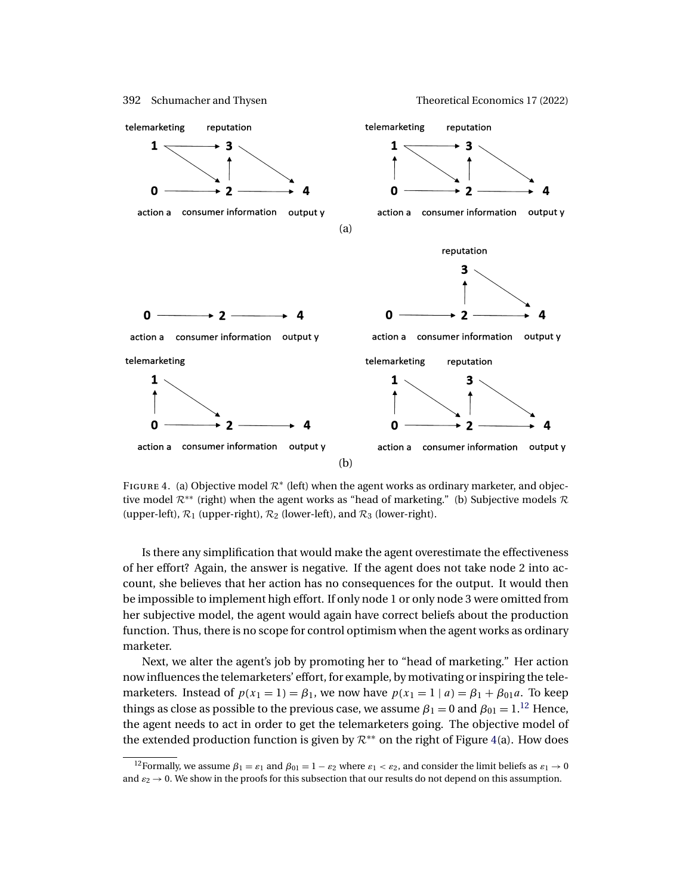<span id="page-21-0"></span>

FIGURE 4. (a) Objective model  $\mathcal{R}^*$  (left) when the agent works as ordinary marketer, and objective model  $\mathcal{R}^{**}$  (right) when the agent works as "head of marketing." (b) Subjective models  $\mathcal{R}$ (upper-left),  $\mathcal{R}_1$  (upper-right),  $\mathcal{R}_2$  (lower-left), and  $\mathcal{R}_3$  (lower-right).

Is there any simplification that would make the agent overestimate the effectiveness of her effort? Again, the answer is negative. If the agent does not take node 2 into account, she believes that her action has no consequences for the output. It would then be impossible to implement high effort. If only node 1 or only node 3 were omitted from her subjective model, the agent would again have correct beliefs about the production function. Thus, there is no scope for control optimism when the agent works as ordinary marketer.

Next, we alter the agent's job by promoting her to "head of marketing." Her action now influences the telemarketers' effort, for example, by motivating or inspiring the telemarketers. Instead of  $p(x_1 = 1) = \beta_1$ , we now have  $p(x_1 = 1 | a) = \beta_1 + \beta_{01} a$ . To keep things as close as possible to the previous case, we assume  $\beta_1 = 0$  and  $\beta_{01} = 1$ .<sup>12</sup> Hence, the agent needs to act in order to get the telemarketers going. The objective model of the extended production function is given by  $\mathcal{R}^{**}$  on the right of Figure 4(a). How does

<sup>&</sup>lt;sup>12</sup>Formally, we assume  $\beta_1 = \varepsilon_1$  and  $\beta_{01} = 1 - \varepsilon_2$  where  $\varepsilon_1 < \varepsilon_2$ , and consider the limit beliefs as  $\varepsilon_1 \to 0$ and  $\varepsilon_2 \to 0$ . We show in the proofs for this subsection that our results do not depend on this assumption.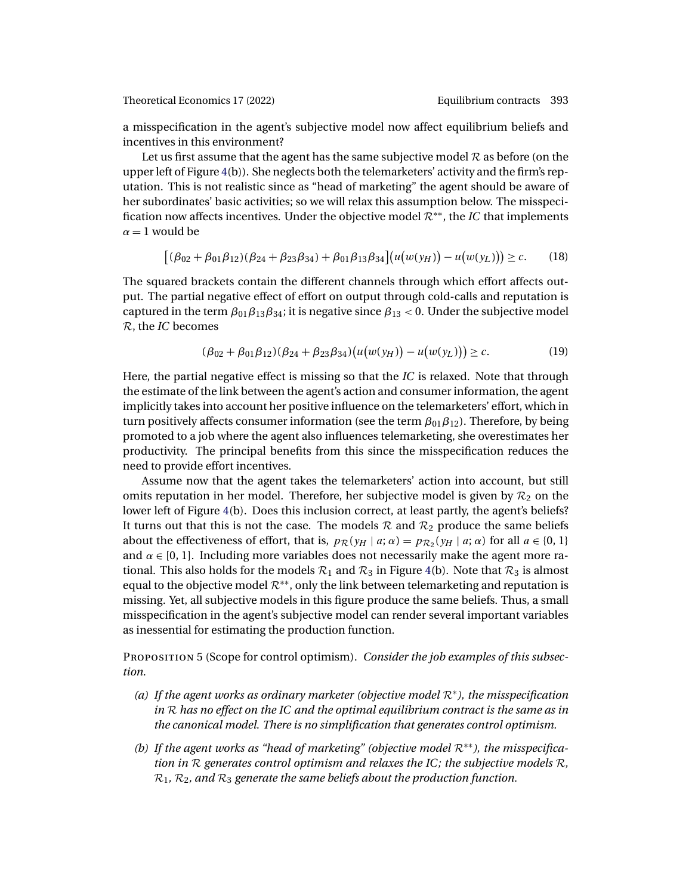<span id="page-22-0"></span>a misspecification in the agent's subjective model now affect equilibrium beliefs and incentives in this environment?

Let us first assume that the agent has the same subjective model  $\mathcal R$  as before (on the upper left of Figure [4\(](#page-21-0)b)). She neglects both the telemarketers' activity and the firm's reputation. This is not realistic since as "head of marketing" the agent should be aware of her subordinates' basic activities; so we will relax this assumption below. The misspecification now affects incentives. Under the objective model R∗∗, the *IC* that implements  $\alpha = 1$  would be

$$
[(\beta_{02} + \beta_{01}\beta_{12})(\beta_{24} + \beta_{23}\beta_{34}) + \beta_{01}\beta_{13}\beta_{34}](u(w(y_H)) - u(w(y_L))) \geq c.
$$
 (18)

The squared brackets contain the different channels through which effort affects output. The partial negative effect of effort on output through cold-calls and reputation is captured in the term  $\beta_{01}\beta_{13}\beta_{34}$ ; it is negative since  $\beta_{13}$  < 0. Under the subjective model R, the *IC* becomes

$$
(\beta_{02} + \beta_{01}\beta_{12})(\beta_{24} + \beta_{23}\beta_{34})\big(u(w(y_H)) - u(w(y_L))\big) \ge c.
$$
 (19)

Here, the partial negative effect is missing so that the *IC* is relaxed. Note that through the estimate of the link between the agent's action and consumer information, the agent implicitly takes into account her positive influence on the telemarketers' effort, which in turn positively affects consumer information (see the term  $\beta_{01}\beta_{12}$ ). Therefore, by being promoted to a job where the agent also influences telemarketing, she overestimates her productivity. The principal benefits from this since the misspecification reduces the need to provide effort incentives.

Assume now that the agent takes the telemarketers' action into account, but still omits reputation in her model. Therefore, her subjective model is given by  $\mathcal{R}_2$  on the lower left of Figure [4\(](#page-21-0)b). Does this inclusion correct, at least partly, the agent's beliefs? It turns out that this is not the case. The models  $\mathcal{R}$  and  $\mathcal{R}_2$  produce the same beliefs about the effectiveness of effort, that is,  $p_{\mathcal{R}}(y_H | a; \alpha) = p_{\mathcal{R}}(y_H | a; \alpha)$  for all  $a \in \{0, 1\}$ and  $\alpha \in [0, 1]$ . Including more variables does not necessarily make the agent more rational. This also holds for the models  $\mathcal{R}_1$  and  $\mathcal{R}_3$  in Figure [4\(](#page-21-0)b). Note that  $\mathcal{R}_3$  is almost equal to the objective model  $\mathcal{R}^{**}$ , only the link between telemarketing and reputation is missing. Yet, all subjective models in this figure produce the same beliefs. Thus, a small misspecification in the agent's subjective model can render several important variables as inessential for estimating the production function.

Proposition 5 (Scope for control optimism). *Consider the job examples of this subsection.*

- *(a) If the agent works as ordinary marketer (objective model* R∗*), the misspecification in* R *has no effect on the IC and the optimal equilibrium contract is the same as in the canonical model. There is no simplification that generates control optimism.*
- *(b) If the agent works as "head of marketing" (objective model* R∗∗*), the misspecification in* R *generates control optimism and relaxes the IC; the subjective models* R*,*  $\mathcal{R}_1$ ,  $\mathcal{R}_2$ , and  $\mathcal{R}_3$  generate the same beliefs about the production function.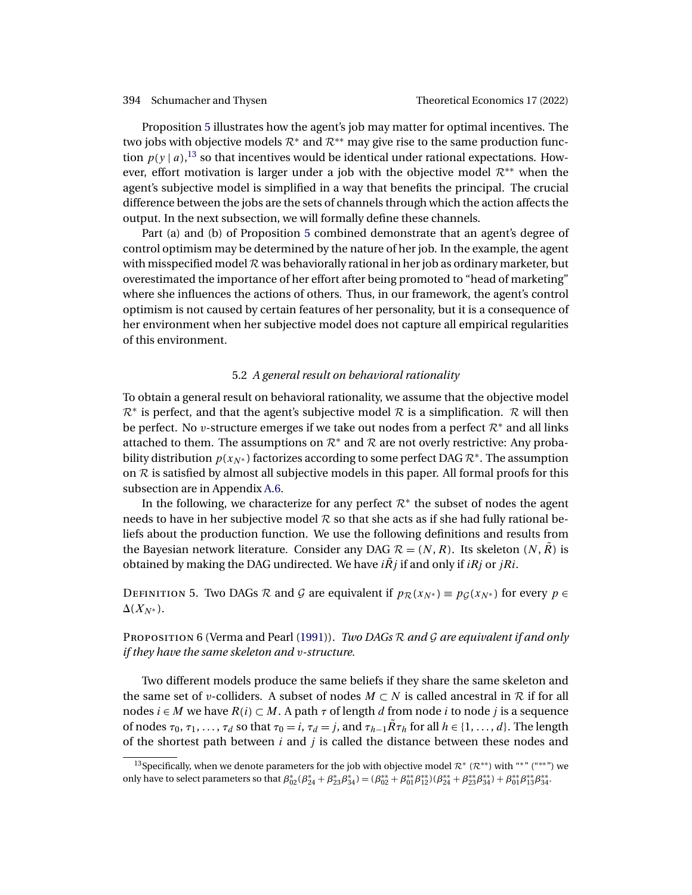<span id="page-23-0"></span>Proposition [5](#page-22-0) illustrates how the agent's job may matter for optimal incentives. The two jobs with objective models  $\mathcal{R}^*$  and  $\mathcal{R}^{**}$  may give rise to the same production function  $p(y | a)$ ,<sup>13</sup> so that incentives would be identical under rational expectations. However, effort motivation is larger under a job with the objective model  $\mathcal{R}^{**}$  when the agent's subjective model is simplified in a way that benefits the principal. The crucial difference between the jobs are the sets of channels through which the action affects the output. In the next subsection, we will formally define these channels.

Part (a) and (b) of Proposition [5](#page-22-0) combined demonstrate that an agent's degree of control optimism may be determined by the nature of her job. In the example, the agent with misspecified model  $\mathcal R$  was behaviorally rational in her job as ordinary marketer, but overestimated the importance of her effort after being promoted to "head of marketing" where she influences the actions of others. Thus, in our framework, the agent's control optimism is not caused by certain features of her personality, but it is a consequence of her environment when her subjective model does not capture all empirical regularities of this environment.

# 5.2 *A general result on behavioral rationality*

To obtain a general result on behavioral rationality, we assume that the objective model  $\mathcal{R}^*$  is perfect, and that the agent's subjective model  $\mathcal R$  is a simplification.  $\mathcal R$  will then be perfect. No v-structure emerges if we take out nodes from a perfect  $\mathcal{R}^*$  and all links attached to them. The assumptions on  $\mathcal{R}^*$  and  $\mathcal{R}$  are not overly restrictive: Any probability distribution  $p(x_{N^*})$  factorizes according to some perfect DAG  $\mathcal{R}^*$ . The assumption on  $R$  is satisfied by almost all subjective models in this paper. All formal proofs for this subsection are in Appendix [A.6.](#page-31-0)

In the following, we characterize for any perfect  $\mathcal{R}^*$  the subset of nodes the agent needs to have in her subjective model  $R$  so that she acts as if she had fully rational beliefs about the production function. We use the following definitions and results from the Bayesian network literature. Consider any DAG  $\mathcal{R} = (N, R)$ . Its skeleton  $(N, R)$  is obtained by making the DAG undirected. We have  $i\tilde{R}j$  if and only if  $iRj$  or  $jRi$ .

DEFINITION 5. Two DAGs R and G are equivalent if  $p_R(x_{N^*}) \equiv p_G(x_{N^*})$  for every  $p \in$  $\Delta(X_{N^*}).$ 

<sup>P</sup>roposition 6 (Verma and Pearl [\(1991\)](#page-43-0)). *Two DAGs* <sup>R</sup> *and* <sup>G</sup> *are equivalent if and only if they have the same skeleton and* v*-structure.*

Two different models produce the same beliefs if they share the same skeleton and the same set of v-colliders. A subset of nodes  $M \subset N$  is called ancestral in R if for all nodes  $i \in M$  we have  $R(i) \subset M$ . A path  $\tau$  of length d from node i to node j is a sequence of nodes  $\tau_0, \tau_1, \ldots, \tau_d$  so that  $\tau_0 = i$ ,  $\tau_d = j$ , and  $\tau_{h-1}R\tau_h$  for all  $h \in \{1, \ldots, d\}$ . The length of the shortest path between  $i$  and  $j$  is called the distance between these nodes and

<sup>&</sup>lt;sup>13</sup>Specifically, when we denote parameters for the job with objective model  $\mathcal{R}^* (\mathcal{R}^{**})$  with "\*" ("\*\*") we only have to select parameters so that  $\beta_{02}^{*}( \beta_{24}^{*}+\beta_{23}^{*}\beta_{34}^{*})=(\beta_{02}^{**}+\beta_{01}^{*}\beta_{12}^{*})(\beta_{24}^{*}+\beta_{23}^{*}\beta_{34}^{*})+\beta_{01}^{*} \beta_{13}^{*}\beta_{34}^{**}.$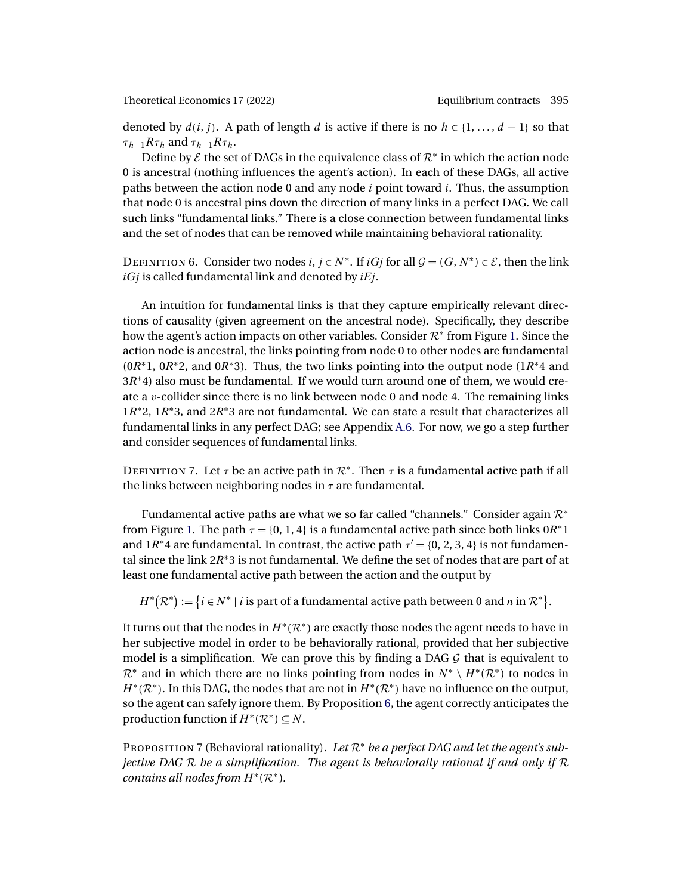<span id="page-24-0"></span>denoted by  $d(i, j)$ . A path of length d is active if there is no  $h \in \{1, ..., d - 1\}$  so that  $\tau_{h-1}R\tau_h$  and  $\tau_{h+1}R\tau_h$ .

Define by  $\mathcal E$  the set of DAGs in the equivalence class of  $\mathcal R^*$  in which the action node 0 is ancestral (nothing influences the agent's action). In each of these DAGs, all active paths between the action node 0 and any node  $i$  point toward  $i$ . Thus, the assumption that node 0 is ancestral pins down the direction of many links in a perfect DAG. We call such links "fundamental links." There is a close connection between fundamental links and the set of nodes that can be removed while maintaining behavioral rationality.

DEFINITION 6. Consider two nodes  $i, j \in N^*$ . If  $iGj$  for all  $\mathcal{G} = (G, N^*) \in \mathcal{E}$ , then the link  $iGj$  is called fundamental link and denoted by  $iEj$ .

An intuition for fundamental links is that they capture empirically relevant directions of causality (given agreement on the ancestral node). Specifically, they describe how the agent's action impacts on other variables. Consider  $\mathcal{R}^*$  from Figure [1.](#page-6-0) Since the action node is ancestral, the links pointing from node 0 to other nodes are fundamental  $(0R<sup>*</sup>1, 0R<sup>*</sup>2, and 0R<sup>*</sup>3).$  Thus, the two links pointing into the output node (1 $R<sup>*</sup>4$  and 3R∗4) also must be fundamental. If we would turn around one of them, we would create a v-collider since there is no link between node 0 and node 4. The remaining links  $1R*2$ ,  $1R*3$ , and  $2R*3$  are not fundamental. We can state a result that characterizes all fundamental links in any perfect DAG; see Appendix [A.6.](#page-31-0) For now, we go a step further and consider sequences of fundamental links.

DEFINITION 7. Let  $\tau$  be an active path in  $\mathcal{R}^*$ . Then  $\tau$  is a fundamental active path if all the links between neighboring nodes in  $\tau$  are fundamental.

Fundamental active paths are what we so far called "channels." Consider again R<sup>∗</sup> from Figure [1.](#page-6-0) The path  $\tau = \{0, 1, 4\}$  is a fundamental active path since both links  $0R^*1$ and  $1R^*4$  are fundamental. In contrast, the active path  $\tau' = \{0, 2, 3, 4\}$  is not fundamental since the link 2R∗3 is not fundamental. We define the set of nodes that are part of at least one fundamental active path between the action and the output by

 $H^*(\mathcal{R}^*) := \bigl\{i \in N^* \mid i \text{ is part of a fundamental active path between 0 and } n \text{ in } \mathcal{R}^* \bigr\}.$ 

It turns out that the nodes in  $H^*(\mathcal{R}^*)$  are exactly those nodes the agent needs to have in her subjective model in order to be behaviorally rational, provided that her subjective model is a simplification. We can prove this by finding a DAG  $G$  that is equivalent to  $\mathcal{R}^*$  and in which there are no links pointing from nodes in  $N^* \setminus H^*(\mathcal{R}^*)$  to nodes in  $H^*(\mathcal{R}^*)$ . In this DAG, the nodes that are not in  $H^*(\mathcal{R}^*)$  have no influence on the output, so the agent can safely ignore them. By Proposition [6,](#page-23-0) the agent correctly anticipates the production function if  $H^*(\mathcal{R}^*) \subset N$ .

<sup>P</sup>roposition 7 (Behavioral rationality). *Let* <sup>R</sup><sup>∗</sup> *be a perfect DAG and let the agent's subjective DAG* R *be a simplification. The agent is behaviorally rational if and only if* R *contains all nodes from*  $H^*(\mathcal{R}^*)$ *.*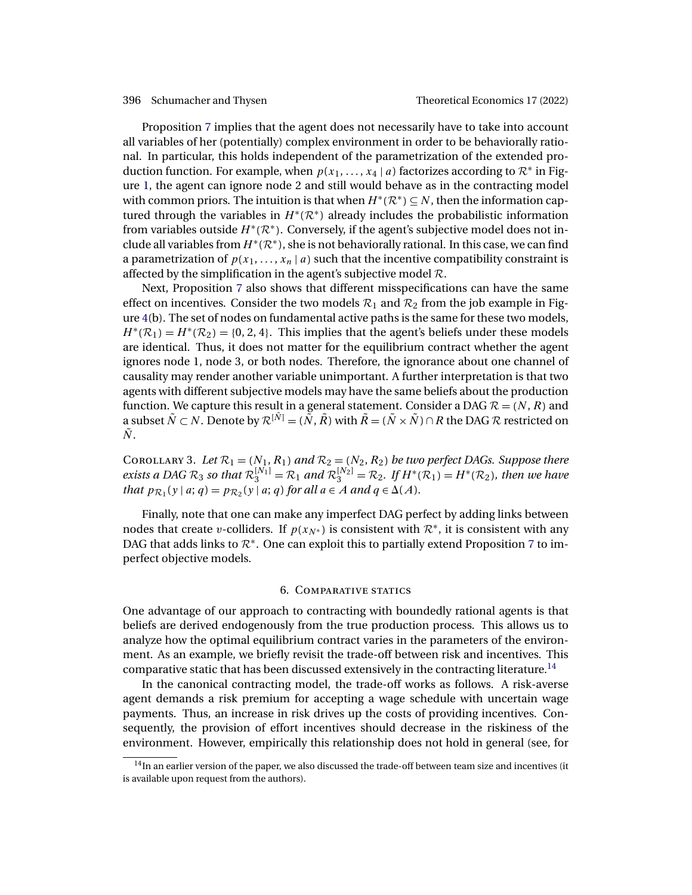<span id="page-25-0"></span>

Proposition [7](#page-24-0) implies that the agent does not necessarily have to take into account all variables of her (potentially) complex environment in order to be behaviorally rational. In particular, this holds independent of the parametrization of the extended production function. For example, when  $p(x_1, \ldots, x_4 | a)$  factorizes according to  $\mathcal{R}^*$  in Figure [1,](#page-6-0) the agent can ignore node 2 and still would behave as in the contracting model with common priors. The intuition is that when  $H^*(\mathcal{R}^*) \subseteq N$ , then the information captured through the variables in  $H^*(\mathcal{R}^*)$  already includes the probabilistic information from variables outside  $H^*(\mathcal{R}^*)$ . Conversely, if the agent's subjective model does not include all variables from  $H^*(\mathcal{R}^*)$ , she is not behaviorally rational. In this case, we can find a parametrization of  $p(x_1, \ldots, x_n | a)$  such that the incentive compatibility constraint is affected by the simplification in the agent's subjective model  $\mathcal{R}$ .

Next, Proposition [7](#page-24-0) also shows that different misspecifications can have the same effect on incentives. Consider the two models  $\mathcal{R}_1$  and  $\mathcal{R}_2$  from the job example in Figure [4\(](#page-21-0)b). The set of nodes on fundamental active paths is the same for these two models,  $H^*(\mathcal{R}_1) = H^*(\mathcal{R}_2) = \{0, 2, 4\}.$  This implies that the agent's beliefs under these models are identical. Thus, it does not matter for the equilibrium contract whether the agent ignores node 1, node 3, or both nodes. Therefore, the ignorance about one channel of causality may render another variable unimportant. A further interpretation is that two agents with different subjective models may have the same beliefs about the production function. We capture this result in a general statement. Consider a DAG  $\mathcal{R} = (N, R)$  and a subset  $\tilde{N} \subset N$ . Denote by  $\mathcal{R}^{[\tilde{N}]} = (\tilde{N}, \tilde{R})$  with  $\tilde{R} = (\tilde{N} \times \tilde{N}) \cap R$  the DAG  $\mathcal{R}$  restricted on  $\tilde{N}$  .

COROLLARY 3. Let  $\mathcal{R}_1 = (N_1, R_1)$  and  $\mathcal{R}_2 = (N_2, R_2)$  be two perfect DAGs. Suppose there *exists a DAG*  $\mathcal{R}_3$  *so that*  $\mathcal{R}_3^{[N_1]} = \mathcal{R}_1$  *and*  $\mathcal{R}_3^{[N_2]} = \mathcal{R}_2$ *. If*  $H^*(\mathcal{R}_1) = H^*(\mathcal{R}_2)$ *, then we have that*  $p_{\mathcal{R}_1}(y \mid a; q) = p_{\mathcal{R}_2}(y \mid a; q)$  *for all*  $a \in A$  *and*  $q \in \Delta(A)$ *.* 

Finally, note that one can make any imperfect DAG perfect by adding links between nodes that create v-colliders. If  $p(x_N^*)$  is consistent with  $\mathcal{R}^*$ , it is consistent with any DAG that adds links to  $\mathcal{R}^*$ . One can exploit this to partially extend Proposition [7](#page-24-0) to imperfect objective models.

# 6. Comparative statics

One advantage of our approach to contracting with boundedly rational agents is that beliefs are derived endogenously from the true production process. This allows us to analyze how the optimal equilibrium contract varies in the parameters of the environment. As an example, we briefly revisit the trade-off between risk and incentives. This comparative static that has been discussed extensively in the contracting literature.<sup>14</sup>

In the canonical contracting model, the trade-off works as follows. A risk-averse agent demands a risk premium for accepting a wage schedule with uncertain wage payments. Thus, an increase in risk drives up the costs of providing incentives. Consequently, the provision of effort incentives should decrease in the riskiness of the environment. However, empirically this relationship does not hold in general (see, for

 $14$ In an earlier version of the paper, we also discussed the trade-off between team size and incentives (it is available upon request from the authors).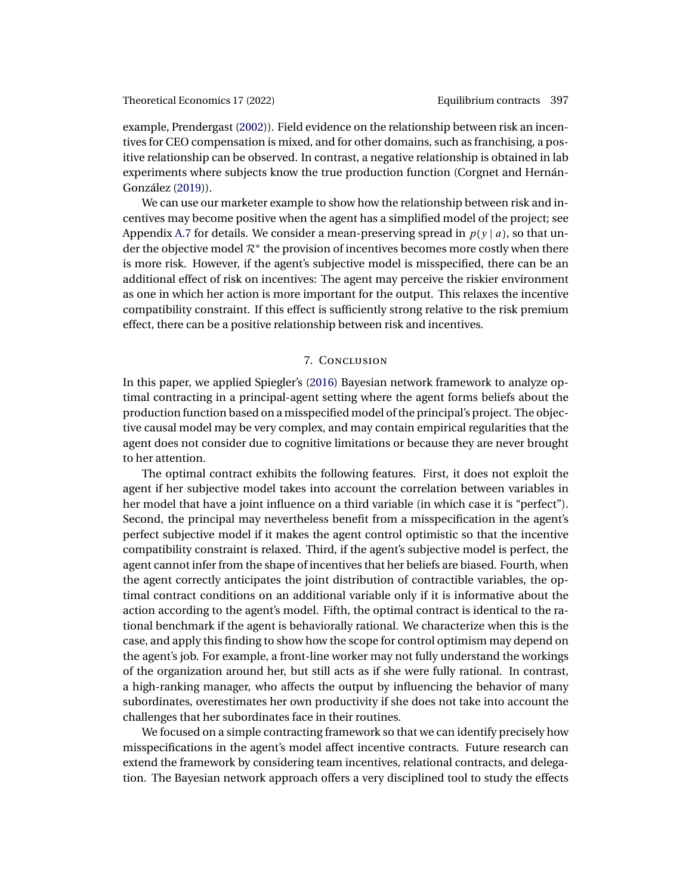<span id="page-26-0"></span>example, Prendergast [\(2002\)](#page-42-0)). Field evidence on the relationship between risk an incentives for CEO compensation is mixed, and for other domains, such as franchising, a positive relationship can be observed. In contrast, a negative relationship is obtained in lab experiments where subjects know the true production function (Corgnet and Hernán-González [\(2019\)](#page-41-0)).

We can use our marketer example to show how the relationship between risk and incentives may become positive when the agent has a simplified model of the project; see Appendix [A.7](#page-36-0) for details. We consider a mean-preserving spread in  $p(y | a)$ , so that under the objective model  $\mathcal{R}^*$  the provision of incentives becomes more costly when there is more risk. However, if the agent's subjective model is misspecified, there can be an additional effect of risk on incentives: The agent may perceive the riskier environment as one in which her action is more important for the output. This relaxes the incentive compatibility constraint. If this effect is sufficiently strong relative to the risk premium effect, there can be a positive relationship between risk and incentives.

# 7. Conclusion

In this paper, we applied Spiegler's [\(2016\)](#page-42-0) Bayesian network framework to analyze optimal contracting in a principal-agent setting where the agent forms beliefs about the production function based on a misspecified model of the principal's project. The objective causal model may be very complex, and may contain empirical regularities that the agent does not consider due to cognitive limitations or because they are never brought to her attention.

The optimal contract exhibits the following features. First, it does not exploit the agent if her subjective model takes into account the correlation between variables in her model that have a joint influence on a third variable (in which case it is "perfect"). Second, the principal may nevertheless benefit from a misspecification in the agent's perfect subjective model if it makes the agent control optimistic so that the incentive compatibility constraint is relaxed. Third, if the agent's subjective model is perfect, the agent cannot infer from the shape of incentives that her beliefs are biased. Fourth, when the agent correctly anticipates the joint distribution of contractible variables, the optimal contract conditions on an additional variable only if it is informative about the action according to the agent's model. Fifth, the optimal contract is identical to the rational benchmark if the agent is behaviorally rational. We characterize when this is the case, and apply this finding to show how the scope for control optimism may depend on the agent's job. For example, a front-line worker may not fully understand the workings of the organization around her, but still acts as if she were fully rational. In contrast, a high-ranking manager, who affects the output by influencing the behavior of many subordinates, overestimates her own productivity if she does not take into account the challenges that her subordinates face in their routines.

We focused on a simple contracting framework so that we can identify precisely how misspecifications in the agent's model affect incentive contracts. Future research can extend the framework by considering team incentives, relational contracts, and delegation. The Bayesian network approach offers a very disciplined tool to study the effects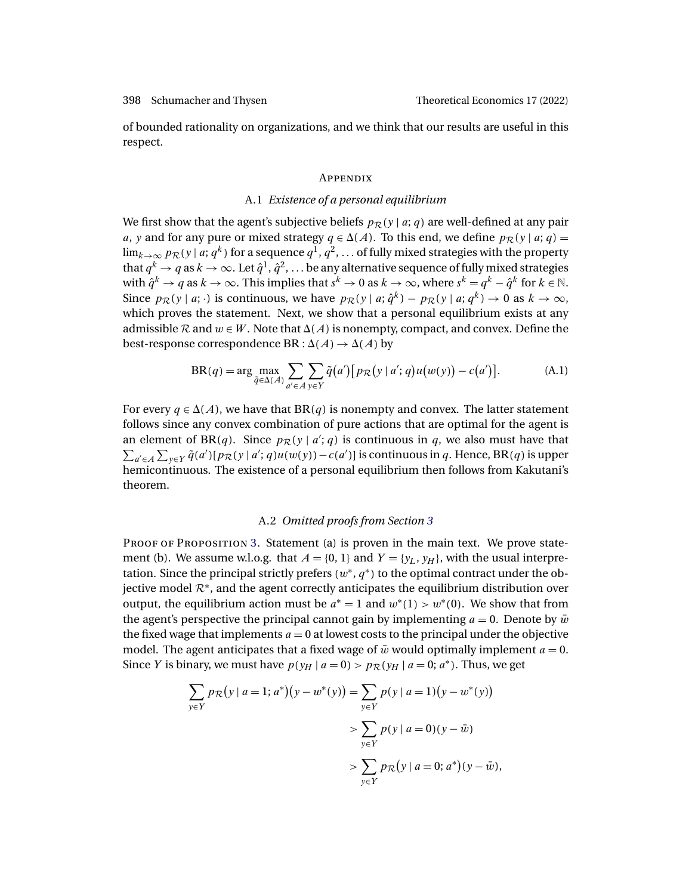<span id="page-27-0"></span>of bounded rationality on organizations, and we think that our results are useful in this respect.

# **APPENDIX**

# A.1 *Existence of a personal equilibrium*

We first show that the agent's subjective beliefs  $p_{\mathcal{R}}(y | a; q)$  are well-defined at any pair *a*, *y* and for any pure or mixed strategy  $q \in \Delta(A)$ . To this end, we define  $p_{\mathcal{R}}(y | a; q) =$  $\lim_{k\to\infty} p_{\mathcal{R}}(y \mid a; q^k)$  for a sequence  $q^1, q^2, \ldots$  of fully mixed strategies with the property that  $q^k \to q$  as  $k \to \infty$ . Let  $\hat{q}^1, \hat{q}^2, \ldots$  be any alternative sequence of fully mixed strategies with  $\hat{q}^k \to q$  as  $k \to \infty$ . This implies that  $s^k \to 0$  as  $k \to \infty$ , where  $s^k = q^k - \hat{q}^k$  for  $k \in \mathbb{N}$ . Since  $p_{\mathcal{R}}(y \mid a; \cdot)$  is continuous, we have  $p_{\mathcal{R}}(y \mid a; \hat{q}^k) - p_{\mathcal{R}}(y \mid a; q^k) \to 0$  as  $k \to \infty$ , which proves the statement. Next, we show that a personal equilibrium exists at any admissible  $R$  and  $w \in W$ . Note that  $\Delta(A)$  is nonempty, compact, and convex. Define the best-response correspondence BR :  $\Delta(A) \rightarrow \Delta(A)$  by

$$
BR(q) = \arg\max_{\tilde{q} \in \Delta(A)} \sum_{a' \in A} \sum_{y \in Y} \tilde{q}(a') [p_{\mathcal{R}}(y \mid a'; q) u(w(y)) - c(a')]. \tag{A.1}
$$

For every  $q \in \Delta(A)$ , we have that  $\text{BR}(q)$  is nonempty and convex. The latter statement follows since any convex combination of pure actions that are optimal for the agent is an element of BR(*q*). Since  $p_{\mathcal{R}}(y | a'; q)$  is continuous in *q*, we also must have that  $\sum_{a' \in A} \sum_{y \in Y} \tilde{q}(a') [p_{\mathcal{R}}(y | a'; q) u(w(y)) - c(a')]$  is continuous in q. Hence, BR(q) is upper hemicontinuous. The existence of a personal equilibrium then follows from Kakutani's theorem.

# A.2 *Omitted proofs from Section [3](#page-8-0)*

PROOF OF PROPOSITION [3.](#page-15-0) Statement (a) is proven in the main text. We prove statement (b). We assume w.l.o.g. that  $A = \{0, 1\}$  and  $Y = \{y_L, y_H\}$ , with the usual interpretation. Since the principal strictly prefers  $(w^*, q^*)$  to the optimal contract under the objective model  $\mathcal{R}^*$ , and the agent correctly anticipates the equilibrium distribution over output, the equilibrium action must be  $a^* = 1$  and  $w^*(1) > w^*(0)$ . We show that from the agent's perspective the principal cannot gain by implementing  $a = 0$ . Denote by  $\bar{w}$ the fixed wage that implements  $a = 0$  at lowest costs to the principal under the objective model. The agent anticipates that a fixed wage of  $\bar{w}$  would optimally implement  $a = 0$ . Since Y is binary, we must have  $p(y_H | a = 0) > p_{\mathcal{R}}(y_H | a = 0; a^*)$ . Thus, we get

$$
\sum_{y \in Y} p_{\mathcal{R}}(y \mid a = 1; a^*)(y - w^*(y)) = \sum_{y \in Y} p(y \mid a = 1)(y - w^*(y))
$$
  
> 
$$
\sum_{y \in Y} p(y \mid a = 0)(y - \bar{w})
$$
  
> 
$$
\sum_{y \in Y} p_{\mathcal{R}}(y \mid a = 0; a^*)(y - \bar{w}),
$$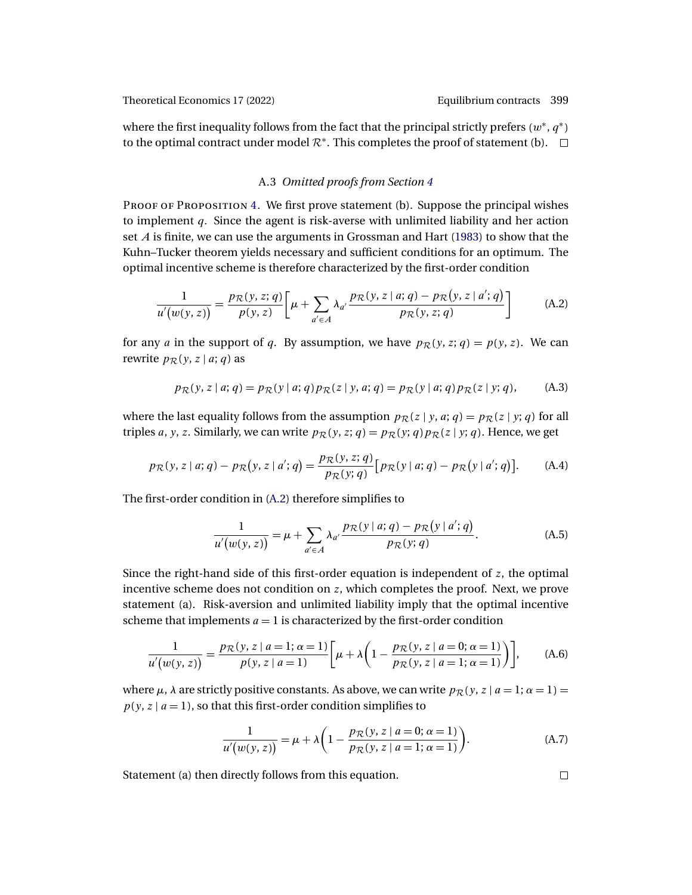<span id="page-28-0"></span>where the first inequality follows from the fact that the principal strictly prefers ( $w^*, q^*$ ) to the optimal contract under model  $\mathcal{R}^*$ . This completes the proof of statement (b).  $\Box$ 

# A.3 *Omitted proofs from Section [4](#page-16-0)*

PROOF OF PROPOSITION [4.](#page-17-0) We first prove statement (b). Suppose the principal wishes to implement  $q$ . Since the agent is risk-averse with unlimited liability and her action set  $A$  is finite, we can use the arguments in Grossman and Hart [\(1983\)](#page-41-0) to show that the Kuhn–Tucker theorem yields necessary and sufficient conditions for an optimum. The optimal incentive scheme is therefore characterized by the first-order condition

$$
\frac{1}{u'(w(y,z))} = \frac{p_{\mathcal{R}}(y,z;q)}{p(y,z)} \bigg[ \mu + \sum_{a' \in A} \lambda_{a'} \frac{p_{\mathcal{R}}(y,z|a;q) - p_{\mathcal{R}}(y,z|a';q)}{p_{\mathcal{R}}(y,z;q)} \bigg] \tag{A.2}
$$

for any a in the support of q. By assumption, we have  $p_{\mathcal{R}}(y, z; q) = p(y, z)$ . We can rewrite  $p_{\mathcal{R}}(y, z | a; q)$  as

$$
p_{\mathcal{R}}(y, z | a; q) = p_{\mathcal{R}}(y | a; q) p_{\mathcal{R}}(z | y, a; q) = p_{\mathcal{R}}(y | a; q) p_{\mathcal{R}}(z | y; q),
$$
 (A.3)

where the last equality follows from the assumption  $p_{\mathcal{R}}(z | y, a; q) = p_{\mathcal{R}}(z | y; q)$  for all triples *a*, *y*, *z*. Similarly, we can write  $p_{\mathcal{R}}(y, z; q) = p_{\mathcal{R}}(y; q) p_{\mathcal{R}}(z | y; q)$ . Hence, we get

$$
p_{\mathcal{R}}(y, z | a; q) - p_{\mathcal{R}}(y, z | a'; q) = \frac{p_{\mathcal{R}}(y, z; q)}{p_{\mathcal{R}}(y; q)} [p_{\mathcal{R}}(y | a; q) - p_{\mathcal{R}}(y | a'; q)].
$$
 (A.4)

The first-order condition in (A.2) therefore simplifies to

$$
\frac{1}{u'(w(y,z))} = \mu + \sum_{a' \in A} \lambda_{a'} \frac{p_{\mathcal{R}}(y \mid a; q) - p_{\mathcal{R}}(y \mid a'; q)}{p_{\mathcal{R}}(y; q)}.
$$
(A.5)

Since the right-hand side of this first-order equation is independent of  $z$ , the optimal incentive scheme does not condition on  $z$ , which completes the proof. Next, we prove statement (a). Risk-aversion and unlimited liability imply that the optimal incentive scheme that implements  $a = 1$  is characterized by the first-order condition

$$
\frac{1}{u'(w(y,z))} = \frac{p_{\mathcal{R}}(y, z | a = 1; \alpha = 1)}{p(y, z | a = 1)} \left[ \mu + \lambda \left( 1 - \frac{p_{\mathcal{R}}(y, z | a = 0; \alpha = 1)}{p_{\mathcal{R}}(y, z | a = 1; \alpha = 1)} \right) \right],
$$
 (A.6)

where  $\mu$ ,  $\lambda$  are strictly positive constants. As above, we can write  $p_{\mathcal{R}}(y, z | a = 1; \alpha = 1)$  =  $p(y, z \mid a = 1)$ , so that this first-order condition simplifies to

$$
\frac{1}{u'(w(y, z))} = \mu + \lambda \left( 1 - \frac{p_{\mathcal{R}}(y, z \mid a = 0; \alpha = 1)}{p_{\mathcal{R}}(y, z \mid a = 1; \alpha = 1)} \right). \tag{A.7}
$$

Statement (a) then directly follows from this equation.

 $\Box$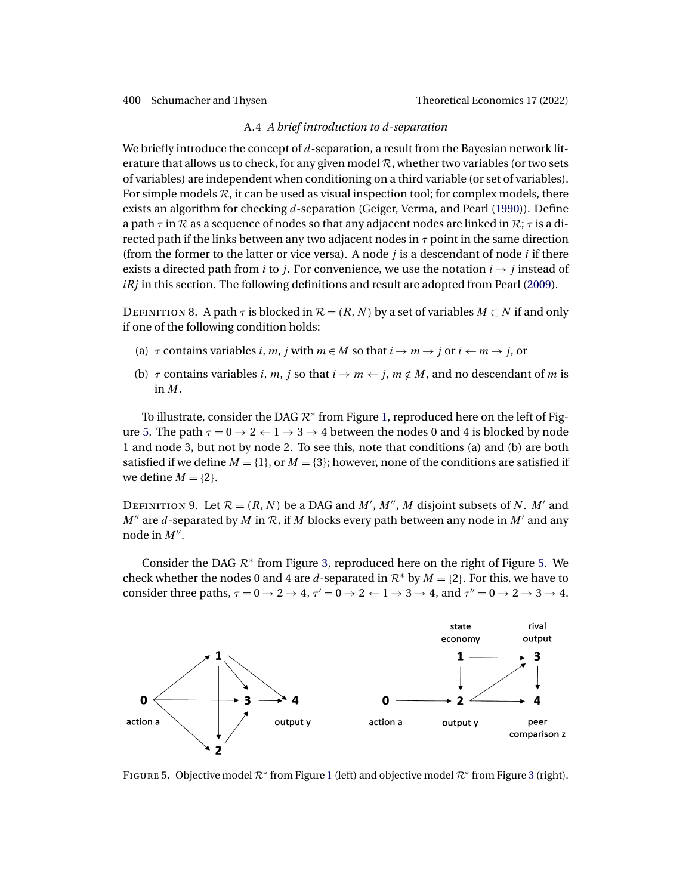### A.4 *A brief introduction to* d*-separation*

<span id="page-29-0"></span>We briefly introduce the concept of  $d$ -separation, a result from the Bayesian network literature that allows us to check, for any given model  $\mathcal{R}$ , whether two variables (or two sets of variables) are independent when conditioning on a third variable (or set of variables). For simple models  $\mathcal{R}$ , it can be used as visual inspection tool; for complex models, there exists an algorithm for checking d-separation (Geiger, Verma, and Pearl [\(1990\)](#page-41-0)). Define a path  $\tau$  in  $\mathcal R$  as a sequence of nodes so that any adjacent nodes are linked in  $\mathcal R$ ;  $\tau$  is a directed path if the links between any two adjacent nodes in  $\tau$  point in the same direction (from the former to the latter or vice versa). A node  $j$  is a descendant of node  $i$  if there exists a directed path from *i* to *j*. For convenience, we use the notation  $i \rightarrow j$  instead of  $iRj$  in this section. The following definitions and result are adopted from Pearl [\(2009\)](#page-42-0).

DEFINITION 8. A path  $\tau$  is blocked in  $\mathcal{R} = (R, N)$  by a set of variables  $M \subset N$  if and only if one of the following condition holds:

- (a)  $\tau$  contains variables i, m, j with  $m \in M$  so that  $i \to m \to j$  or  $i \leftarrow m \to j$ , or
- (b)  $\tau$  contains variables i, m, j so that  $i \rightarrow m \leftarrow j$ ,  $m \notin M$ , and no descendant of m is in M.

To illustrate, consider the DAG  $\mathcal{R}^*$  from Figure [1,](#page-6-0) reproduced here on the left of Figure 5. The path  $\tau = 0 \rightarrow 2 \leftarrow 1 \rightarrow 3 \rightarrow 4$  between the nodes 0 and 4 is blocked by node 1 and node 3, but not by node 2. To see this, note that conditions (a) and (b) are both satisfied if we define  $M = \{1\}$ , or  $M = \{3\}$ ; however, none of the conditions are satisfied if we define  $M = \{2\}$ .

DEFINITION 9. Let  $\mathcal{R} = (R, N)$  be a DAG and  $M', M'', M$  disjoint subsets of N. M' and  $M''$  are d-separated by M in R, if M blocks every path between any node in M' and any node in  $M''$ .

Consider the DAG  $\mathcal{R}^*$  from Figure [3,](#page-18-0) reproduced here on the right of Figure 5. We check whether the nodes 0 and 4 are d-separated in  $\mathcal{R}^*$  by  $M = \{2\}$ . For this, we have to consider three paths,  $\tau = 0 \rightarrow 2 \rightarrow 4$ ,  $\tau' = 0 \rightarrow 2 \leftarrow 1 \rightarrow 3 \rightarrow 4$ , and  $\tau'' = 0 \rightarrow 2 \rightarrow 3 \rightarrow 4$ .



FIGURE 5. Objective model  $\mathcal{R}^*$  from Figure [1](#page-6-0) (left) and objective model  $\mathcal{R}^*$  from Figure [3](#page-18-0) (right).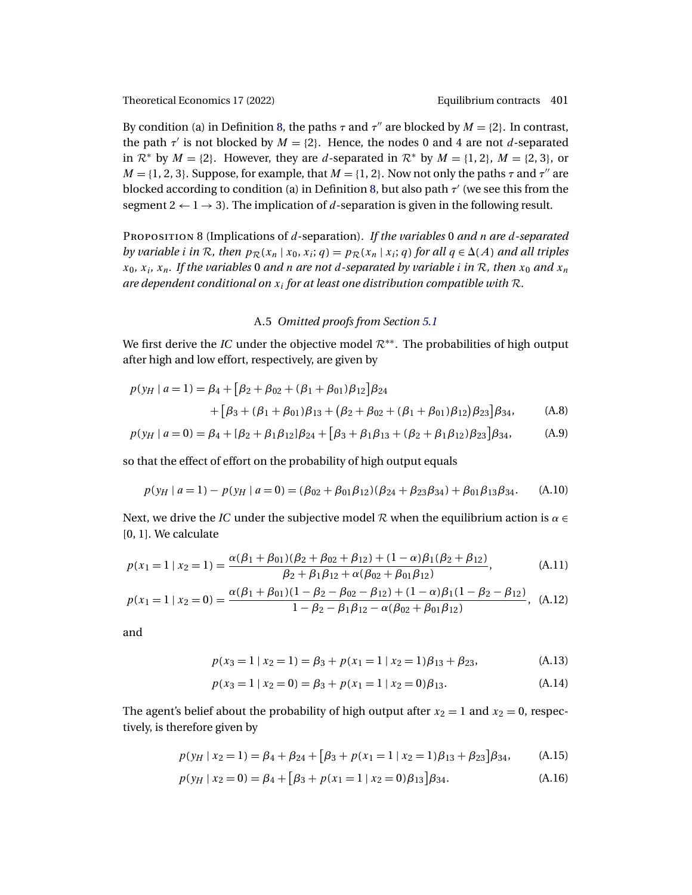<span id="page-30-0"></span>By condition (a) in Definition [8,](#page-29-0) the paths  $\tau$  and  $\tau''$  are blocked by  $M = \{2\}$ . In contrast, the path  $\tau'$  is not blocked by  $M = \{2\}$ . Hence, the nodes 0 and 4 are not d-separated in  $\mathcal{R}^*$  by  $M = \{2\}$ . However, they are d-separated in  $\mathcal{R}^*$  by  $M = \{1, 2\}$ ,  $M = \{2, 3\}$ , or  $M = \{1, 2, 3\}$ . Suppose, for example, that  $M = \{1, 2\}$ . Now not only the paths  $\tau$  and  $\tau''$  are blocked according to condition (a) in Definition [8,](#page-29-0) but also path  $\tau'$  (we see this from the segment  $2 \leftarrow 1 \rightarrow 3$ ). The implication of d-separation is given in the following result.

Proposition 8 (Implications of d-separation). *If the variables* 0 *and* n *are* d*-separated by variable i in* R, then  $p_{\mathcal{R}}(x_n | x_0, x_i; q) = p_{\mathcal{R}}(x_n | x_i; q)$  for all  $q \in \Delta(A)$  and all triples  $x_0$ ,  $x_i$ ,  $x_n$ . If the variables 0 and n are not d-separated by variable *i* in R, then  $x_0$  and  $x_n$ *are dependent conditional on*  $x_i$  *for at least one distribution compatible with*  $R$ *.* 

# A.5 *Omitted proofs from Section [5.1](#page-20-0)*

We first derive the *IC* under the objective model R∗∗. The probabilities of high output after high and low effort, respectively, are given by

$$
p(y_H \mid a=1) = \beta_4 + [\beta_2 + \beta_{02} + (\beta_1 + \beta_{01})\beta_{12}]\beta_{24}
$$
  
+ 
$$
[\beta_3 + (\beta_1 + \beta_{01})\beta_{13} + (\beta_2 + \beta_{02} + (\beta_1 + \beta_{01})\beta_{12})\beta_{23}]\beta_{34},
$$
 (A.8)

$$
p(y_H \mid a = 0) = \beta_4 + [\beta_2 + \beta_1 \beta_{12}] \beta_{24} + [\beta_3 + \beta_1 \beta_{13} + (\beta_2 + \beta_1 \beta_{12}) \beta_{23}] \beta_{34},
$$
 (A.9)

so that the effect of effort on the probability of high output equals

$$
p(y_H \mid a=1) - p(y_H \mid a=0) = (\beta_{02} + \beta_{01}\beta_{12})(\beta_{24} + \beta_{23}\beta_{34}) + \beta_{01}\beta_{13}\beta_{34}.
$$
 (A.10)

Next, we drive the *IC* under the subjective model R when the equilibrium action is  $\alpha \in$ [0, 1]. We calculate

$$
p(x_1 = 1 | x_2 = 1) = \frac{\alpha(\beta_1 + \beta_{01})(\beta_2 + \beta_{02} + \beta_{12}) + (1 - \alpha)\beta_1(\beta_2 + \beta_{12})}{\beta_2 + \beta_1\beta_{12} + \alpha(\beta_{02} + \beta_{01}\beta_{12})},
$$
(A.11)

$$
p(x_1 = 1 | x_2 = 0) = \frac{\alpha(\beta_1 + \beta_{01})(1 - \beta_2 - \beta_{02} - \beta_{12}) + (1 - \alpha)\beta_1(1 - \beta_2 - \beta_{12})}{1 - \beta_2 - \beta_1\beta_{12} - \alpha(\beta_{02} + \beta_{01}\beta_{12})},
$$
(A.12)

and

$$
p(x_3 = 1 | x_2 = 1) = \beta_3 + p(x_1 = 1 | x_2 = 1)\beta_{13} + \beta_{23},
$$
 (A.13)

$$
p(x_3 = 1 | x_2 = 0) = \beta_3 + p(x_1 = 1 | x_2 = 0)\beta_{13}.
$$
 (A.14)

The agent's belief about the probability of high output after  $x_2 = 1$  and  $x_2 = 0$ , respectively, is therefore given by

$$
p(y_H | x_2 = 1) = \beta_4 + \beta_{24} + [\beta_3 + p(x_1 = 1 | x_2 = 1)\beta_{13} + \beta_{23}] \beta_{34},
$$
 (A.15)

$$
p(y_H \mid x_2 = 0) = \beta_4 + [\beta_3 + p(x_1 = 1 \mid x_2 = 0)\beta_{13}]\beta_{34}.
$$
 (A.16)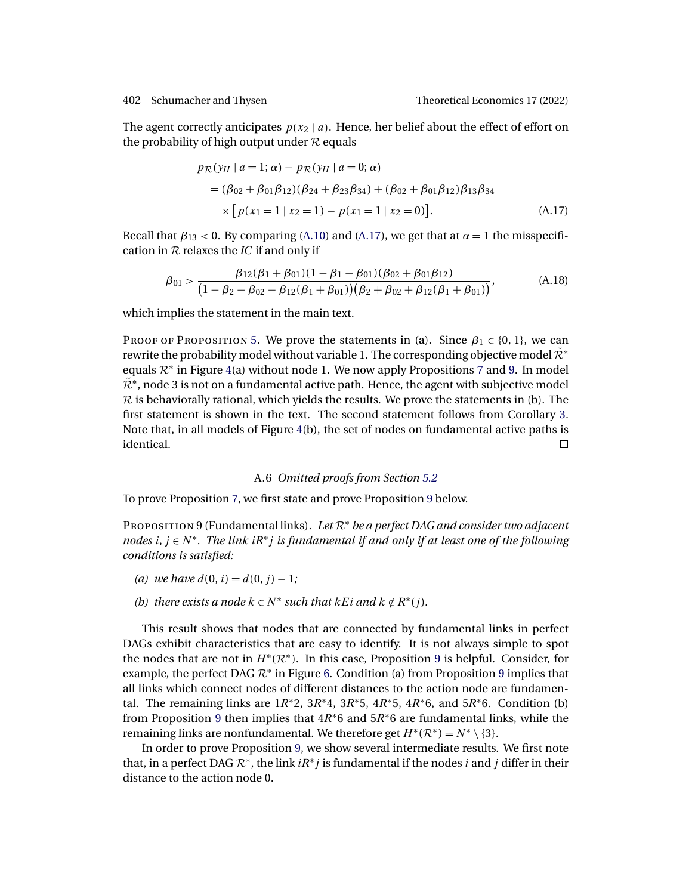<span id="page-31-0"></span>

The agent correctly anticipates  $p(x_2 | a)$ . Hence, her belief about the effect of effort on the probability of high output under  $R$  equals

$$
p_{\mathcal{R}}(y_H \mid a = 1; \alpha) - p_{\mathcal{R}}(y_H \mid a = 0; \alpha)
$$
  
=  $(\beta_{02} + \beta_{01}\beta_{12})(\beta_{24} + \beta_{23}\beta_{34}) + (\beta_{02} + \beta_{01}\beta_{12})\beta_{13}\beta_{34}$   
 $\times [p(x_1 = 1 \mid x_2 = 1) - p(x_1 = 1 \mid x_2 = 0)].$  (A.17)

Recall that  $\beta_{13}$  < 0. By comparing [\(A.10\)](#page-30-0) and (A.17), we get that at  $\alpha = 1$  the misspecification in R relaxes the *IC* if and only if

$$
\beta_{01} > \frac{\beta_{12}(\beta_1 + \beta_{01})(1 - \beta_1 - \beta_{01})(\beta_{02} + \beta_{01}\beta_{12})}{(1 - \beta_2 - \beta_{02} - \beta_{12}(\beta_1 + \beta_{01}))(\beta_2 + \beta_{02} + \beta_{12}(\beta_1 + \beta_{01}))},
$$
(A.18)

which implies the statement in the main text.

PROOF OF PROPOSITION [5.](#page-22-0) We prove the statements in (a). Since  $\beta_1 \in \{0, 1\}$ , we can rewrite the probability model without variable 1. The corresponding objective model  $\tilde{\mathcal{R}}^*$ equals  $\mathcal{R}^*$  in Figure [4\(](#page-21-0)a) without node 1. We now apply Propositions [7](#page-24-0) and 9. In model  $\tilde{\mathcal{R}}^*$ , node 3 is not on a fundamental active path. Hence, the agent with subjective model  $R$  is behaviorally rational, which yields the results. We prove the statements in (b). The first statement is shown in the text. The second statement follows from Corollary [3.](#page-25-0) Note that, in all models of Figure [4\(](#page-21-0)b), the set of nodes on fundamental active paths is identical.  $\Box$ 

# A.6 *Omitted proofs from Section [5.2](#page-23-0)*

To prove Proposition [7,](#page-24-0) we first state and prove Proposition 9 below.

<sup>P</sup>roposition 9 (Fundamental links). *Let* <sup>R</sup><sup>∗</sup> *be a perfect DAG and consider two adjacent nodes* i, j ∈ N∗*. The link* iR∗j *is fundamental if and only if at least one of the following conditions is satisfied:*

- *(a)* we have  $d(0, i) = d(0, i) 1$ ;
- *(b)* there exists a node  $k \in N^*$  such that  $k \notin R^*(j)$ .

This result shows that nodes that are connected by fundamental links in perfect DAGs exhibit characteristics that are easy to identify. It is not always simple to spot the nodes that are not in  $H^*(\mathcal{R}^*)$ . In this case, Proposition 9 is helpful. Consider, for example, the perfect DAG  $\mathcal{R}^*$  in Figure [6.](#page-32-0) Condition (a) from Proposition 9 implies that all links which connect nodes of different distances to the action node are fundamental. The remaining links are  $1R*2$ ,  $3R*4$ ,  $3R*5$ ,  $4R*5$ ,  $4R*6$ , and  $5R*6$ . Condition (b) from Proposition 9 then implies that  $4R<sup>*</sup>6$  and  $5R<sup>*</sup>6$  are fundamental links, while the remaining links are nonfundamental. We therefore get  $H^*(\mathcal{R}^*) = N^* \setminus \{3\}.$ 

In order to prove Proposition 9, we show several intermediate results. We first note that, in a perfect DAG  $\mathcal{R}^*$ , the link  $i\mathcal{R}^*j$  is fundamental if the nodes i and j differ in their distance to the action node 0.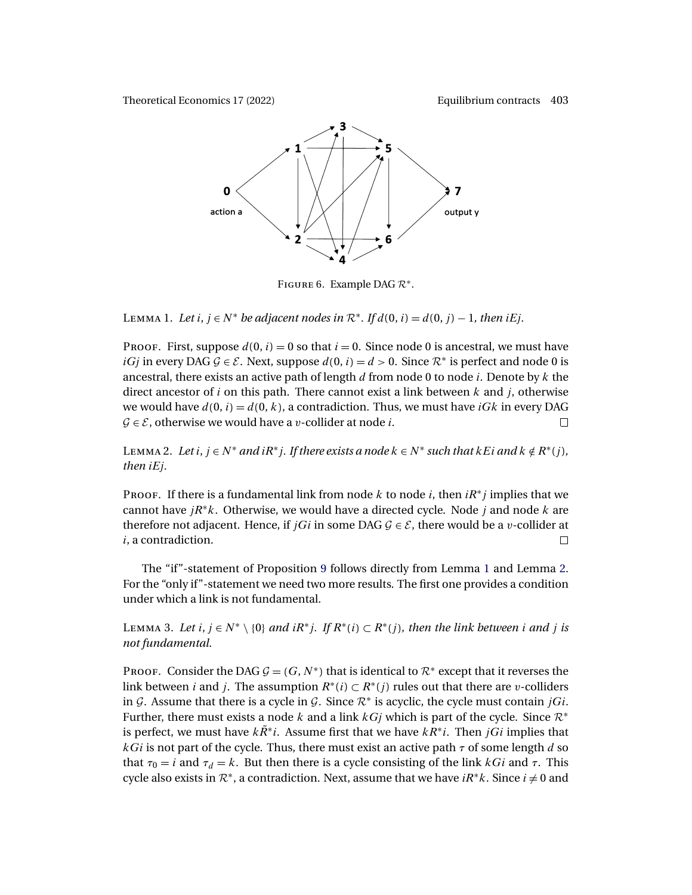<span id="page-32-0"></span>

FIGURE 6. Example DAG  $\mathcal{R}^*$ .

LEMMA 1. Let i,  $j \in N^*$  *be adjacent nodes in*  $\mathcal{R}^*$ . If  $d(0, i) = d(0, j) - 1$ , then iEj.

PROOF. First, suppose  $d(0, i) = 0$  so that  $i = 0$ . Since node 0 is ancestral, we must have *iGj* in every DAG  $G \in \mathcal{E}$ . Next, suppose  $d(0, i) = d > 0$ . Since  $\mathcal{R}^*$  is perfect and node 0 is ancestral, there exists an active path of length  $d$  from node 0 to node  $i$ . Denote by  $k$  the direct ancestor of i on this path. There cannot exist a link between  $k$  and  $j$ , otherwise we would have  $d(0, i) = d(0, k)$ , a contradiction. Thus, we must have  $iGk$  in every DAG  $\mathcal{G} \in \mathcal{E}$ , otherwise we would have a *v*-collider at node *i*.  $\Box$ 

LEMMA 2. Let  $i, j \in N^*$  and  $iR^*j$ . If there exists a node  $k \in N^*$  *such that*  $k \notin R^*(j)$ , *then* iEj*.*

PROOF. If there is a fundamental link from node k to node i, then  $iR^*j$  implies that we cannot have  $jR^*k$ . Otherwise, we would have a directed cycle. Node j and node k are therefore not adjacent. Hence, if *jGi* in some DAG  $G \in \mathcal{E}$ , there would be a *v*-collider at *i*, a contradiction. i, a contradiction.

The "if"-statement of Proposition [9](#page-31-0) follows directly from Lemma 1 and Lemma 2. For the "only if"-statement we need two more results. The first one provides a condition under which a link is not fundamental.

LEMMA 3. Let *i*, *j* ∈  $N^* \setminus \{0\}$  *and iR*<sup>\*</sup>*j*. *If*  $R^*(i) \subset R^*(j)$ *, then the link between i and j is not fundamental.*

PROOF. Consider the DAG  $G = (G, N^*)$  that is identical to  $\mathcal{R}^*$  except that it reverses the link between *i* and *j*. The assumption  $R^*(i) \subset R^*(j)$  rules out that there are *v*-colliders in G. Assume that there is a cycle in G. Since  $\mathcal{R}^*$  is acyclic, the cycle must contain jGi. Further, there must exists a node k and a link  $kG_j$  which is part of the cycle. Since  $\mathcal{R}^*$ is perfect, we must have  $k\ddot{R}^*i$ . Assume first that we have  $kR^*i$ . Then jGi implies that  $kGi$  is not part of the cycle. Thus, there must exist an active path  $\tau$  of some length d so that  $\tau_0 = i$  and  $\tau_d = k$ . But then there is a cycle consisting of the link kGi and  $\tau$ . This cycle also exists in  $\mathcal{R}^*$ , a contradiction. Next, assume that we have  $iR^*k$ . Since  $i \neq 0$  and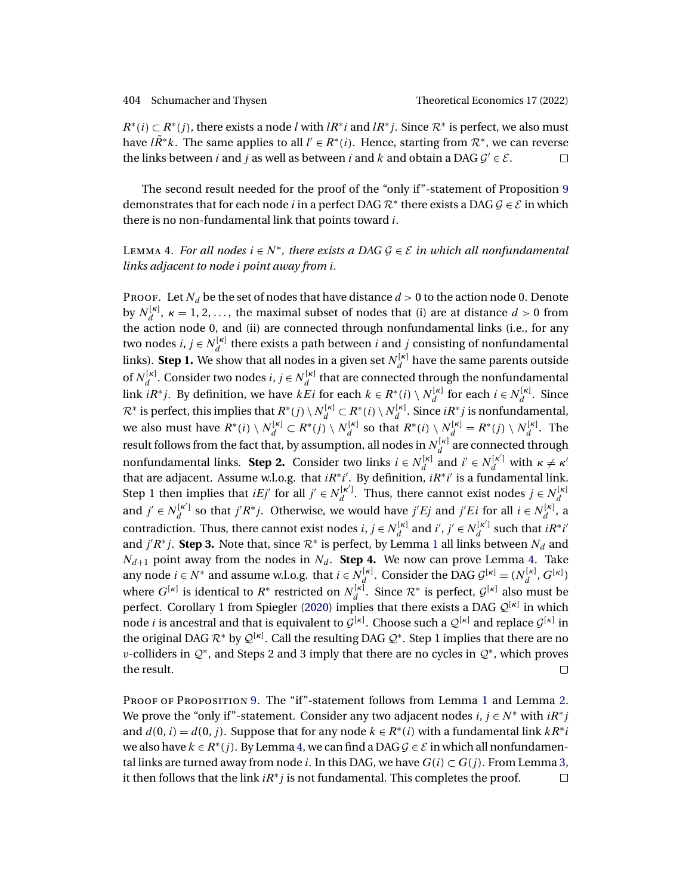<span id="page-33-0"></span> $R^*(i) \subset R^*(i)$ , there exists a node l with  $IR^*i$  and  $IR^*j$ . Since  $\mathcal{R}^*$  is perfect, we also must have  $lR^*k$ . The same applies to all  $l' \in R^*(i)$ . Hence, starting from  $\mathcal{R}^*$ , we can reverse the links between *i* and *j* as well as between *i* and *k* and obtain a DAG  $G' \in \mathcal{E}$ .  $\Box$ 

The second result needed for the proof of the "only if"-statement of Proposition [9](#page-31-0) demonstrates that for each node *i* in a perfect DAG  $\mathcal{R}^*$  there exists a DAG  $\mathcal{G} \in \mathcal{E}$  in which there is no non-fundamental link that points toward i.

# Lemma 4. *For all nodes*  $i \in N^*$ , there exists a DAG  $\mathcal{G} \in \mathcal{E}$  in which all nonfundamental *links adjacent to node* i *point away from* i*.*

PROOF. Let  $N_d$  be the set of nodes that have distance  $d > 0$  to the action node 0. Denote by  $N_d^{[\kappa]}$ ,  $\kappa = 1, 2, ...,$  the maximal subset of nodes that (i) are at distance  $d > 0$  from the action node 0, and (ii) are connected through nonfundamental links (i.e., for any two nodes  $i, j \in N_d^{[\kappa]}$  there exists a path between  $i$  and  $j$  consisting of nonfundamental links). **Step 1.** We show that all nodes in a given set  $N_d^{[\kappa]}$  have the same parents outside of  $N_d^{[\kappa]}$ . Consider two nodes  $i, j \in N_d^{[\kappa]}$  that are connected through the nonfundamental link  $iR^*j$ . By definition, we have  $kEi$  for each  $k \in R^*(i) \setminus N_d^{[\kappa]}$  for each  $i \in N_d^{[\kappa]}$ . Since  $\mathcal{R}^*$  is perfect, this implies that  $R^*(j) \setminus N_d^{[\kappa]} \subset R^*(i) \setminus N_d^{[\kappa]}$ . Since  $iR^*j$  is nonfundamental, we also must have  $R^*(i) \setminus N_d^{[\kappa]} \subset R^*(j) \setminus N_d^{[\kappa]}$  so that  $R^*(i) \setminus N_d^{[\kappa]} = R^*(j) \setminus N_d^{[\kappa]}$ . The result follows from the fact that, by assumption, all nodes in  $N_d^{[\kappa]}$  are connected through nonfundamental links. **Step 2.** Consider two links  $i \in N_d^{[\kappa]}$  and  $i' \in N_d^{[\kappa']}$  with  $\kappa \neq \kappa'$ that are adjacent. Assume w.l.o.g. that  $iR^*i'$ . By definition,  $iR^*i'$  is a fundamental link. Step 1 then implies that  $iEj'$  for all  $j' \in N_d^{[\kappa']}$ . Thus, there cannot exist nodes  $j \in N_d^{[\kappa]}$ and  $j' \in N_d^{[\kappa']}$  so that  $j'R^*j$ . Otherwise, we would have  $j'Ej$  and  $j'Ei$  for all  $i \in N_d^{[\kappa]}$ , a contradiction. Thus, there cannot exist nodes  $i, j \in N_d^{[\kappa]}$  and  $i', j' \in N_d^{[\kappa']}$  such that  $iR^*i'$ and  $j'R^*j$ . **Step 3.** Note that, since  $\mathcal{R}^*$  is perfect, by Lemma [1](#page-32-0) all links between  $N_d$  and  $N_{d+1}$  point away from the nodes in  $N_d$ . **Step 4.** We now can prove Lemma 4. Take any node  $i \in N^*$  and assume w.l.o.g. that  $i \in N_d^{[\kappa]}$ . Consider the DAG  $\mathcal{G}^{[\kappa]} = (N_d^{[\kappa]}, G^{[\kappa]})$ where  $G^{[\kappa]}$  is identical to  $R^*$  restricted on  $N_d^{[\kappa]}$ . Since  $\mathcal{R}^*$  is perfect,  $\mathcal{G}^{[\kappa]}$  also must be perfect. Corollary 1 from Spiegler [\(2020\)](#page-42-0) implies that there exists a DAG  $\mathcal{Q}^{[\kappa]}$  in which node *i* is ancestral and that is equivalent to  $\mathcal{G}^{[\kappa]}$ . Choose such a  $\mathcal{Q}^{[\kappa]}$  and replace  $\mathcal{G}^{[\kappa]}$  in the original DAG  $\mathcal{R}^*$  by  $\mathcal{Q}^{[\kappa]}$ . Call the resulting DAG  $\mathcal{Q}^*$ . Step 1 implies that there are no v-colliders in  $\mathcal{Q}^*$ , and Steps 2 and 3 imply that there are no cycles in  $\mathcal{Q}^*$ , which proves the result.  $\Box$ 

PROOF OF PROPOSITION [9.](#page-31-0) The "if"-statement follows from Lemma [1](#page-32-0) and Lemma [2.](#page-32-0) We prove the "only if"-statement. Consider any two adjacent nodes  $i, j \in N^*$  with  $iR^*j$ and  $d(0, i) = d(0, i)$ . Suppose that for any node  $k \in R^*(i)$  with a fundamental link  $kR^*i$ we also have  $k \in R^*(i)$ . By Lemma 4, we can find a DAG  $\mathcal{G} \in \mathcal{E}$  in which all nonfundamental links are turned away from node *i*. In this DAG, we have  $G(i) \subset G(j)$ . From Lemma [3,](#page-32-0) it then follows that the link  $iR^*j$  is not fundamental. This completes the proof.  $\Box$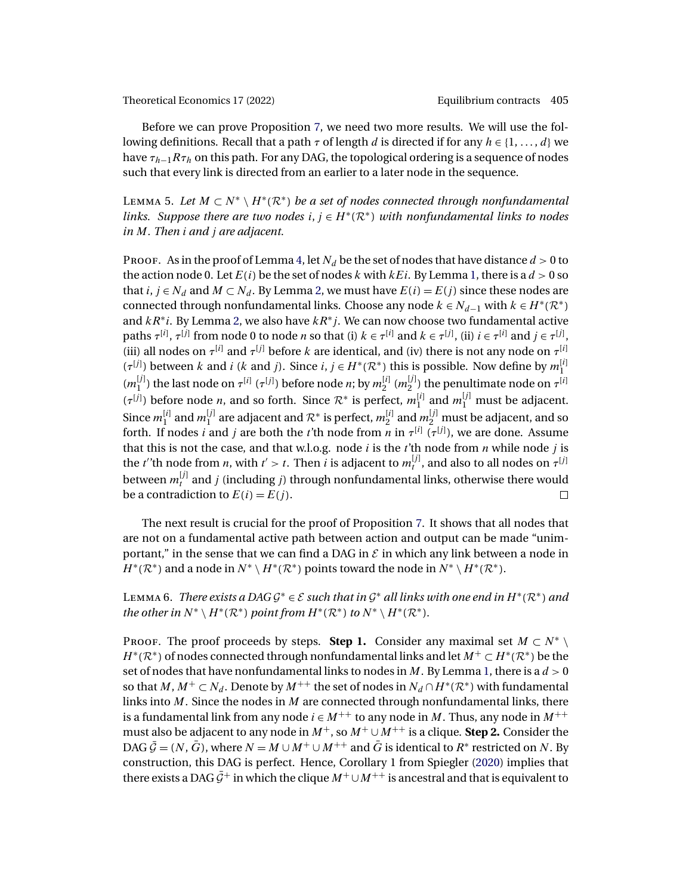<span id="page-34-0"></span>Before we can prove Proposition [7,](#page-24-0) we need two more results. We will use the following definitions. Recall that a path  $\tau$  of length d is directed if for any  $h \in \{1, \ldots, d\}$  we have  $\tau_{h-1}R\tau_h$  on this path. For any DAG, the topological ordering is a sequence of nodes such that every link is directed from an earlier to a later node in the sequence.

LEMMA 5. Let  $M ⊂ N^* \setminus H^*(\mathbb{R}^*)$  *be a set of nodes connected through nonfundamental links. Suppose there are two nodes*  $i, j \in H^*(\mathbb{R}^*)$  *with nonfundamental links to nodes in* M*. Then* i *and* j *are adjacent.*

PROOF. As in the proof of Lemma [4,](#page-33-0) let  $N_d$  be the set of nodes that have distance  $d > 0$  to the action node 0. Let  $E(i)$  be the set of nodes k with  $kEi$ . By Lemma [1,](#page-32-0) there is a  $d > 0$  so that  $i, j \in N_d$  and  $M \subset N_d$ . By Lemma [2,](#page-32-0) we must have  $E(i) = E(j)$  since these nodes are connected through nonfundamental links. Choose any node  $k \in N_{d-1}$  with  $k \in H^*(\mathcal{R}^*)$ and  $kR^*i$ . By Lemma [2,](#page-32-0) we also have  $kR^*j$ . We can now choose two fundamental active paths  $\tau^{[i]}$ ,  $\tau^{[j]}$  from node 0 to node *n* so that (i)  $k \in \tau^{[i]}$  and  $k \in \tau^{[j]}$ , (ii)  $i \in \tau^{[i]}$  and  $j \in \tau^{[j]}$ , (iii) all nodes on  $\tau^{[i]}$  and  $\tau^{[j]}$  before k are identical, and (iv) there is not any node on  $\tau^{[i]}$  $(\tau^{[j]})$  between k and i (k and j). Since i,  $j \in H^*(\mathcal{R}^*)$  this is possible. Now define by  $m_1^{[i]}$  $(m_1^{[j]})$  the last node on  $\tau^{[i]}$  ( $\tau^{[j]}$ ) before node *n*; by  $m_2^{[i]}$  ( $m_2^{[j]}$ ) the penultimate node on  $\tau^{[i]}$  $(\tau^{[j]})$  before node *n*, and so forth. Since  $\mathcal{R}^*$  is perfect,  $m_1^{[i]}$  and  $m_1^{[j]}$  must be adjacent. Since  $m_1^{[i]}$  and  $m_1^{[j]}$  are adjacent and  $\mathcal{R}^*$  is perfect,  $m_2^{[i]}$  and  $m_2^{[j]}$  must be adjacent, and so forth. If nodes *i* and *j* are both the *t*'th node from *n* in  $\tau^{[i]}$  ( $\tau^{[j]}$ ), we are done. Assume that this is not the case, and that w.l.o.g. node  $i$  is the  $t$ 'th node from  $n$  while node  $j$  is the *t*''th node from *n*, with *t'* > *t*. Then *i* is adjacent to  $m_t^{[j]}$ , and also to all nodes on  $\tau^{[j]}$ between  $m^{[j]}_t$  and  $j$  (including  $j$ ) through nonfundamental links, otherwise there would be a contradiction to  $E(i) = E(j)$ .  $\Box$ 

The next result is crucial for the proof of Proposition [7.](#page-24-0) It shows that all nodes that are not on a fundamental active path between action and output can be made "unimportant," in the sense that we can find a DAG in  $\mathcal E$  in which any link between a node in  $H^*(\mathcal{R}^*)$  and a node in  $N^* \setminus H^*(\mathcal{R}^*)$  points toward the node in  $N^* \setminus H^*(\mathcal{R}^*)$ .

# LEMMA 6. *There exists a DAG*  $G^* \in \mathcal{E}$  *such that in*  $G^*$  *all links with one end in*  $H^*(\mathcal{R}^*)$  *and the other in*  $N^* \setminus H^*(\mathcal{R}^*)$  *point from*  $H^*(\mathcal{R}^*)$  *to*  $N^* \setminus H^*(\mathcal{R}^*)$ *.*

PROOF. The proof proceeds by steps. **Step 1.** Consider any maximal set  $M \subset N^*$  $H^*(\mathcal{R}^*)$  of nodes connected through nonfundamental links and let  $M^+ \subset H^*(\mathcal{R}^*)$  be the set of nodes that have nonfundamental links to nodes in  $M$ . By Lemma [1,](#page-32-0) there is a  $d > 0$ so that  $M, M^+ \subset N_d$ . Denote by  $M^{++}$  the set of nodes in  $N_d \cap H^*(\mathcal{R}^*)$  with fundamental links into  $M$ . Since the nodes in  $M$  are connected through nonfundamental links, there is a fundamental link from any node  $i \in M^{++}$  to any node in M. Thus, any node in  $M^{++}$ must also be adjacent to any node in  $M^+$ , so  $M^+ \cup M^{++}$  is a clique. **Step 2.** Consider the DAG  $\bar{G} = (N, \bar{G})$ , where  $N = M \cup M^{+} \cup M^{++}$  and  $\bar{G}$  is identical to  $R^*$  restricted on N. By construction, this DAG is perfect. Hence, Corollary 1 from Spiegler [\(2020\)](#page-42-0) implies that there exists a DAG  $\bar{G}^+$  in which the clique  $M^+ \cup M^{++}$  is ancestral and that is equivalent to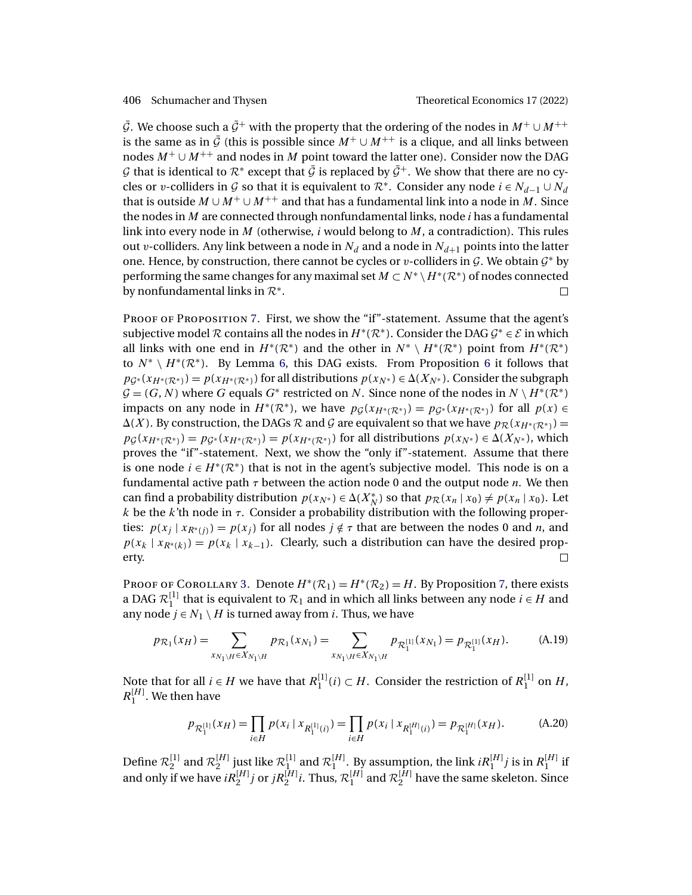<span id="page-35-0"></span> $\bar{G}$ . We choose such a  $\bar{G}^+$  with the property that the ordering of the nodes in  $M^+ \cup M^{++}$ is the same as in  $\bar{G}$  (this is possible since  $M^+ \cup M^{++}$  is a clique, and all links between nodes  $M^+ \cup M^{++}$  and nodes in M point toward the latter one). Consider now the DAG G that is identical to  $\mathcal{R}^*$  except that  $\bar{\mathcal{G}}$  is replaced by  $\bar{\mathcal{G}}^+$ . We show that there are no cycles or v-colliders in G so that it is equivalent to  $\mathcal{R}^*$ . Consider any node  $i \in N_{d-1} \cup N_d$ that is outside  $M \cup M^+ \cup M^{++}$  and that has a fundamental link into a node in M. Since the nodes in  $M$  are connected through nonfundamental links, node  $i$  has a fundamental link into every node in M (otherwise,  $i$  would belong to  $M$ , a contradiction). This rules out v-colliders. Any link between a node in  $N_d$  and a node in  $N_{d+1}$  points into the latter one. Hence, by construction, there cannot be cycles or v-colliders in  $G$ . We obtain  $G^*$  by performing the same changes for any maximal set  $M \subset N^* \setminus H^*(\mathcal{R}^*)$  of nodes connected by nonfundamental links in  $\mathcal{R}^*$ .  $\Box$ by nonfundamental links in  $\mathcal{R}^*$ .

PROOF OF PROPOSITION [7.](#page-24-0) First, we show the "if"-statement. Assume that the agent's subjective model R contains all the nodes in  $H^*(\mathcal{R}^*)$ . Consider the DAG  $\mathcal{G}^* \in \mathcal{E}$  in which all links with one end in  $H^*(\mathcal{R}^*)$  and the other in  $N^* \setminus H^*(\mathcal{R}^*)$  point from  $H^*(\mathcal{R}^*)$ to  $N^* \setminus H^*(\mathcal{R}^*)$ . By Lemma [6,](#page-34-0) this DAG exists. From Proposition [6](#page-23-0) it follows that  $pg^*(x_{H^*(\mathcal{R}^*)}) = p(x_{H^*(\mathcal{R}^*)})$  for all distributions  $p(x_{N^*}) \in \Delta(X_{N^*})$ . Consider the subgraph  $G = (G, N)$  where G equals G<sup>\*</sup> restricted on N. Since none of the nodes in  $N \setminus H^*(\mathbb{R}^*)$ impacts on any node in  $H^*(\mathcal{R}^*)$ , we have  $p_G(x_{H^*(\mathcal{R}^*)}) = p_{G^*}(x_{H^*(\mathcal{R}^*)})$  for all  $p(x) \in$  $\Delta(X)$ . By construction, the DAGs  $\mathcal R$  and  $\mathcal G$  are equivalent so that we have  $p_{\mathcal R}(x_{H^*(\mathcal R^*)})=$  $pg(x_{H^*(\mathcal{R}^*)}) = pg^*(x_{H^*(\mathcal{R}^*)}) = p(x_{H^*(\mathcal{R}^*)})$  for all distributions  $p(x_{N^*}) \in \Delta(X_{N^*})$ , which proves the "if"-statement. Next, we show the "only if"-statement. Assume that there is one node  $i \in H^*(\mathbb{R}^*)$  that is not in the agent's subjective model. This node is on a fundamental active path  $\tau$  between the action node 0 and the output node *n*. We then can find a probability distribution  $p(x_{N^*}) \in \Delta(X_N^*)$  so that  $p_{\mathcal{R}}(x_n | x_0) \neq p(x_n | x_0)$ . Let k be the k'th node in  $\tau$ . Consider a probability distribution with the following properties:  $p(x_j | x_{R^*(i)}) = p(x_j)$  for all nodes  $j \notin \tau$  that are between the nodes 0 and *n*, and  $p(x_k | x_{R^*(k)}) = p(x_k | x_{k-1})$ . Clearly, such a distribution can have the desired property. erty.

PROOF OF COROLLARY [3.](#page-25-0) Denote  $H^*(\mathcal{R}_1) = H^*(\mathcal{R}_2) = H$ . By Proposition [7,](#page-24-0) there exists a DAG  $\mathcal{R}_1^{[1]}$  that is equivalent to  $\mathcal{R}_1$  and in which all links between any node  $i \in H$  and any node  $j \in N_1 \setminus H$  is turned away from *i*. Thus, we have

$$
p_{\mathcal{R}_1}(x_H) = \sum_{x_{N_1 \setminus H} \in X_{N_1 \setminus H}} p_{\mathcal{R}_1}(x_{N_1}) = \sum_{x_{N_1 \setminus H} \in X_{N_1 \setminus H}} p_{\mathcal{R}_1^{[1]}}(x_{N_1}) = p_{\mathcal{R}_1^{[1]}}(x_H). \tag{A.19}
$$

Note that for all  $i \in H$  we have that  $R_1^{[1]}(i) \subset H$ . Consider the restriction of  $R_1^{[1]}$  on  $H$ ,  $R_1^{[H]}$ . We then have

$$
p_{\mathcal{R}_1^{[1]}}(x_H) = \prod_{i \in H} p(x_i \mid x_{R_1^{[1]}(i)}) = \prod_{i \in H} p(x_i \mid x_{R_1^{[H]}(i)}) = p_{\mathcal{R}_1^{[H]}}(x_H). \tag{A.20}
$$

Define  $\mathcal{R}_2^{[1]}$  and  $\mathcal{R}_2^{[H]}$  just like  $\mathcal{R}_1^{[1]}$  and  $\mathcal{R}_1^{[H]}$ . By assumption, the link  $iR_1^{[H]}j$  is in  $R_1^{[H]}$  if and only if we have  $iR_2^{[H]}j$  or  $jR_2^{[H]}i$ . Thus,  $\mathcal{R}_1^{[H]}$  and  $\mathcal{R}_2^{[H]}$  have the same skeleton. Since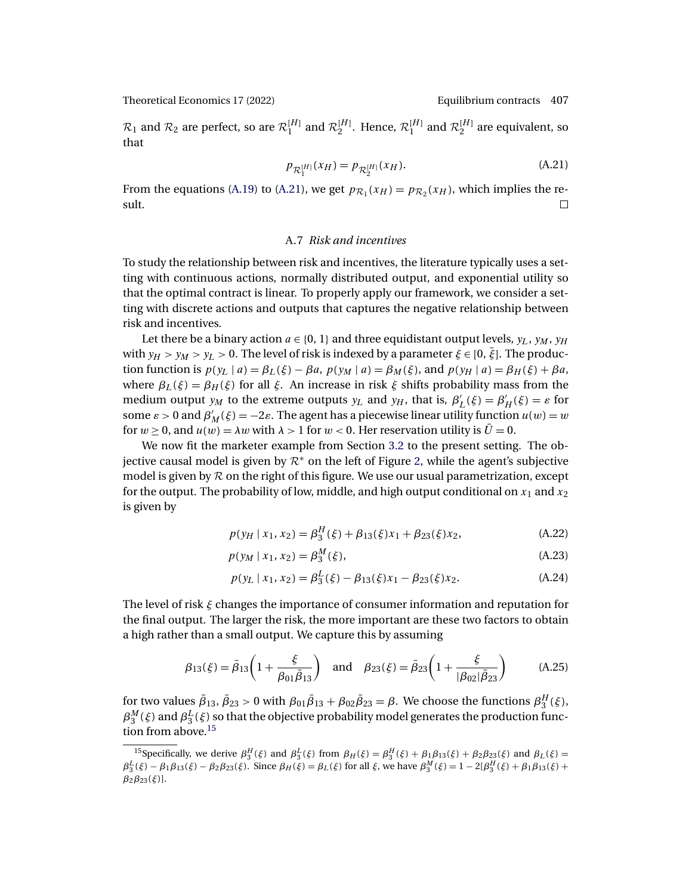<span id="page-36-0"></span> $\mathcal{R}_1$  and  $\mathcal{R}_2$  are perfect, so are  $\mathcal{R}_1^{[H]}$  and  $\mathcal{R}_2^{[H]}$ . Hence,  $\mathcal{R}_1^{[H]}$  and  $\mathcal{R}_2^{[H]}$  are equivalent, so that

$$
p_{\mathcal{R}_1^{[H]}}(x_H) = p_{\mathcal{R}_2^{[H]}}(x_H). \tag{A.21}
$$

From the equations [\(A.19\)](#page-35-0) to (A.21), we get  $p_{\mathcal{R}_1}(x_H) = p_{\mathcal{R}_2}(x_H)$ , which implies the re-<br>sult. sult.

## A.7 *Risk and incentives*

To study the relationship between risk and incentives, the literature typically uses a setting with continuous actions, normally distributed output, and exponential utility so that the optimal contract is linear. To properly apply our framework, we consider a setting with discrete actions and outputs that captures the negative relationship between risk and incentives.

Let there be a binary action  $a \in \{0, 1\}$  and three equidistant output levels,  $y_L$ ,  $y_M$ ,  $y_H$ with  $y_H > y_M > y_L > 0$ . The level of risk is indexed by a parameter  $\xi \in [0, \bar{\xi}]$ . The production function is  $p(y_L | a) = \beta_L(\xi) - \beta a$ ,  $p(y_M | a) = \beta_M(\xi)$ , and  $p(y_H | a) = \beta_H(\xi) + \beta a$ , where  $\beta_L(\xi) = \beta_H(\xi)$  for all  $\xi$ . An increase in risk  $\xi$  shifts probability mass from the medium output  $y_M$  to the extreme outputs  $y_L$  and  $y_H$ , that is,  $\beta'_L(\xi) = \beta'_H(\xi) = \varepsilon$  for some  $\varepsilon > 0$  and  $\beta'_M(\xi) = -2\varepsilon$ . The agent has a piecewise linear utility function  $u(w) = w$ for  $w \ge 0$ , and  $u(w) = \lambda w$  with  $\lambda > 1$  for  $w < 0$ . Her reservation utility is  $\bar{U} = 0$ .

We now fit the marketer example from Section [3.2](#page-10-0) to the present setting. The objective causal model is given by  $\mathcal{R}^*$  on the left of Figure [2,](#page-11-0) while the agent's subjective model is given by  $R$  on the right of this figure. We use our usual parametrization, except for the output. The probability of low, middle, and high output conditional on  $x_1$  and  $x_2$ is given by

$$
p(y_H | x_1, x_2) = \beta_3^H(\xi) + \beta_{13}(\xi)x_1 + \beta_{23}(\xi)x_2,
$$
 (A.22)

$$
p(y_M \mid x_1, x_2) = \beta_3^M(\xi), \tag{A.23}
$$

$$
p(y_L | x_1, x_2) = \beta_3^L(\xi) - \beta_{13}(\xi)x_1 - \beta_{23}(\xi)x_2.
$$
 (A.24)

The level of risk ξ changes the importance of consumer information and reputation for the final output. The larger the risk, the more important are these two factors to obtain a high rather than a small output. We capture this by assuming

$$
\beta_{13}(\xi) = \bar{\beta}_{13} \left( 1 + \frac{\xi}{\beta_{01} \bar{\beta}_{13}} \right)
$$
 and  $\beta_{23}(\xi) = \bar{\beta}_{23} \left( 1 + \frac{\xi}{|\beta_{02}| \bar{\beta}_{23}} \right)$  (A.25)

for two values  $\bar{\beta}_{13}$ ,  $\bar{\beta}_{23} > 0$  with  $\beta_{01}\bar{\beta}_{13} + \beta_{02}\bar{\beta}_{23} = \beta$ . We choose the functions  $\beta_3^H(\xi)$ ,  $\beta_3^M(\xi)$  and  $\beta_3^L(\xi)$  so that the objective probability model generates the production function from above.<sup>15</sup>

<sup>&</sup>lt;sup>15</sup>Specifically, we derive  $\beta_3^H(\xi)$  and  $\beta_3^L(\xi)$  from  $\beta_H(\xi) = \beta_3^H(\xi) + \beta_1 \beta_{13}(\xi) + \beta_2 \beta_{23}(\xi)$  and  $\beta_L(\xi) =$  $\beta_3^L(\xi) - \beta_1 \beta_{13}(\xi) - \beta_2 \beta_{23}(\xi)$ . Since  $\beta_H(\xi) = \beta_L(\xi)$  for all  $\xi$ , we have  $\beta_3^M(\xi) = 1 - 2[\beta_3^H(\xi) + \beta_1 \beta_{13}(\xi) + \beta_2 \beta_{23}(\xi)]$  $\beta_2\beta_{23}(\xi)$ ].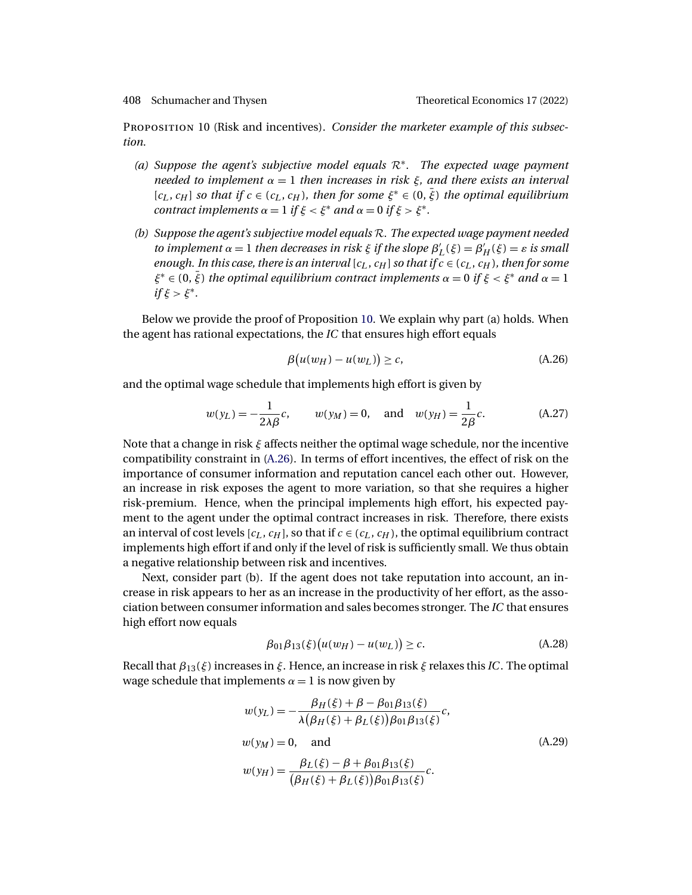<span id="page-37-0"></span>

Proposition 10 (Risk and incentives). *Consider the marketer example of this subsection.*

- *(a) Suppose the agent's subjective model equals* R∗*. The expected wage payment needed to implement* α = 1 *then increases in risk* ξ*, and there exists an interval*  $[c_L, c_H]$  *so that if*  $c \in (c_L, c_H)$ *, then for some*  $\xi^* \in (0, \overline{\xi})$  *the optimal equilibrium contract implements*  $\alpha = 1$  *if*  $\xi < \xi^*$  *and*  $\alpha = 0$  *if*  $\xi > \xi^*$ *.*
- *(b) Suppose the agent's subjective model equals* R*. The expected wage payment needed to implement*  $\alpha = 1$  *then decreases in risk*  $\xi$  *if the slope*  $\beta'_{L}(\xi) = \beta'_{H}(\xi) = \varepsilon$  *is small enough. In this case, there is an interval* [ $c<sub>L</sub>$ ,  $c<sub>H</sub>$ ] *so that if*  $c \in (c<sub>L</sub>, c<sub>H</sub>)$ *, then for some*  $\xi^* \in (0, \bar{\xi})$  *the optimal equilibrium contract implements*  $\alpha = 0$  *if*  $\xi < \xi^*$  *and*  $\alpha = 1$  $if \xi > \xi^*$ .

Below we provide the proof of Proposition 10. We explain why part (a) holds. When the agent has rational expectations, the *IC* that ensures high effort equals

$$
\beta(u(w_H) - u(w_L)) \ge c,\tag{A.26}
$$

and the optimal wage schedule that implements high effort is given by

$$
w(y_L) = -\frac{1}{2\lambda\beta}c
$$
,  $w(y_M) = 0$ , and  $w(y_H) = \frac{1}{2\beta}c$ . (A.27)

Note that a change in risk  $\xi$  affects neither the optimal wage schedule, nor the incentive compatibility constraint in (A.26). In terms of effort incentives, the effect of risk on the importance of consumer information and reputation cancel each other out. However, an increase in risk exposes the agent to more variation, so that she requires a higher risk-premium. Hence, when the principal implements high effort, his expected payment to the agent under the optimal contract increases in risk. Therefore, there exists an interval of cost levels  $[c_L, c_H]$ , so that if  $c \in (c_L, c_H)$ , the optimal equilibrium contract implements high effort if and only if the level of risk is sufficiently small. We thus obtain a negative relationship between risk and incentives.

Next, consider part (b). If the agent does not take reputation into account, an increase in risk appears to her as an increase in the productivity of her effort, as the association between consumer information and sales becomes stronger. The *IC* that ensures high effort now equals

$$
\beta_{01}\beta_{13}(\xi)\big(u(w_H) - u(w_L)\big) \ge c. \tag{A.28}
$$

Recall that  $\beta_{13}(\xi)$  increases in  $\xi$ . Hence, an increase in risk  $\xi$  relaxes this *IC*. The optimal wage schedule that implements  $\alpha = 1$  is now given by

$$
w(y_L) = -\frac{\beta_H(\xi) + \beta - \beta_{01}\beta_{13}(\xi)}{\lambda(\beta_H(\xi) + \beta_L(\xi))\beta_{01}\beta_{13}(\xi)}c,
$$
  
\n
$$
w(y_M) = 0, \text{ and}
$$
  
\n
$$
w(y_H) = \frac{\beta_L(\xi) - \beta + \beta_{01}\beta_{13}(\xi)}{(\beta_H(\xi) + \beta_L(\xi))\beta_{01}\beta_{13}(\xi)}c.
$$
  
\n(A.29)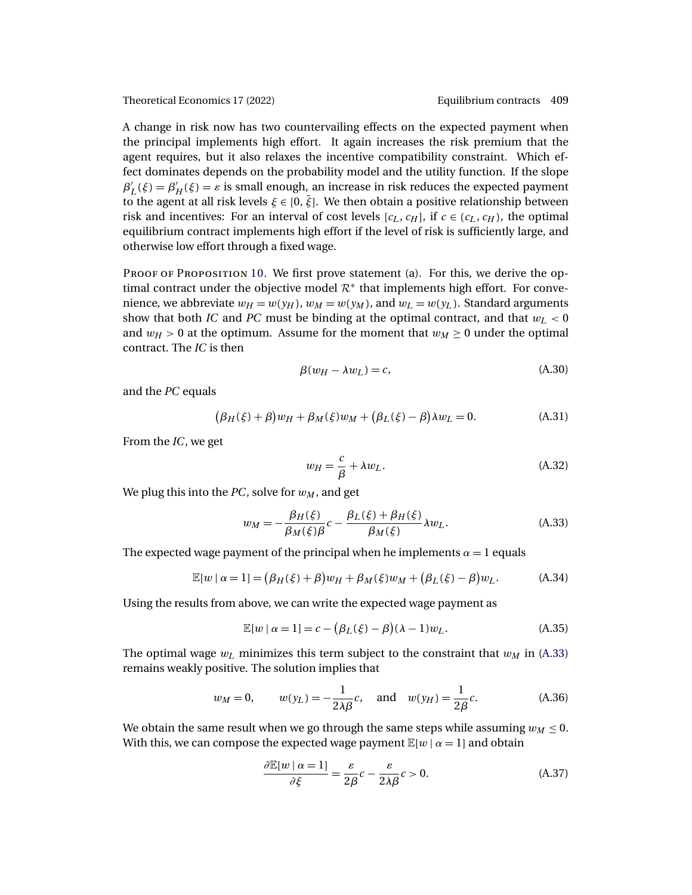A change in risk now has two countervailing effects on the expected payment when the principal implements high effort. It again increases the risk premium that the agent requires, but it also relaxes the incentive compatibility constraint. Which effect dominates depends on the probability model and the utility function. If the slope  $\beta'_{L}(\xi) = \beta'_{H}(\xi) = \varepsilon$  is small enough, an increase in risk reduces the expected payment to the agent at all risk levels  $\xi \in [0, \bar{\xi}]$ . We then obtain a positive relationship between risk and incentives: For an interval of cost levels  $[c_L, c_H]$ , if  $c \in (c_L, c_H)$ , the optimal equilibrium contract implements high effort if the level of risk is sufficiently large, and otherwise low effort through a fixed wage.

PROOF OF PROPOSITION [10.](#page-37-0) We first prove statement (a). For this, we derive the optimal contract under the objective model  $\mathcal{R}^*$  that implements high effort. For convenience, we abbreviate  $w_H = w(y_H)$ ,  $w_M = w(y_M)$ , and  $w_L = w(y_L)$ . Standard arguments show that both *IC* and *PC* must be binding at the optimal contract, and that  $w_L < 0$ and  $w_H > 0$  at the optimum. Assume for the moment that  $w_M \ge 0$  under the optimal contract. The *IC* is then

$$
\beta(w_H - \lambda w_L) = c,\tag{A.30}
$$

and the *PC* equals

$$
(\beta_H(\xi) + \beta)w_H + \beta_M(\xi)w_M + (\beta_L(\xi) - \beta)\lambda w_L = 0.
$$
 (A.31)

From the *IC*, we get

$$
w_H = \frac{c}{\beta} + \lambda w_L. \tag{A.32}
$$

We plug this into the  $PC$ , solve for  $w_M$ , and get

$$
w_M = -\frac{\beta_H(\xi)}{\beta_M(\xi)\beta}c - \frac{\beta_L(\xi) + \beta_H(\xi)}{\beta_M(\xi)}\lambda w_L.
$$
 (A.33)

The expected wage payment of the principal when he implements  $\alpha = 1$  equals

$$
\mathbb{E}[w \mid \alpha = 1] = (\beta_H(\xi) + \beta)w_H + \beta_M(\xi)w_M + (\beta_L(\xi) - \beta)w_L.
$$
 (A.34)

Using the results from above, we can write the expected wage payment as

$$
\mathbb{E}[w \mid \alpha = 1] = c - (\beta_L(\xi) - \beta)(\lambda - 1)w_L.
$$
 (A.35)

The optimal wage  $w_l$  minimizes this term subject to the constraint that  $w_M$  in (A.33) remains weakly positive. The solution implies that

$$
w_M = 0
$$
,  $w(y_L) = -\frac{1}{2\lambda\beta}c$ , and  $w(y_H) = \frac{1}{2\beta}c$ . (A.36)

We obtain the same result when we go through the same steps while assuming  $w_M \leq 0$ . With this, we can compose the expected wage payment  $\mathbb{E}[w \mid \alpha = 1]$  and obtain

$$
\frac{\partial \mathbb{E}[w \mid \alpha = 1]}{\partial \xi} = \frac{\varepsilon}{2\beta}c - \frac{\varepsilon}{2\lambda\beta}c > 0.
$$
 (A.37)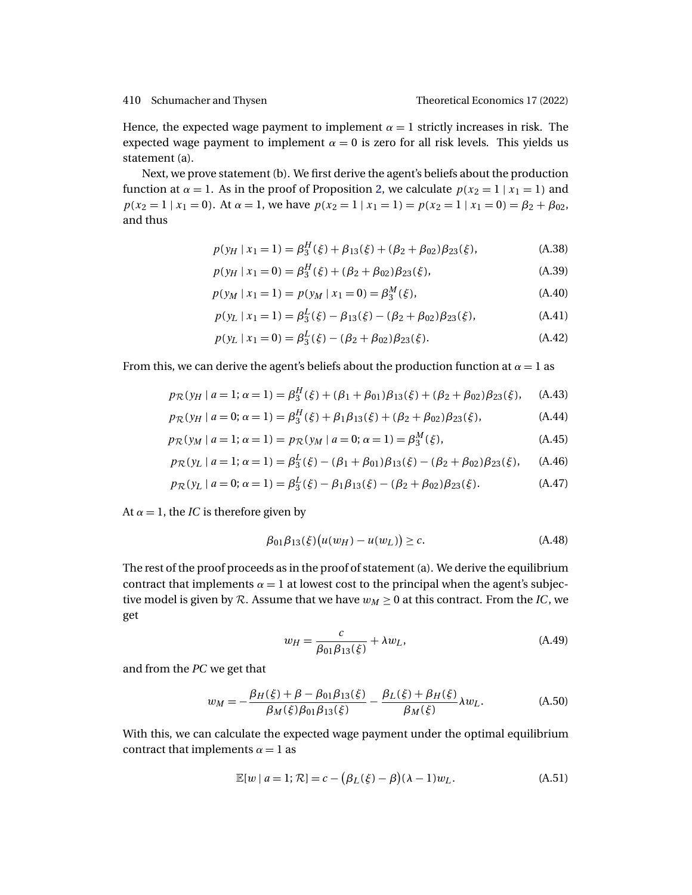<span id="page-39-0"></span>Hence, the expected wage payment to implement  $\alpha = 1$  strictly increases in risk. The expected wage payment to implement  $\alpha = 0$  is zero for all risk levels. This yields us statement (a).

Next, we prove statement (b). We first derive the agent's beliefs about the production function at  $\alpha = 1$ . As in the proof of Proposition [2,](#page-11-0) we calculate  $p(x_2 = 1 | x_1 = 1)$  and  $p(x_2 = 1 | x_1 = 0)$ . At  $\alpha = 1$ , we have  $p(x_2 = 1 | x_1 = 1) = p(x_2 = 1 | x_1 = 0) = \beta_2 + \beta_{02}$ , and thus

$$
p(y_H \mid x_1 = 1) = \beta_3^H(\xi) + \beta_{13}(\xi) + (\beta_2 + \beta_{02})\beta_{23}(\xi), \tag{A.38}
$$

$$
p(y_H | x_1 = 0) = \beta_3^H(\xi) + (\beta_2 + \beta_{02})\beta_{23}(\xi),
$$
 (A.39)

$$
p(y_M \mid x_1 = 1) = p(y_M \mid x_1 = 0) = \beta_3^M(\xi), \tag{A.40}
$$

$$
p(y_L | x_1 = 1) = \beta_3^L(\xi) - \beta_{13}(\xi) - (\beta_2 + \beta_{02})\beta_{23}(\xi),
$$
 (A.41)

$$
p(y_L | x_1 = 0) = \beta_3^L(\xi) - (\beta_2 + \beta_{02})\beta_{23}(\xi). \tag{A.42}
$$

From this, we can derive the agent's beliefs about the production function at  $\alpha = 1$  as

$$
p_{\mathcal{R}}(y_H \mid a=1; \alpha=1) = \beta_3^H(\xi) + (\beta_1 + \beta_{01})\beta_{13}(\xi) + (\beta_2 + \beta_{02})\beta_{23}(\xi), \quad \text{(A.43)}
$$

$$
p_{\mathcal{R}}(y_H \mid a = 0; \alpha = 1) = \beta_3^H(\xi) + \beta_1 \beta_{13}(\xi) + (\beta_2 + \beta_{02})\beta_{23}(\xi), \tag{A.44}
$$

$$
p_{\mathcal{R}}(y_M \mid a=1; \alpha=1) = p_{\mathcal{R}}(y_M \mid a=0; \alpha=1) = \beta_3^M(\xi), \tag{A.45}
$$

$$
p_{\mathcal{R}}(y_L \mid a=1; \alpha=1) = \beta_3^L(\xi) - (\beta_1 + \beta_{01})\beta_{13}(\xi) - (\beta_2 + \beta_{02})\beta_{23}(\xi), \quad (A.46)
$$

$$
p_{\mathcal{R}}(y_L \mid a = 0; \alpha = 1) = \beta_3^L(\xi) - \beta_1 \beta_{13}(\xi) - (\beta_2 + \beta_{02}) \beta_{23}(\xi). \tag{A.47}
$$

At  $\alpha = 1$ , the *IC* is therefore given by

$$
\beta_{01}\beta_{13}(\xi)\big(u(w_H) - u(w_L)\big) \ge c. \tag{A.48}
$$

The rest of the proof proceeds as in the proof of statement (a). We derive the equilibrium contract that implements  $\alpha = 1$  at lowest cost to the principal when the agent's subjective model is given by R. Assume that we have  $w_M \geq 0$  at this contract. From the *IC*, we get

$$
w_H = \frac{c}{\beta_{01}\beta_{13}(\xi)} + \lambda w_L, \tag{A.49}
$$

and from the *PC* we get that

$$
w_M = -\frac{\beta_H(\xi) + \beta - \beta_{01}\beta_{13}(\xi)}{\beta_M(\xi)\beta_{01}\beta_{13}(\xi)} - \frac{\beta_L(\xi) + \beta_H(\xi)}{\beta_M(\xi)}\lambda w_L.
$$
 (A.50)

With this, we can calculate the expected wage payment under the optimal equilibrium contract that implements  $\alpha = 1$  as

$$
\mathbb{E}[w \mid a=1; \mathcal{R}] = c - (\beta_L(\xi) - \beta)(\lambda - 1)w_L.
$$
 (A.51)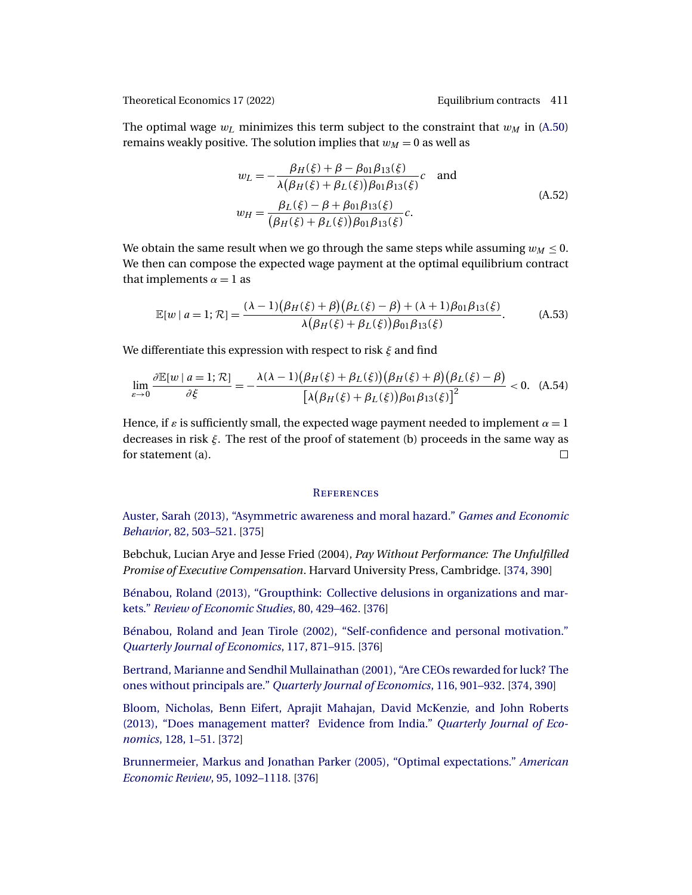<span id="page-40-0"></span>The optimal wage  $w_L$  minimizes this term subject to the constraint that  $w_M$  in [\(A.50\)](#page-39-0) remains weakly positive. The solution implies that  $w_M = 0$  as well as

$$
w_L = -\frac{\beta_H(\xi) + \beta - \beta_{01}\beta_{13}(\xi)}{\lambda(\beta_H(\xi) + \beta_L(\xi))\beta_{01}\beta_{13}(\xi)}c \text{ and}
$$
  
\n
$$
w_H = \frac{\beta_L(\xi) - \beta + \beta_{01}\beta_{13}(\xi)}{(\beta_H(\xi) + \beta_L(\xi))\beta_{01}\beta_{13}(\xi)}c.
$$
\n(A.52)

We obtain the same result when we go through the same steps while assuming  $w_M \leq 0$ . We then can compose the expected wage payment at the optimal equilibrium contract that implements  $\alpha = 1$  as

$$
\mathbb{E}[w \mid a=1; \mathcal{R}] = \frac{(\lambda - 1)(\beta_H(\xi) + \beta)(\beta_L(\xi) - \beta) + (\lambda + 1)\beta_{01}\beta_{13}(\xi)}{\lambda(\beta_H(\xi) + \beta_L(\xi))\beta_{01}\beta_{13}(\xi)}.
$$
 (A.53)

We differentiate this expression with respect to risk  $\xi$  and find

$$
\lim_{\varepsilon \to 0} \frac{\partial \mathbb{E}[w \mid a=1; \mathcal{R}]}{\partial \xi} = -\frac{\lambda(\lambda - 1)(\beta_H(\xi) + \beta_L(\xi))(\beta_H(\xi) + \beta)(\beta_L(\xi) - \beta)}{\left[\lambda(\beta_H(\xi) + \beta_L(\xi))\beta_{01}\beta_{13}(\xi)\right]^2} < 0. \quad (A.54)
$$

Hence, if  $\varepsilon$  is sufficiently small, the expected wage payment needed to implement  $\alpha = 1$ decreases in risk ξ. The rest of the proof of statement (b) proceeds in the same way as for statement (a).  $\Box$ 

# **REFERENCES**

[Auster, Sarah \(2013\), "Asymmetric awareness and moral hazard."](http://www.e-publications.org/srv/te/linkserver/openurl?rft_dat=bib:1/auster13&rfe_id=urn:sici%2F1933-6837%282022%2917%3A1%3C371%3AECABRE%3E2.0.CO%3B2-Z) *Games and Economic Behavior*[, 82, 503–521.](http://www.e-publications.org/srv/te/linkserver/openurl?rft_dat=bib:1/auster13&rfe_id=urn:sici%2F1933-6837%282022%2917%3A1%3C371%3AECABRE%3E2.0.CO%3B2-Z) [\[375\]](#page-4-0)

Bebchuk, Lucian Arye and Jesse Fried (2004), *Pay Without Performance: The Unfulfilled Promise of Executive Compensation*. Harvard University Press, Cambridge. [\[374,](#page-3-0) [390\]](#page-19-0)

[Bénabou, Roland \(2013\), "Groupthink: Collective delusions in organizations and mar](http://www.e-publications.org/srv/te/linkserver/openurl?rft_dat=bib:3/benabou13&rfe_id=urn:sici%2F1933-6837%282022%2917%3A1%3C371%3AECABRE%3E2.0.CO%3B2-Z)kets." *[Review of Economic Studies](http://www.e-publications.org/srv/te/linkserver/openurl?rft_dat=bib:3/benabou13&rfe_id=urn:sici%2F1933-6837%282022%2917%3A1%3C371%3AECABRE%3E2.0.CO%3B2-Z)*, 80, 429–462. [\[376\]](#page-5-0)

[Bénabou, Roland and Jean Tirole \(2002\), "Self-confidence and personal motivation."](http://www.e-publications.org/srv/te/linkserver/openurl?rft_dat=bib:4/benabou02&rfe_id=urn:sici%2F1933-6837%282022%2917%3A1%3C371%3AECABRE%3E2.0.CO%3B2-Z) *[Quarterly Journal of Economics](http://www.e-publications.org/srv/te/linkserver/openurl?rft_dat=bib:4/benabou02&rfe_id=urn:sici%2F1933-6837%282022%2917%3A1%3C371%3AECABRE%3E2.0.CO%3B2-Z)*, 117, 871–915. [\[376\]](#page-5-0)

[Bertrand, Marianne and Sendhil Mullainathan \(2001\), "Are CEOs rewarded for luck? The](http://www.e-publications.org/srv/te/linkserver/openurl?rft_dat=bib:5/bertrand01&rfe_id=urn:sici%2F1933-6837%282022%2917%3A1%3C371%3AECABRE%3E2.0.CO%3B2-Z) ones without principals are." *[Quarterly Journal of Economics](http://www.e-publications.org/srv/te/linkserver/openurl?rft_dat=bib:5/bertrand01&rfe_id=urn:sici%2F1933-6837%282022%2917%3A1%3C371%3AECABRE%3E2.0.CO%3B2-Z)*, 116, 901–932. [\[374,](#page-3-0) [390\]](#page-19-0)

[Bloom, Nicholas, Benn Eifert, Aprajit Mahajan, David McKenzie, and John Roberts](http://www.e-publications.org/srv/te/linkserver/openurl?rft_dat=bib:6/bloom13&rfe_id=urn:sici%2F1933-6837%282022%2917%3A1%3C371%3AECABRE%3E2.0.CO%3B2-Z) [\(2013\), "Does management matter? Evidence from India."](http://www.e-publications.org/srv/te/linkserver/openurl?rft_dat=bib:6/bloom13&rfe_id=urn:sici%2F1933-6837%282022%2917%3A1%3C371%3AECABRE%3E2.0.CO%3B2-Z) *Quarterly Journal of Economics*[, 128, 1–51.](http://www.e-publications.org/srv/te/linkserver/openurl?rft_dat=bib:6/bloom13&rfe_id=urn:sici%2F1933-6837%282022%2917%3A1%3C371%3AECABRE%3E2.0.CO%3B2-Z) [\[372\]](#page-1-0)

[Brunnermeier, Markus and Jonathan Parker \(2005\), "Optimal expectations."](http://www.e-publications.org/srv/te/linkserver/openurl?rft_dat=bib:7/brunnermeier05&rfe_id=urn:sici%2F1933-6837%282022%2917%3A1%3C371%3AECABRE%3E2.0.CO%3B2-Z) *American [Economic Review](http://www.e-publications.org/srv/te/linkserver/openurl?rft_dat=bib:7/brunnermeier05&rfe_id=urn:sici%2F1933-6837%282022%2917%3A1%3C371%3AECABRE%3E2.0.CO%3B2-Z)*, 95, 1092–1118. [\[376\]](#page-5-0)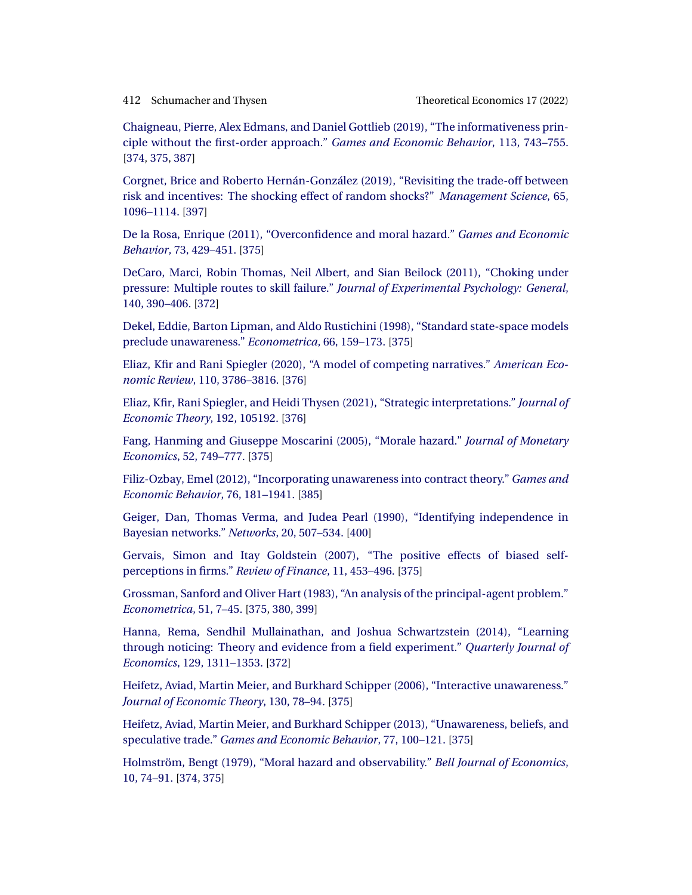<span id="page-41-0"></span>

[Chaigneau, Pierre, Alex Edmans, and Daniel Gottlieb \(2019\), "The informativeness prin](http://www.e-publications.org/srv/te/linkserver/openurl?rft_dat=bib:8/chaigneau19&rfe_id=urn:sici%2F1933-6837%282022%2917%3A1%3C371%3AECABRE%3E2.0.CO%3B2-Z)[ciple without the first-order approach."](http://www.e-publications.org/srv/te/linkserver/openurl?rft_dat=bib:8/chaigneau19&rfe_id=urn:sici%2F1933-6837%282022%2917%3A1%3C371%3AECABRE%3E2.0.CO%3B2-Z) *Games and Economic Behavior*, 113, 743–755. [\[374,](#page-3-0) [375,](#page-4-0) [387\]](#page-16-0)

[Corgnet, Brice and Roberto Hernán-González \(2019\), "Revisiting the trade-off between](http://www.e-publications.org/srv/te/linkserver/openurl?rft_dat=bib:9/corgnet19&rfe_id=urn:sici%2F1933-6837%282022%2917%3A1%3C371%3AECABRE%3E2.0.CO%3B2-Z) [risk and incentives: The shocking effect of random shocks?"](http://www.e-publications.org/srv/te/linkserver/openurl?rft_dat=bib:9/corgnet19&rfe_id=urn:sici%2F1933-6837%282022%2917%3A1%3C371%3AECABRE%3E2.0.CO%3B2-Z) *Management Science*, 65, [1096–1114.](http://www.e-publications.org/srv/te/linkserver/openurl?rft_dat=bib:9/corgnet19&rfe_id=urn:sici%2F1933-6837%282022%2917%3A1%3C371%3AECABRE%3E2.0.CO%3B2-Z) [\[397\]](#page-26-0)

[De la Rosa, Enrique \(2011\), "Overconfidence and moral hazard."](http://www.e-publications.org/srv/te/linkserver/openurl?rft_dat=bib:10/delarosa11&rfe_id=urn:sici%2F1933-6837%282022%2917%3A1%3C371%3AECABRE%3E2.0.CO%3B2-Z) *Games and Economic Behavior*[, 73, 429–451.](http://www.e-publications.org/srv/te/linkserver/openurl?rft_dat=bib:10/delarosa11&rfe_id=urn:sici%2F1933-6837%282022%2917%3A1%3C371%3AECABRE%3E2.0.CO%3B2-Z) [\[375\]](#page-4-0)

[DeCaro, Marci, Robin Thomas, Neil Albert, and Sian Beilock \(2011\), "Choking under](http://www.e-publications.org/srv/te/linkserver/openurl?rft_dat=bib:11/decaro11&rfe_id=urn:sici%2F1933-6837%282022%2917%3A1%3C371%3AECABRE%3E2.0.CO%3B2-Z) pressure: Multiple routes to skill failure." *[Journal of Experimental Psychology: General](http://www.e-publications.org/srv/te/linkserver/openurl?rft_dat=bib:11/decaro11&rfe_id=urn:sici%2F1933-6837%282022%2917%3A1%3C371%3AECABRE%3E2.0.CO%3B2-Z)*, [140, 390–406.](http://www.e-publications.org/srv/te/linkserver/openurl?rft_dat=bib:11/decaro11&rfe_id=urn:sici%2F1933-6837%282022%2917%3A1%3C371%3AECABRE%3E2.0.CO%3B2-Z) [\[372\]](#page-1-0)

[Dekel, Eddie, Barton Lipman, and Aldo Rustichini \(1998\), "Standard state-space models](http://www.e-publications.org/srv/te/linkserver/openurl?rft_dat=bib:12/dekel98&rfe_id=urn:sici%2F1933-6837%282022%2917%3A1%3C371%3AECABRE%3E2.0.CO%3B2-Z) [preclude unawareness."](http://www.e-publications.org/srv/te/linkserver/openurl?rft_dat=bib:12/dekel98&rfe_id=urn:sici%2F1933-6837%282022%2917%3A1%3C371%3AECABRE%3E2.0.CO%3B2-Z) *Econometrica*, 66, 159–173. [\[375\]](#page-4-0)

[Eliaz, Kfir and Rani Spiegler \(2020\), "A model of competing narratives."](http://www.e-publications.org/srv/te/linkserver/openurl?rft_dat=bib:13/eliaz18&rfe_id=urn:sici%2F1933-6837%282022%2917%3A1%3C371%3AECABRE%3E2.0.CO%3B2-Z) *American Economic Review*[, 110, 3786–3816.](http://www.e-publications.org/srv/te/linkserver/openurl?rft_dat=bib:13/eliaz18&rfe_id=urn:sici%2F1933-6837%282022%2917%3A1%3C371%3AECABRE%3E2.0.CO%3B2-Z) [\[376\]](#page-5-0)

[Eliaz, Kfir, Rani Spiegler, and Heidi Thysen \(2021\), "Strategic interpretations."](http://www.e-publications.org/srv/te/linkserver/openurl?rft_dat=bib:14/eliaz21&rfe_id=urn:sici%2F1933-6837%282022%2917%3A1%3C371%3AECABRE%3E2.0.CO%3B2-Z) *Journal of [Economic Theory](http://www.e-publications.org/srv/te/linkserver/openurl?rft_dat=bib:14/eliaz21&rfe_id=urn:sici%2F1933-6837%282022%2917%3A1%3C371%3AECABRE%3E2.0.CO%3B2-Z)*, 192, 105192. [\[376\]](#page-5-0)

[Fang, Hanming and Giuseppe Moscarini \(2005\), "Morale hazard."](http://www.e-publications.org/srv/te/linkserver/openurl?rft_dat=bib:15/fang05&rfe_id=urn:sici%2F1933-6837%282022%2917%3A1%3C371%3AECABRE%3E2.0.CO%3B2-Z) *Journal of Monetary Economics*[, 52, 749–777.](http://www.e-publications.org/srv/te/linkserver/openurl?rft_dat=bib:15/fang05&rfe_id=urn:sici%2F1933-6837%282022%2917%3A1%3C371%3AECABRE%3E2.0.CO%3B2-Z) [\[375\]](#page-4-0)

[Filiz-Ozbay, Emel \(2012\), "Incorporating unawareness into contract theory."](http://www.e-publications.org/srv/te/linkserver/openurl?rft_dat=bib:16/filiz12&rfe_id=urn:sici%2F1933-6837%282022%2917%3A1%3C371%3AECABRE%3E2.0.CO%3B2-Z) *Games and [Economic Behavior](http://www.e-publications.org/srv/te/linkserver/openurl?rft_dat=bib:16/filiz12&rfe_id=urn:sici%2F1933-6837%282022%2917%3A1%3C371%3AECABRE%3E2.0.CO%3B2-Z)*, 76, 181–1941. [\[385\]](#page-14-0)

[Geiger, Dan, Thomas Verma, and Judea Pearl \(1990\), "Identifying independence in](http://www.e-publications.org/srv/te/linkserver/openurl?rft_dat=bib:17/geiger90&rfe_id=urn:sici%2F1933-6837%282022%2917%3A1%3C371%3AECABRE%3E2.0.CO%3B2-Z) [Bayesian networks."](http://www.e-publications.org/srv/te/linkserver/openurl?rft_dat=bib:17/geiger90&rfe_id=urn:sici%2F1933-6837%282022%2917%3A1%3C371%3AECABRE%3E2.0.CO%3B2-Z) *Networks*, 20, 507–534. [\[400\]](#page-29-0)

[Gervais, Simon and Itay Goldstein \(2007\), "The positive effects of biased self](http://www.e-publications.org/srv/te/linkserver/openurl?rft_dat=bib:18/gervais07&rfe_id=urn:sici%2F1933-6837%282022%2917%3A1%3C371%3AECABRE%3E2.0.CO%3B2-Z)[perceptions in firms."](http://www.e-publications.org/srv/te/linkserver/openurl?rft_dat=bib:18/gervais07&rfe_id=urn:sici%2F1933-6837%282022%2917%3A1%3C371%3AECABRE%3E2.0.CO%3B2-Z) *Review of Finance*, 11, 453–496. [\[375\]](#page-4-0)

[Grossman, Sanford and Oliver Hart \(1983\), "An analysis of the principal-agent problem."](http://www.e-publications.org/srv/te/linkserver/openurl?rft_dat=bib:19/grossman83&rfe_id=urn:sici%2F1933-6837%282022%2917%3A1%3C371%3AECABRE%3E2.0.CO%3B2-Z) *[Econometrica](http://www.e-publications.org/srv/te/linkserver/openurl?rft_dat=bib:19/grossman83&rfe_id=urn:sici%2F1933-6837%282022%2917%3A1%3C371%3AECABRE%3E2.0.CO%3B2-Z)*, 51, 7–45. [\[375,](#page-4-0) [380,](#page-9-0) [399\]](#page-28-0)

[Hanna, Rema, Sendhil Mullainathan, and Joshua Schwartzstein \(2014\), "Learning](http://www.e-publications.org/srv/te/linkserver/openurl?rft_dat=bib:20/hanna14&rfe_id=urn:sici%2F1933-6837%282022%2917%3A1%3C371%3AECABRE%3E2.0.CO%3B2-Z) [through noticing: Theory and evidence from a field experiment."](http://www.e-publications.org/srv/te/linkserver/openurl?rft_dat=bib:20/hanna14&rfe_id=urn:sici%2F1933-6837%282022%2917%3A1%3C371%3AECABRE%3E2.0.CO%3B2-Z) *Quarterly Journal of Economics*[, 129, 1311–1353.](http://www.e-publications.org/srv/te/linkserver/openurl?rft_dat=bib:20/hanna14&rfe_id=urn:sici%2F1933-6837%282022%2917%3A1%3C371%3AECABRE%3E2.0.CO%3B2-Z) [\[372\]](#page-1-0)

[Heifetz, Aviad, Martin Meier, and Burkhard Schipper \(2006\), "Interactive unawareness."](http://www.e-publications.org/srv/te/linkserver/openurl?rft_dat=bib:21/heifetz06&rfe_id=urn:sici%2F1933-6837%282022%2917%3A1%3C371%3AECABRE%3E2.0.CO%3B2-Z) *[Journal of Economic Theory](http://www.e-publications.org/srv/te/linkserver/openurl?rft_dat=bib:21/heifetz06&rfe_id=urn:sici%2F1933-6837%282022%2917%3A1%3C371%3AECABRE%3E2.0.CO%3B2-Z)*, 130, 78–94. [\[375\]](#page-4-0)

[Heifetz, Aviad, Martin Meier, and Burkhard Schipper \(2013\), "Unawareness, beliefs, and](http://www.e-publications.org/srv/te/linkserver/openurl?rft_dat=bib:22/heifetz13&rfe_id=urn:sici%2F1933-6837%282022%2917%3A1%3C371%3AECABRE%3E2.0.CO%3B2-Z) speculative trade." *[Games and Economic Behavior](http://www.e-publications.org/srv/te/linkserver/openurl?rft_dat=bib:22/heifetz13&rfe_id=urn:sici%2F1933-6837%282022%2917%3A1%3C371%3AECABRE%3E2.0.CO%3B2-Z)*, 77, 100–121. [\[375\]](#page-4-0)

[Holmström, Bengt \(1979\), "Moral hazard and observability."](http://www.e-publications.org/srv/te/linkserver/openurl?rft_dat=bib:23/holmstrom79&rfe_id=urn:sici%2F1933-6837%282022%2917%3A1%3C371%3AECABRE%3E2.0.CO%3B2-Z) *Bell Journal of Economics*, [10, 74–91.](http://www.e-publications.org/srv/te/linkserver/openurl?rft_dat=bib:23/holmstrom79&rfe_id=urn:sici%2F1933-6837%282022%2917%3A1%3C371%3AECABRE%3E2.0.CO%3B2-Z) [\[374,](#page-3-0) [375\]](#page-4-0)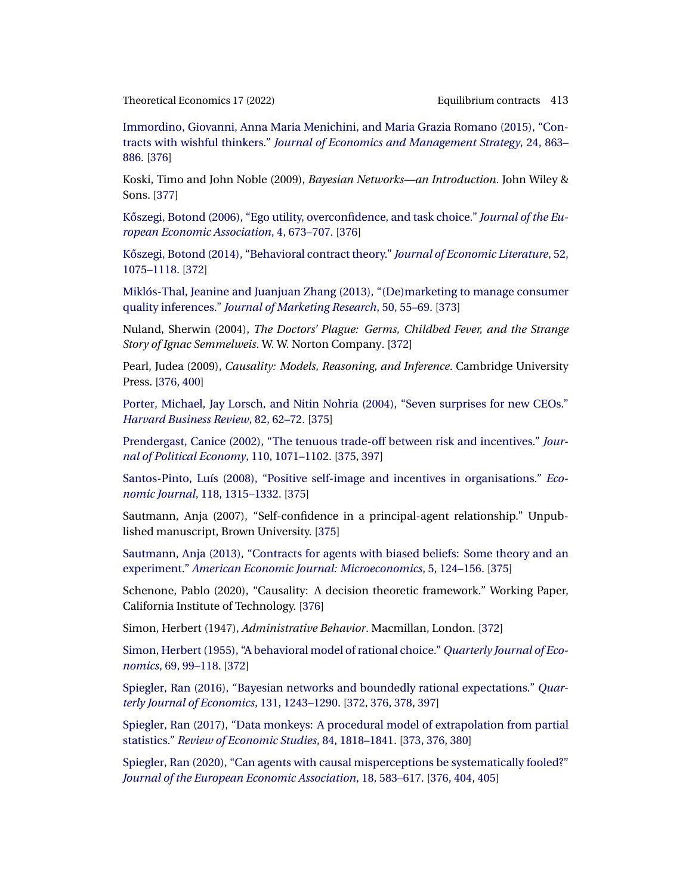<span id="page-42-0"></span>[Immordino, Giovanni, Anna Maria Menichini, and Maria Grazia Romano \(2015\), "Con](http://www.e-publications.org/srv/te/linkserver/openurl?rft_dat=bib:24/immordino15&rfe_id=urn:sici%2F1933-6837%282022%2917%3A1%3C371%3AECABRE%3E2.0.CO%3B2-Z)tracts with wishful thinkers." *[Journal of Economics and Management Strategy](http://www.e-publications.org/srv/te/linkserver/openurl?rft_dat=bib:24/immordino15&rfe_id=urn:sici%2F1933-6837%282022%2917%3A1%3C371%3AECABRE%3E2.0.CO%3B2-Z)*, 24, 863– [886.](http://www.e-publications.org/srv/te/linkserver/openurl?rft_dat=bib:24/immordino15&rfe_id=urn:sici%2F1933-6837%282022%2917%3A1%3C371%3AECABRE%3E2.0.CO%3B2-Z) [\[376\]](#page-5-0)

Koski, Timo and John Noble (2009), *Bayesian Networks—an Introduction*. John Wiley & Sons. [\[377\]](#page-6-0)

Kőszegi, Botond (2006), "Ego utility, overconfidence, and task choice." *Journal of the Eu[ropean Economic Association](http://www.e-publications.org/srv/te/linkserver/openurl?rft_dat=bib:26/koeszegi06&rfe_id=urn:sici%2F1933-6837%282022%2917%3A1%3C371%3AECABRE%3E2.0.CO%3B2-Z)*, 4, 673–707. [\[376\]](#page-5-0)

Kőszegi, Botond (2014), "Behavioral contract theory." *Journal of Economic Literature*, 52, [1075–1118.](http://www.e-publications.org/srv/te/linkserver/openurl?rft_dat=bib:27/koeszegi14&rfe_id=urn:sici%2F1933-6837%282022%2917%3A1%3C371%3AECABRE%3E2.0.CO%3B2-Z) [\[372\]](#page-1-0)

[Miklós-Thal, Jeanine and Juanjuan Zhang \(2013\), "\(De\)marketing to manage consumer](http://www.e-publications.org/srv/te/linkserver/openurl?rft_dat=bib:28/thal13&rfe_id=urn:sici%2F1933-6837%282022%2917%3A1%3C371%3AECABRE%3E2.0.CO%3B2-Z) quality inferences." *[Journal of Marketing Research](http://www.e-publications.org/srv/te/linkserver/openurl?rft_dat=bib:28/thal13&rfe_id=urn:sici%2F1933-6837%282022%2917%3A1%3C371%3AECABRE%3E2.0.CO%3B2-Z)*, 50, 55–69. [\[373\]](#page-2-0)

Nuland, Sherwin (2004), *The Doctors' Plague: Germs, Childbed Fever, and the Strange Story of Ignac Semmelweis*. W. W. Norton Company. [\[372\]](#page-1-0)

Pearl, Judea (2009), *Causality: Models, Reasoning, and Inference*. Cambridge University Press. [\[376,](#page-5-0) [400\]](#page-29-0)

[Porter, Michael, Jay Lorsch, and Nitin Nohria \(2004\), "Seven surprises for new CEOs."](http://www.e-publications.org/srv/te/linkserver/openurl?rft_dat=bib:31/porter04&rfe_id=urn:sici%2F1933-6837%282022%2917%3A1%3C371%3AECABRE%3E2.0.CO%3B2-Z) *[Harvard Business Review](http://www.e-publications.org/srv/te/linkserver/openurl?rft_dat=bib:31/porter04&rfe_id=urn:sici%2F1933-6837%282022%2917%3A1%3C371%3AECABRE%3E2.0.CO%3B2-Z)*, 82, 62–72. [\[375\]](#page-4-0)

[Prendergast, Canice \(2002\), "The tenuous trade-off between risk and incentives."](http://www.e-publications.org/srv/te/linkserver/openurl?rft_dat=bib:32/prendergasts02&rfe_id=urn:sici%2F1933-6837%282022%2917%3A1%3C371%3AECABRE%3E2.0.CO%3B2-Z) *Jour[nal of Political Economy](http://www.e-publications.org/srv/te/linkserver/openurl?rft_dat=bib:32/prendergasts02&rfe_id=urn:sici%2F1933-6837%282022%2917%3A1%3C371%3AECABRE%3E2.0.CO%3B2-Z)*, 110, 1071–1102. [\[375,](#page-4-0) [397\]](#page-26-0)

[Santos-Pinto, Luís \(2008\), "Positive self-image and incentives in organisations."](http://www.e-publications.org/srv/te/linkserver/openurl?rft_dat=bib:33/santospinto08&rfe_id=urn:sici%2F1933-6837%282022%2917%3A1%3C371%3AECABRE%3E2.0.CO%3B2-Z) *Economic Journal*[, 118, 1315–1332.](http://www.e-publications.org/srv/te/linkserver/openurl?rft_dat=bib:33/santospinto08&rfe_id=urn:sici%2F1933-6837%282022%2917%3A1%3C371%3AECABRE%3E2.0.CO%3B2-Z) [\[375\]](#page-4-0)

Sautmann, Anja (2007), "Self-confidence in a principal-agent relationship." Unpublished manuscript, Brown University. [\[375\]](#page-4-0)

[Sautmann, Anja \(2013\), "Contracts for agents with biased beliefs: Some theory and an](http://www.e-publications.org/srv/te/linkserver/openurl?rft_dat=bib:35/sautmann13&rfe_id=urn:sici%2F1933-6837%282022%2917%3A1%3C371%3AECABRE%3E2.0.CO%3B2-Z) experiment." *[American Economic Journal: Microeconomics](http://www.e-publications.org/srv/te/linkserver/openurl?rft_dat=bib:35/sautmann13&rfe_id=urn:sici%2F1933-6837%282022%2917%3A1%3C371%3AECABRE%3E2.0.CO%3B2-Z)*, 5, 124–156. [\[375\]](#page-4-0)

Schenone, Pablo (2020), "Causality: A decision theoretic framework." Working Paper, California Institute of Technology. [\[376\]](#page-5-0)

Simon, Herbert (1947), *Administrative Behavior*. Macmillan, London. [\[372\]](#page-1-0)

[Simon, Herbert \(1955\), "A behavioral model of rational choice."](http://www.e-publications.org/srv/te/linkserver/openurl?rft_dat=bib:38/simon55&rfe_id=urn:sici%2F1933-6837%282022%2917%3A1%3C371%3AECABRE%3E2.0.CO%3B2-Z) *Quarterly Journal of Economics*[, 69, 99–118.](http://www.e-publications.org/srv/te/linkserver/openurl?rft_dat=bib:38/simon55&rfe_id=urn:sici%2F1933-6837%282022%2917%3A1%3C371%3AECABRE%3E2.0.CO%3B2-Z) [\[372\]](#page-1-0)

[Spiegler, Ran \(2016\), "Bayesian networks and boundedly rational expectations."](http://www.e-publications.org/srv/te/linkserver/openurl?rft_dat=bib:39/spiegler16&rfe_id=urn:sici%2F1933-6837%282022%2917%3A1%3C371%3AECABRE%3E2.0.CO%3B2-Z) *Quar[terly Journal of Economics](http://www.e-publications.org/srv/te/linkserver/openurl?rft_dat=bib:39/spiegler16&rfe_id=urn:sici%2F1933-6837%282022%2917%3A1%3C371%3AECABRE%3E2.0.CO%3B2-Z)*, 131, 1243–1290. [\[372,](#page-1-0) [376,](#page-5-0) [378,](#page-7-0) [397\]](#page-26-0)

[Spiegler, Ran \(2017\), "Data monkeys: A procedural model of extrapolation from partial](http://www.e-publications.org/srv/te/linkserver/openurl?rft_dat=bib:40/spiegler17&rfe_id=urn:sici%2F1933-6837%282022%2917%3A1%3C371%3AECABRE%3E2.0.CO%3B2-Z) statistics." *[Review of Economic Studies](http://www.e-publications.org/srv/te/linkserver/openurl?rft_dat=bib:40/spiegler17&rfe_id=urn:sici%2F1933-6837%282022%2917%3A1%3C371%3AECABRE%3E2.0.CO%3B2-Z)*, 84, 1818–1841. [\[373,](#page-2-0) [376,](#page-5-0) [380\]](#page-9-0)

[Spiegler, Ran \(2020\), "Can agents with causal misperceptions be systematically fooled?"](http://www.e-publications.org/srv/te/linkserver/openurl?rft_dat=bib:41/spiegler20&rfe_id=urn:sici%2F1933-6837%282022%2917%3A1%3C371%3AECABRE%3E2.0.CO%3B2-Z) *[Journal of the European Economic Association](http://www.e-publications.org/srv/te/linkserver/openurl?rft_dat=bib:41/spiegler20&rfe_id=urn:sici%2F1933-6837%282022%2917%3A1%3C371%3AECABRE%3E2.0.CO%3B2-Z)*, 18, 583–617. [\[376,](#page-5-0) [404,](#page-33-0) [405\]](#page-34-0)